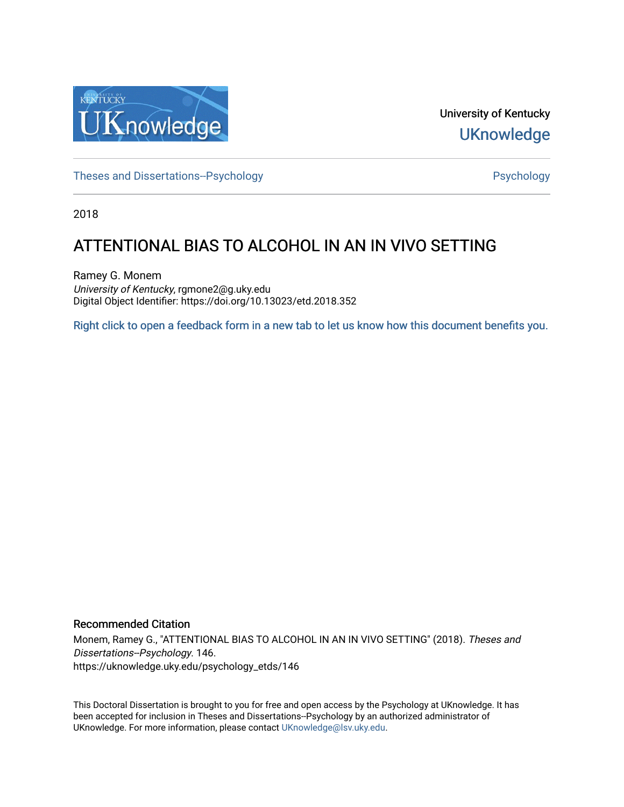

University of Kentucky **UKnowledge** 

[Theses and Dissertations--Psychology](https://uknowledge.uky.edu/psychology_etds) **Properties and Dissertations-Psychology Psychology** 

2018

# ATTENTIONAL BIAS TO ALCOHOL IN AN IN VIVO SETTING

Ramey G. Monem University of Kentucky, rgmone2@g.uky.edu Digital Object Identifier: https://doi.org/10.13023/etd.2018.352

[Right click to open a feedback form in a new tab to let us know how this document benefits you.](https://uky.az1.qualtrics.com/jfe/form/SV_9mq8fx2GnONRfz7)

# Recommended Citation

Monem, Ramey G., "ATTENTIONAL BIAS TO ALCOHOL IN AN IN VIVO SETTING" (2018). Theses and Dissertations--Psychology. 146. https://uknowledge.uky.edu/psychology\_etds/146

This Doctoral Dissertation is brought to you for free and open access by the Psychology at UKnowledge. It has been accepted for inclusion in Theses and Dissertations--Psychology by an authorized administrator of UKnowledge. For more information, please contact [UKnowledge@lsv.uky.edu](mailto:UKnowledge@lsv.uky.edu).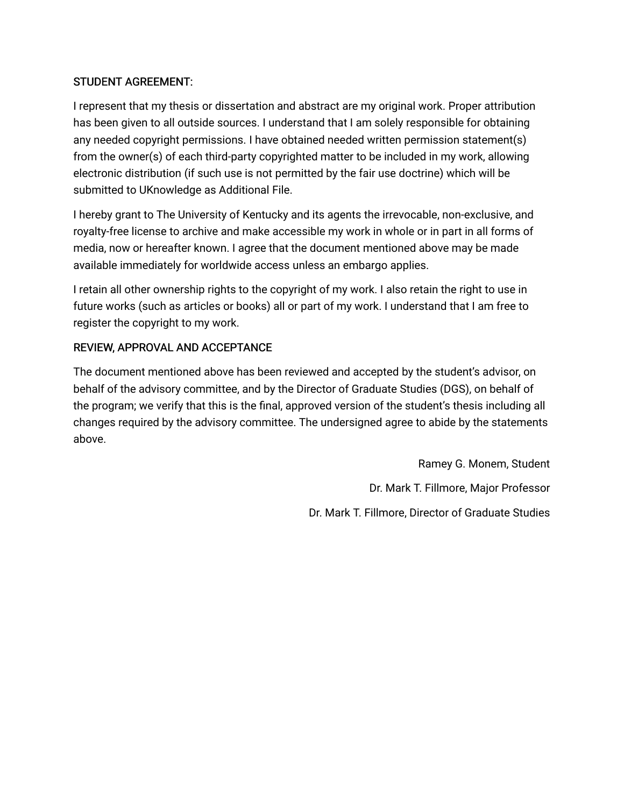# STUDENT AGREEMENT:

I represent that my thesis or dissertation and abstract are my original work. Proper attribution has been given to all outside sources. I understand that I am solely responsible for obtaining any needed copyright permissions. I have obtained needed written permission statement(s) from the owner(s) of each third-party copyrighted matter to be included in my work, allowing electronic distribution (if such use is not permitted by the fair use doctrine) which will be submitted to UKnowledge as Additional File.

I hereby grant to The University of Kentucky and its agents the irrevocable, non-exclusive, and royalty-free license to archive and make accessible my work in whole or in part in all forms of media, now or hereafter known. I agree that the document mentioned above may be made available immediately for worldwide access unless an embargo applies.

I retain all other ownership rights to the copyright of my work. I also retain the right to use in future works (such as articles or books) all or part of my work. I understand that I am free to register the copyright to my work.

# REVIEW, APPROVAL AND ACCEPTANCE

The document mentioned above has been reviewed and accepted by the student's advisor, on behalf of the advisory committee, and by the Director of Graduate Studies (DGS), on behalf of the program; we verify that this is the final, approved version of the student's thesis including all changes required by the advisory committee. The undersigned agree to abide by the statements above.

> Ramey G. Monem, Student Dr. Mark T. Fillmore, Major Professor Dr. Mark T. Fillmore, Director of Graduate Studies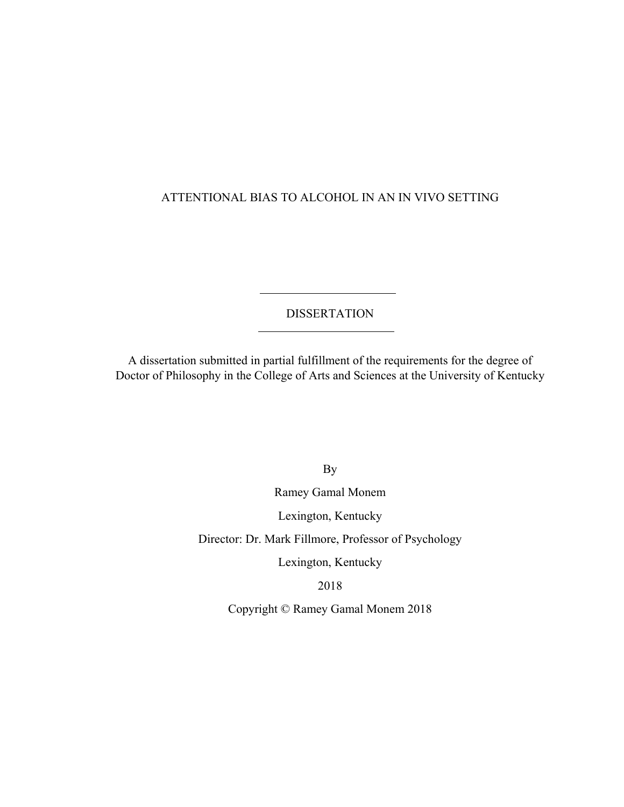# ATTENTIONAL BIAS TO ALCOHOL IN AN IN VIVO SETTING

DISSERTATION

A dissertation submitted in partial fulfillment of the requirements for the degree of Doctor of Philosophy in the College of Arts and Sciences at the University of Kentucky

By

Ramey Gamal Monem

Lexington, Kentucky

Director: Dr. Mark Fillmore, Professor of Psychology

Lexington, Kentucky

2018

Copyright © Ramey Gamal Monem 2018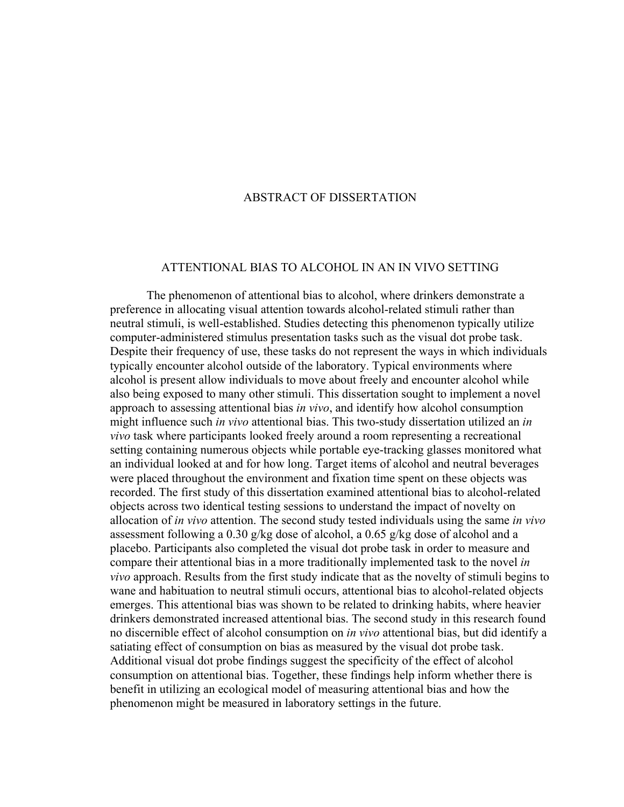### ABSTRACT OF DISSERTATION

#### ATTENTIONAL BIAS TO ALCOHOL IN AN IN VIVO SETTING

The phenomenon of attentional bias to alcohol, where drinkers demonstrate a preference in allocating visual attention towards alcohol-related stimuli rather than neutral stimuli, is well-established. Studies detecting this phenomenon typically utilize computer-administered stimulus presentation tasks such as the visual dot probe task. Despite their frequency of use, these tasks do not represent the ways in which individuals typically encounter alcohol outside of the laboratory. Typical environments where alcohol is present allow individuals to move about freely and encounter alcohol while also being exposed to many other stimuli. This dissertation sought to implement a novel approach to assessing attentional bias *in vivo*, and identify how alcohol consumption might influence such *in vivo* attentional bias. This two-study dissertation utilized an *in vivo* task where participants looked freely around a room representing a recreational setting containing numerous objects while portable eye-tracking glasses monitored what an individual looked at and for how long. Target items of alcohol and neutral beverages were placed throughout the environment and fixation time spent on these objects was recorded. The first study of this dissertation examined attentional bias to alcohol-related objects across two identical testing sessions to understand the impact of novelty on allocation of *in vivo* attention. The second study tested individuals using the same *in vivo* assessment following a 0.30 g/kg dose of alcohol, a 0.65 g/kg dose of alcohol and a placebo. Participants also completed the visual dot probe task in order to measure and compare their attentional bias in a more traditionally implemented task to the novel *in vivo* approach. Results from the first study indicate that as the novelty of stimuli begins to wane and habituation to neutral stimuli occurs, attentional bias to alcohol-related objects emerges. This attentional bias was shown to be related to drinking habits, where heavier drinkers demonstrated increased attentional bias. The second study in this research found no discernible effect of alcohol consumption on *in vivo* attentional bias, but did identify a satiating effect of consumption on bias as measured by the visual dot probe task. Additional visual dot probe findings suggest the specificity of the effect of alcohol consumption on attentional bias. Together, these findings help inform whether there is benefit in utilizing an ecological model of measuring attentional bias and how the phenomenon might be measured in laboratory settings in the future.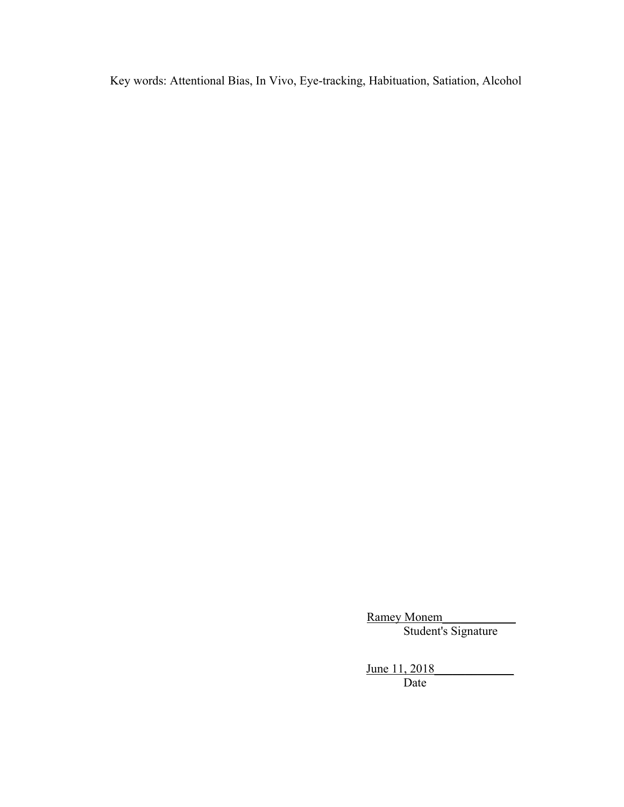Key words: Attentional Bias, In Vivo, Eye-tracking, Habituation, Satiation, Alcohol

Ramey Monem Student's Signature

June 11, 2018 Date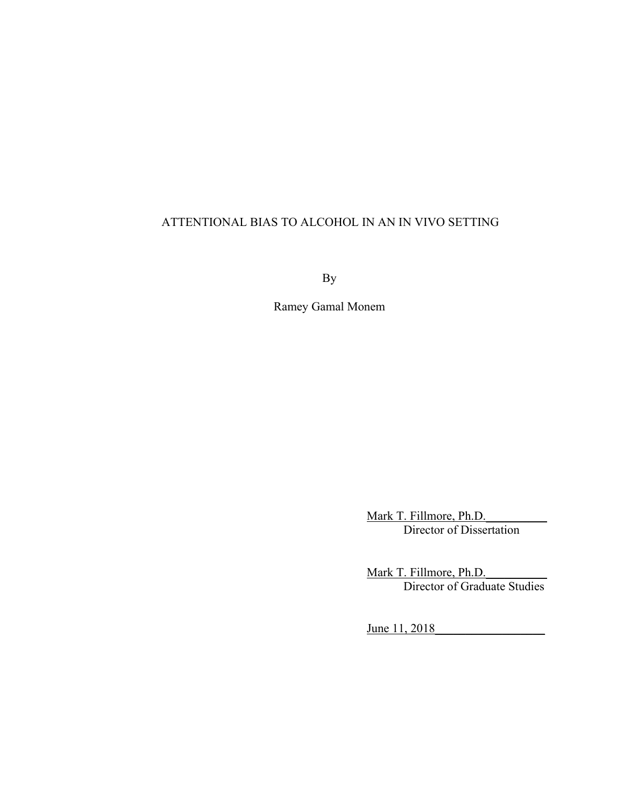# ATTENTIONAL BIAS TO ALCOHOL IN AN IN VIVO SETTING

By

Ramey Gamal Monem

Mark T. Fillmore, Ph.D. Director of Dissertation

Mark T. Fillmore, Ph.D. Director of Graduate Studies

June 11, 2018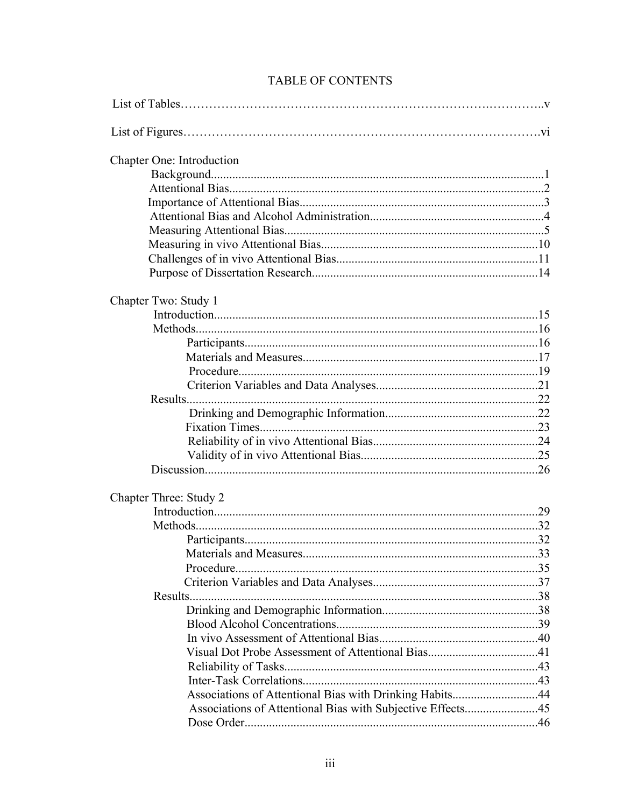| Chapter One: Introduction                                  |  |
|------------------------------------------------------------|--|
|                                                            |  |
|                                                            |  |
|                                                            |  |
|                                                            |  |
|                                                            |  |
|                                                            |  |
|                                                            |  |
|                                                            |  |
|                                                            |  |
| Chapter Two: Study 1                                       |  |
|                                                            |  |
|                                                            |  |
|                                                            |  |
|                                                            |  |
|                                                            |  |
|                                                            |  |
|                                                            |  |
|                                                            |  |
|                                                            |  |
|                                                            |  |
|                                                            |  |
|                                                            |  |
|                                                            |  |
| Chapter Three: Study 2                                     |  |
|                                                            |  |
|                                                            |  |
|                                                            |  |
|                                                            |  |
| Procedure.                                                 |  |
|                                                            |  |
|                                                            |  |
|                                                            |  |
|                                                            |  |
|                                                            |  |
|                                                            |  |
|                                                            |  |
|                                                            |  |
| Associations of Attentional Bias with Drinking Habits44    |  |
| Associations of Attentional Bias with Subjective Effects45 |  |
|                                                            |  |

# TABLE OF CONTENTS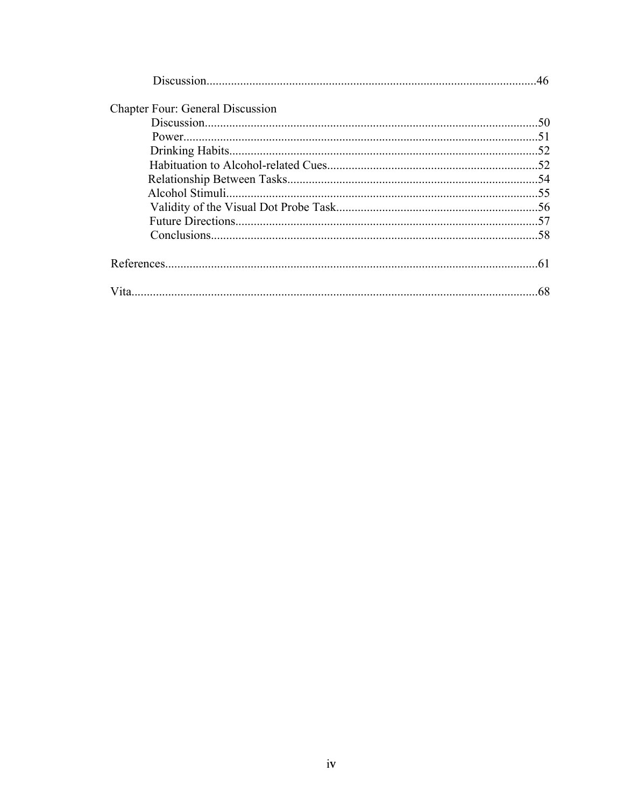| <b>Chapter Four: General Discussion</b> |  |
|-----------------------------------------|--|
|                                         |  |
|                                         |  |
|                                         |  |
|                                         |  |
|                                         |  |
|                                         |  |
|                                         |  |
|                                         |  |
|                                         |  |
|                                         |  |
|                                         |  |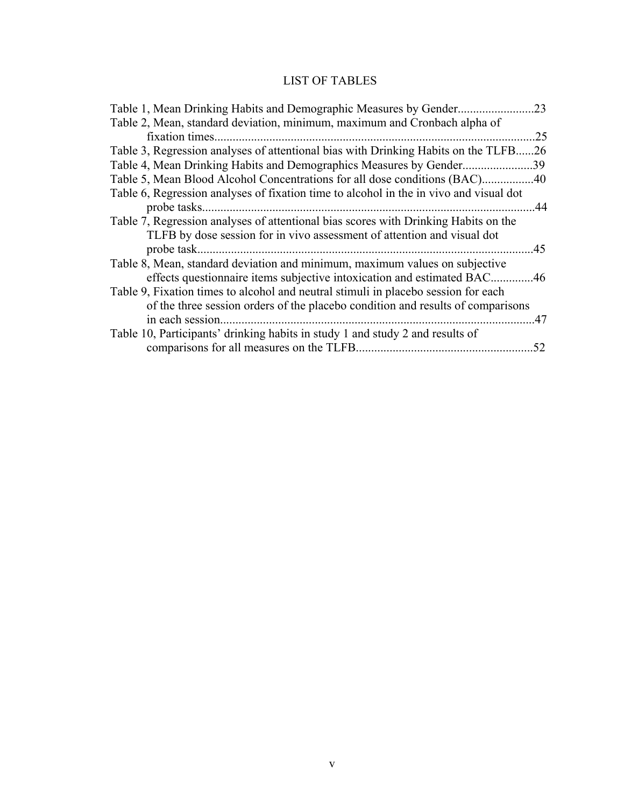# LIST OF TABLES

| Table 1, Mean Drinking Habits and Demographic Measures by Gender                       | .23  |
|----------------------------------------------------------------------------------------|------|
| Table 2, Mean, standard deviation, minimum, maximum and Cronbach alpha of              |      |
|                                                                                        | .25  |
| Table 3, Regression analyses of attentional bias with Drinking Habits on the TLFB      | .26  |
| Table 4, Mean Drinking Habits and Demographics Measures by Gender39                    |      |
| Table 5, Mean Blood Alcohol Concentrations for all dose conditions (BAC)40             |      |
| Table 6, Regression analyses of fixation time to alcohol in the in vivo and visual dot |      |
|                                                                                        | . 44 |
| Table 7, Regression analyses of attentional bias scores with Drinking Habits on the    |      |
| TLFB by dose session for in vivo assessment of attention and visual dot                |      |
|                                                                                        |      |
| Table 8, Mean, standard deviation and minimum, maximum values on subjective            |      |
| effects questionnaire items subjective intoxication and estimated BAC46                |      |
| Table 9, Fixation times to alcohol and neutral stimuli in placebo session for each     |      |
| of the three session orders of the placebo condition and results of comparisons        |      |
| in each session.                                                                       | .47  |
| Table 10, Participants' drinking habits in study 1 and study 2 and results of          |      |
|                                                                                        | 52   |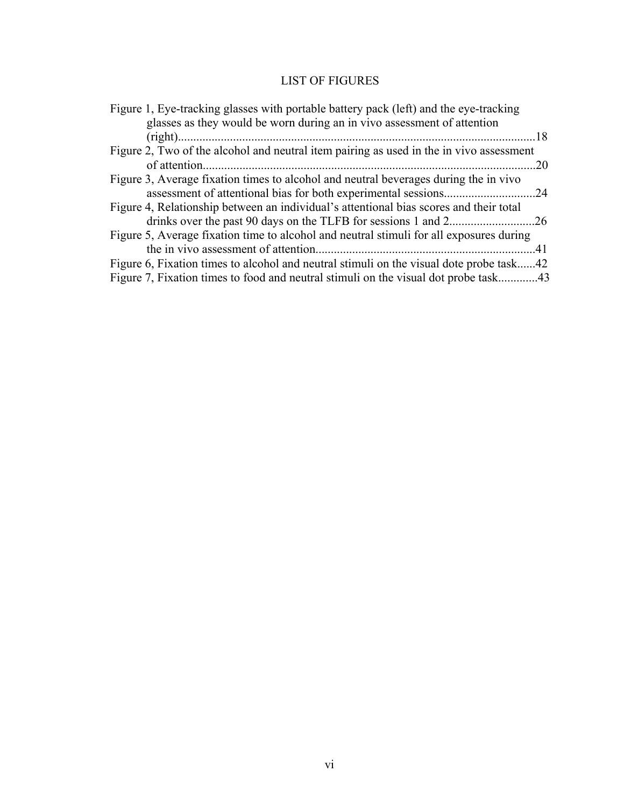# LIST OF FIGURES

| Figure 1, Eye-tracking glasses with portable battery pack (left) and the eye-tracking   |  |
|-----------------------------------------------------------------------------------------|--|
| glasses as they would be worn during an in vivo assessment of attention                 |  |
|                                                                                         |  |
| Figure 2, Two of the alcohol and neutral item pairing as used in the in vivo assessment |  |
| .20                                                                                     |  |
| Figure 3, Average fixation times to alcohol and neutral beverages during the in vivo    |  |
|                                                                                         |  |
| Figure 4, Relationship between an individual's attentional bias scores and their total  |  |
|                                                                                         |  |
| Figure 5, Average fixation time to alcohol and neutral stimuli for all exposures during |  |
|                                                                                         |  |
| Figure 6, Fixation times to alcohol and neutral stimuli on the visual dote probe task42 |  |
| Figure 7, Fixation times to food and neutral stimuli on the visual dot probe task43     |  |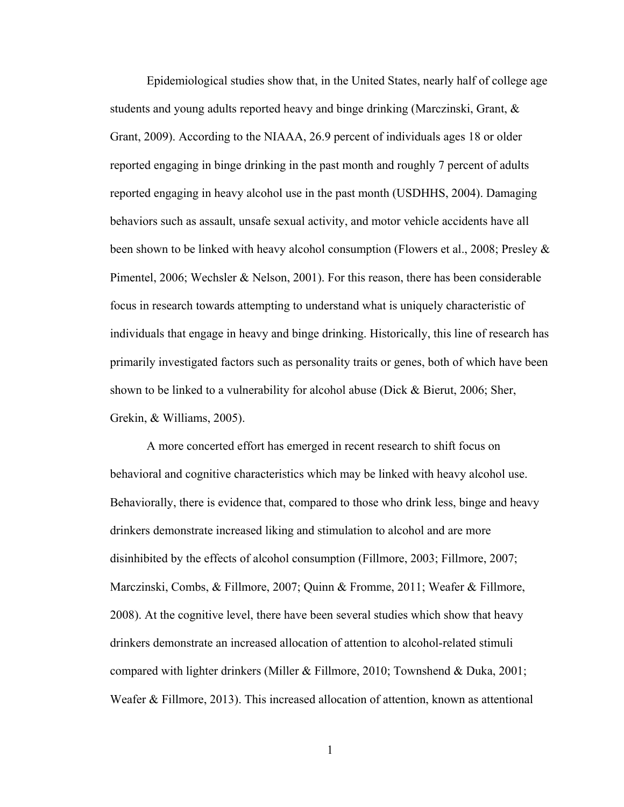Epidemiological studies show that, in the United States, nearly half of college age students and young adults reported heavy and binge drinking (Marczinski, Grant, & Grant, 2009). According to the NIAAA, 26.9 percent of individuals ages 18 or older reported engaging in binge drinking in the past month and roughly 7 percent of adults reported engaging in heavy alcohol use in the past month (USDHHS, 2004). Damaging behaviors such as assault, unsafe sexual activity, and motor vehicle accidents have all been shown to be linked with heavy alcohol consumption (Flowers et al., 2008; Presley & Pimentel, 2006; Wechsler & Nelson, 2001). For this reason, there has been considerable focus in research towards attempting to understand what is uniquely characteristic of individuals that engage in heavy and binge drinking. Historically, this line of research has primarily investigated factors such as personality traits or genes, both of which have been shown to be linked to a vulnerability for alcohol abuse (Dick & Bierut, 2006; Sher, Grekin, & Williams, 2005).

A more concerted effort has emerged in recent research to shift focus on behavioral and cognitive characteristics which may be linked with heavy alcohol use. Behaviorally, there is evidence that, compared to those who drink less, binge and heavy drinkers demonstrate increased liking and stimulation to alcohol and are more disinhibited by the effects of alcohol consumption (Fillmore, 2003; Fillmore, 2007; Marczinski, Combs, & Fillmore, 2007; Quinn & Fromme, 2011; Weafer & Fillmore, 2008). At the cognitive level, there have been several studies which show that heavy drinkers demonstrate an increased allocation of attention to alcohol-related stimuli compared with lighter drinkers (Miller & Fillmore, 2010; Townshend & Duka, 2001; Weafer & Fillmore, 2013). This increased allocation of attention, known as attentional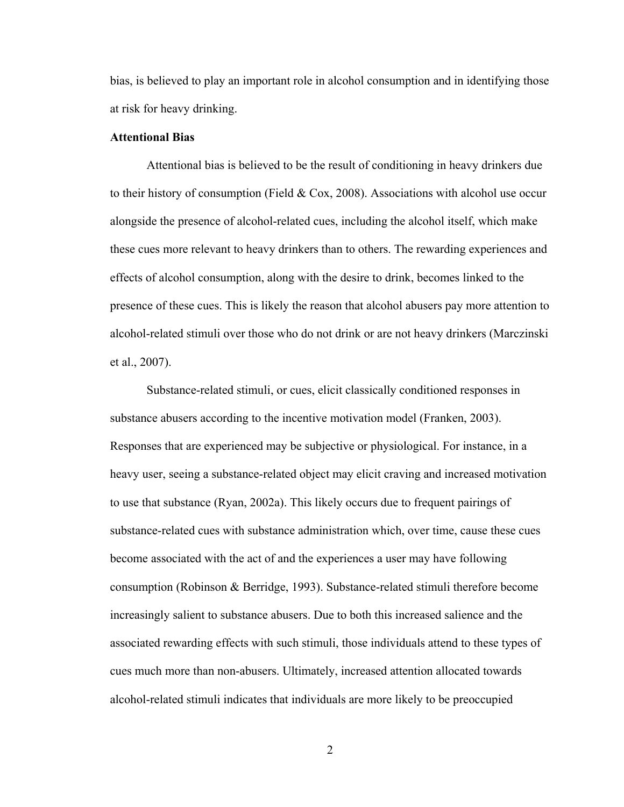bias, is believed to play an important role in alcohol consumption and in identifying those at risk for heavy drinking.

# **Attentional Bias**

Attentional bias is believed to be the result of conditioning in heavy drinkers due to their history of consumption (Field & Cox, 2008). Associations with alcohol use occur alongside the presence of alcohol-related cues, including the alcohol itself, which make these cues more relevant to heavy drinkers than to others. The rewarding experiences and effects of alcohol consumption, along with the desire to drink, becomes linked to the presence of these cues. This is likely the reason that alcohol abusers pay more attention to alcohol-related stimuli over those who do not drink or are not heavy drinkers (Marczinski et al., 2007).

Substance-related stimuli, or cues, elicit classically conditioned responses in substance abusers according to the incentive motivation model (Franken, 2003). Responses that are experienced may be subjective or physiological. For instance, in a heavy user, seeing a substance-related object may elicit craving and increased motivation to use that substance (Ryan, 2002a). This likely occurs due to frequent pairings of substance-related cues with substance administration which, over time, cause these cues become associated with the act of and the experiences a user may have following consumption (Robinson & Berridge, 1993). Substance-related stimuli therefore become increasingly salient to substance abusers. Due to both this increased salience and the associated rewarding effects with such stimuli, those individuals attend to these types of cues much more than non-abusers. Ultimately, increased attention allocated towards alcohol-related stimuli indicates that individuals are more likely to be preoccupied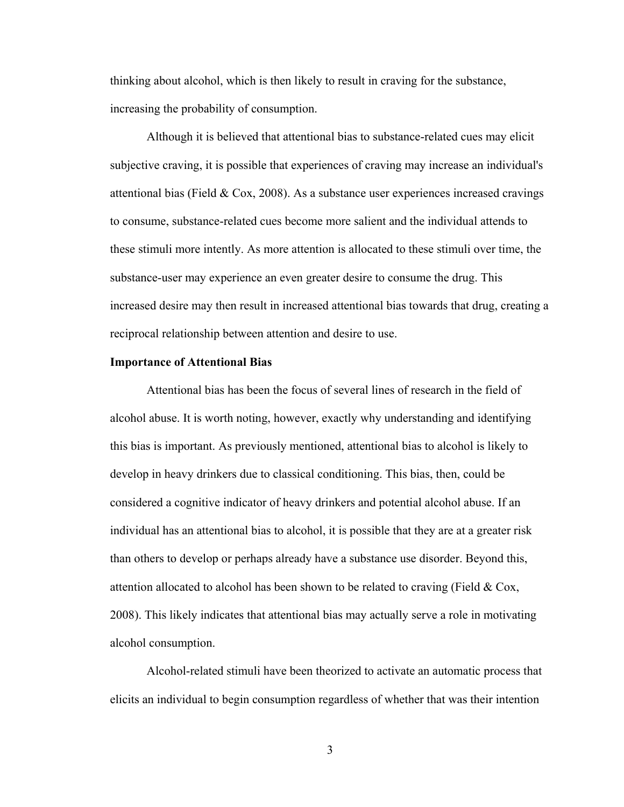thinking about alcohol, which is then likely to result in craving for the substance, increasing the probability of consumption.

 Although it is believed that attentional bias to substance-related cues may elicit subjective craving, it is possible that experiences of craving may increase an individual's attentional bias (Field & Cox, 2008). As a substance user experiences increased cravings to consume, substance-related cues become more salient and the individual attends to these stimuli more intently. As more attention is allocated to these stimuli over time, the substance-user may experience an even greater desire to consume the drug. This increased desire may then result in increased attentional bias towards that drug, creating a reciprocal relationship between attention and desire to use.

#### **Importance of Attentional Bias**

 Attentional bias has been the focus of several lines of research in the field of alcohol abuse. It is worth noting, however, exactly why understanding and identifying this bias is important. As previously mentioned, attentional bias to alcohol is likely to develop in heavy drinkers due to classical conditioning. This bias, then, could be considered a cognitive indicator of heavy drinkers and potential alcohol abuse. If an individual has an attentional bias to alcohol, it is possible that they are at a greater risk than others to develop or perhaps already have a substance use disorder. Beyond this, attention allocated to alcohol has been shown to be related to craving (Field  $& \text{Cox}$ , 2008). This likely indicates that attentional bias may actually serve a role in motivating alcohol consumption.

 Alcohol-related stimuli have been theorized to activate an automatic process that elicits an individual to begin consumption regardless of whether that was their intention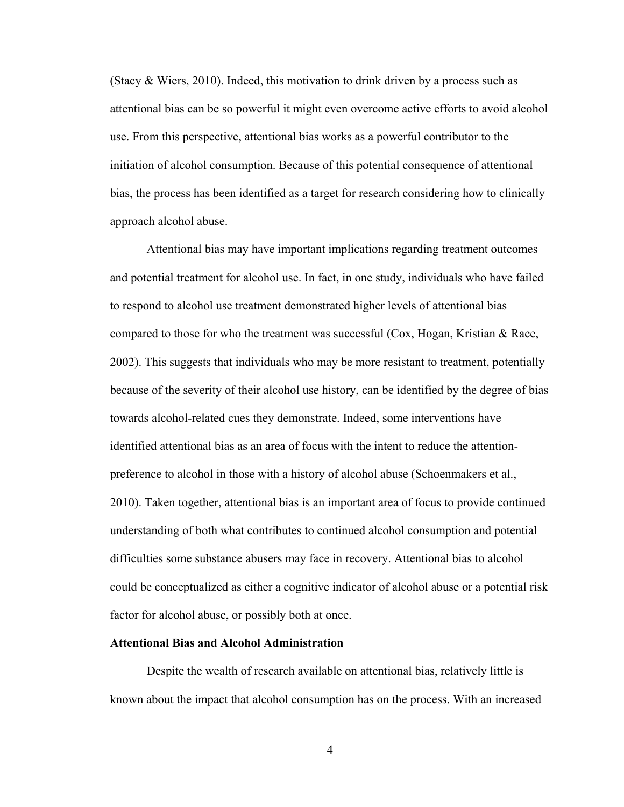(Stacy & Wiers, 2010). Indeed, this motivation to drink driven by a process such as attentional bias can be so powerful it might even overcome active efforts to avoid alcohol use. From this perspective, attentional bias works as a powerful contributor to the initiation of alcohol consumption. Because of this potential consequence of attentional bias, the process has been identified as a target for research considering how to clinically approach alcohol abuse.

 Attentional bias may have important implications regarding treatment outcomes and potential treatment for alcohol use. In fact, in one study, individuals who have failed to respond to alcohol use treatment demonstrated higher levels of attentional bias compared to those for who the treatment was successful (Cox, Hogan, Kristian & Race, 2002). This suggests that individuals who may be more resistant to treatment, potentially because of the severity of their alcohol use history, can be identified by the degree of bias towards alcohol-related cues they demonstrate. Indeed, some interventions have identified attentional bias as an area of focus with the intent to reduce the attentionpreference to alcohol in those with a history of alcohol abuse (Schoenmakers et al., 2010). Taken together, attentional bias is an important area of focus to provide continued understanding of both what contributes to continued alcohol consumption and potential difficulties some substance abusers may face in recovery. Attentional bias to alcohol could be conceptualized as either a cognitive indicator of alcohol abuse or a potential risk factor for alcohol abuse, or possibly both at once.

#### **Attentional Bias and Alcohol Administration**

 Despite the wealth of research available on attentional bias, relatively little is known about the impact that alcohol consumption has on the process. With an increased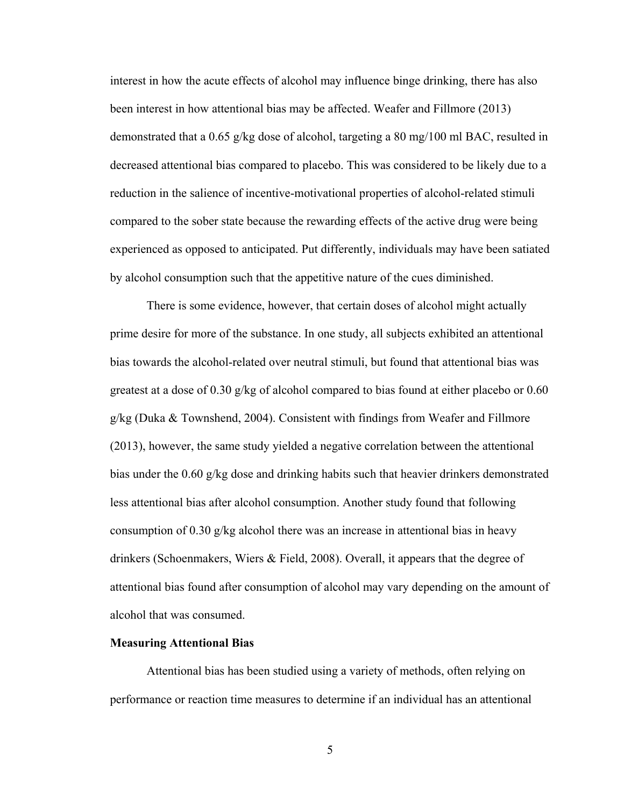interest in how the acute effects of alcohol may influence binge drinking, there has also been interest in how attentional bias may be affected. Weafer and Fillmore (2013) demonstrated that a 0.65 g/kg dose of alcohol, targeting a 80 mg/100 ml BAC, resulted in decreased attentional bias compared to placebo. This was considered to be likely due to a reduction in the salience of incentive-motivational properties of alcohol-related stimuli compared to the sober state because the rewarding effects of the active drug were being experienced as opposed to anticipated. Put differently, individuals may have been satiated by alcohol consumption such that the appetitive nature of the cues diminished.

 There is some evidence, however, that certain doses of alcohol might actually prime desire for more of the substance. In one study, all subjects exhibited an attentional bias towards the alcohol-related over neutral stimuli, but found that attentional bias was greatest at a dose of 0.30 g/kg of alcohol compared to bias found at either placebo or 0.60 g/kg (Duka & Townshend, 2004). Consistent with findings from Weafer and Fillmore (2013), however, the same study yielded a negative correlation between the attentional bias under the 0.60 g/kg dose and drinking habits such that heavier drinkers demonstrated less attentional bias after alcohol consumption. Another study found that following consumption of 0.30 g/kg alcohol there was an increase in attentional bias in heavy drinkers (Schoenmakers, Wiers & Field, 2008). Overall, it appears that the degree of attentional bias found after consumption of alcohol may vary depending on the amount of alcohol that was consumed.

### **Measuring Attentional Bias**

 Attentional bias has been studied using a variety of methods, often relying on performance or reaction time measures to determine if an individual has an attentional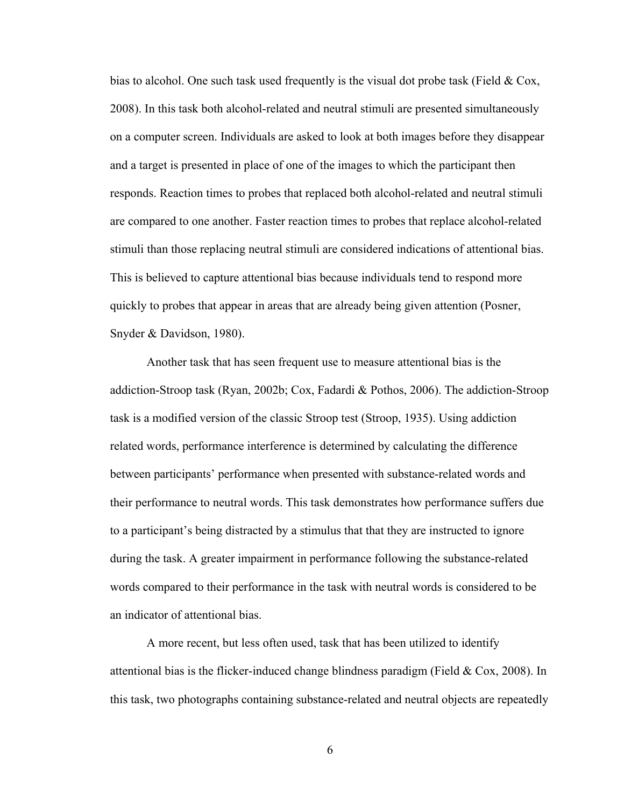bias to alcohol. One such task used frequently is the visual dot probe task (Field  $\&$  Cox, 2008). In this task both alcohol-related and neutral stimuli are presented simultaneously on a computer screen. Individuals are asked to look at both images before they disappear and a target is presented in place of one of the images to which the participant then responds. Reaction times to probes that replaced both alcohol-related and neutral stimuli are compared to one another. Faster reaction times to probes that replace alcohol-related stimuli than those replacing neutral stimuli are considered indications of attentional bias. This is believed to capture attentional bias because individuals tend to respond more quickly to probes that appear in areas that are already being given attention (Posner, Snyder & Davidson, 1980).

 Another task that has seen frequent use to measure attentional bias is the addiction-Stroop task (Ryan, 2002b; Cox, Fadardi & Pothos, 2006). The addiction-Stroop task is a modified version of the classic Stroop test (Stroop, 1935). Using addiction related words, performance interference is determined by calculating the difference between participants' performance when presented with substance-related words and their performance to neutral words. This task demonstrates how performance suffers due to a participant's being distracted by a stimulus that that they are instructed to ignore during the task. A greater impairment in performance following the substance-related words compared to their performance in the task with neutral words is considered to be an indicator of attentional bias.

 A more recent, but less often used, task that has been utilized to identify attentional bias is the flicker-induced change blindness paradigm (Field  $& Cox, 2008$ ). In this task, two photographs containing substance-related and neutral objects are repeatedly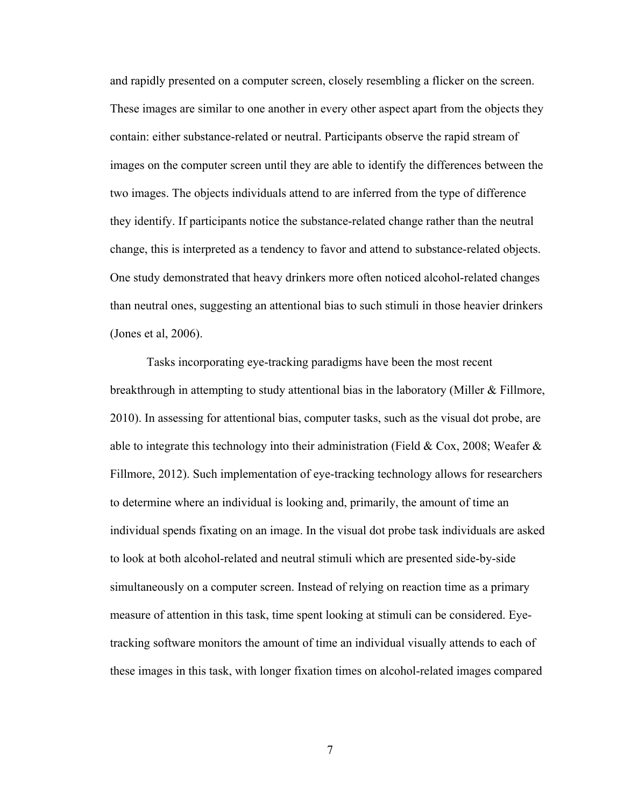and rapidly presented on a computer screen, closely resembling a flicker on the screen. These images are similar to one another in every other aspect apart from the objects they contain: either substance-related or neutral. Participants observe the rapid stream of images on the computer screen until they are able to identify the differences between the two images. The objects individuals attend to are inferred from the type of difference they identify. If participants notice the substance-related change rather than the neutral change, this is interpreted as a tendency to favor and attend to substance-related objects. One study demonstrated that heavy drinkers more often noticed alcohol-related changes than neutral ones, suggesting an attentional bias to such stimuli in those heavier drinkers (Jones et al, 2006).

Tasks incorporating eye-tracking paradigms have been the most recent breakthrough in attempting to study attentional bias in the laboratory (Miller & Fillmore, 2010). In assessing for attentional bias, computer tasks, such as the visual dot probe, are able to integrate this technology into their administration (Field & Cox, 2008; Weafer & Fillmore, 2012). Such implementation of eye-tracking technology allows for researchers to determine where an individual is looking and, primarily, the amount of time an individual spends fixating on an image. In the visual dot probe task individuals are asked to look at both alcohol-related and neutral stimuli which are presented side-by-side simultaneously on a computer screen. Instead of relying on reaction time as a primary measure of attention in this task, time spent looking at stimuli can be considered. Eyetracking software monitors the amount of time an individual visually attends to each of these images in this task, with longer fixation times on alcohol-related images compared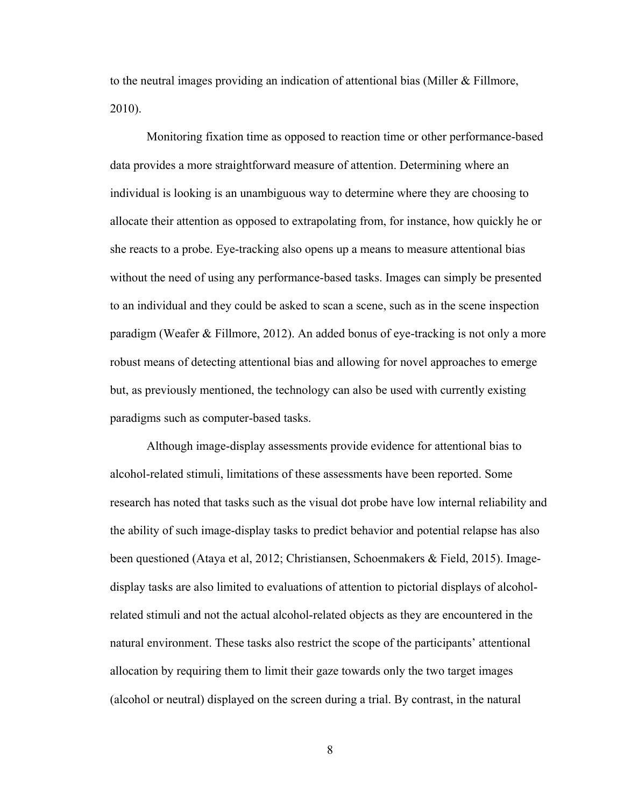to the neutral images providing an indication of attentional bias (Miller & Fillmore, 2010).

Monitoring fixation time as opposed to reaction time or other performance-based data provides a more straightforward measure of attention. Determining where an individual is looking is an unambiguous way to determine where they are choosing to allocate their attention as opposed to extrapolating from, for instance, how quickly he or she reacts to a probe. Eye-tracking also opens up a means to measure attentional bias without the need of using any performance-based tasks. Images can simply be presented to an individual and they could be asked to scan a scene, such as in the scene inspection paradigm (Weafer & Fillmore, 2012). An added bonus of eye-tracking is not only a more robust means of detecting attentional bias and allowing for novel approaches to emerge but, as previously mentioned, the technology can also be used with currently existing paradigms such as computer-based tasks.

Although image-display assessments provide evidence for attentional bias to alcohol-related stimuli, limitations of these assessments have been reported. Some research has noted that tasks such as the visual dot probe have low internal reliability and the ability of such image-display tasks to predict behavior and potential relapse has also been questioned (Ataya et al, 2012; Christiansen, Schoenmakers & Field, 2015). Imagedisplay tasks are also limited to evaluations of attention to pictorial displays of alcoholrelated stimuli and not the actual alcohol-related objects as they are encountered in the natural environment. These tasks also restrict the scope of the participants' attentional allocation by requiring them to limit their gaze towards only the two target images (alcohol or neutral) displayed on the screen during a trial. By contrast, in the natural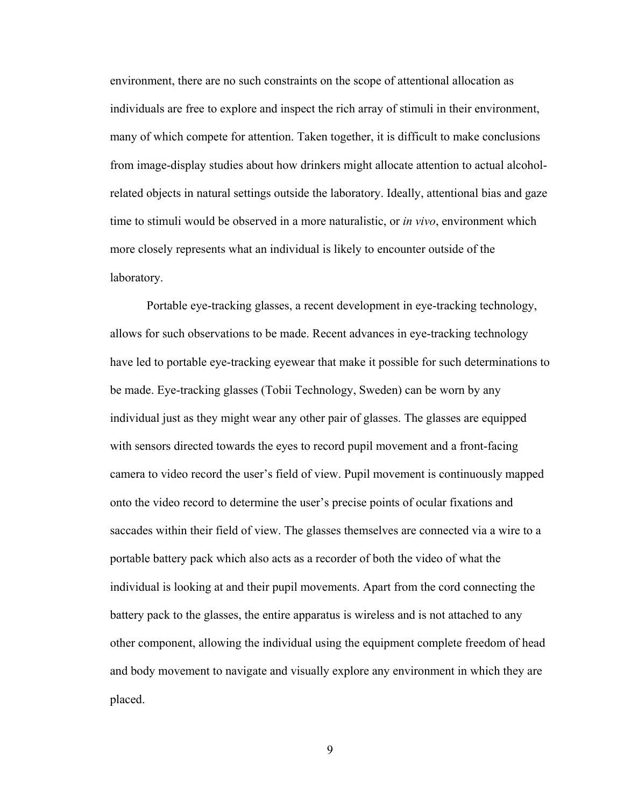environment, there are no such constraints on the scope of attentional allocation as individuals are free to explore and inspect the rich array of stimuli in their environment, many of which compete for attention. Taken together, it is difficult to make conclusions from image-display studies about how drinkers might allocate attention to actual alcoholrelated objects in natural settings outside the laboratory. Ideally, attentional bias and gaze time to stimuli would be observed in a more naturalistic, or *in vivo*, environment which more closely represents what an individual is likely to encounter outside of the laboratory.

Portable eye-tracking glasses, a recent development in eye-tracking technology, allows for such observations to be made. Recent advances in eye-tracking technology have led to portable eye-tracking eyewear that make it possible for such determinations to be made. Eye-tracking glasses (Tobii Technology, Sweden) can be worn by any individual just as they might wear any other pair of glasses. The glasses are equipped with sensors directed towards the eyes to record pupil movement and a front-facing camera to video record the user's field of view. Pupil movement is continuously mapped onto the video record to determine the user's precise points of ocular fixations and saccades within their field of view. The glasses themselves are connected via a wire to a portable battery pack which also acts as a recorder of both the video of what the individual is looking at and their pupil movements. Apart from the cord connecting the battery pack to the glasses, the entire apparatus is wireless and is not attached to any other component, allowing the individual using the equipment complete freedom of head and body movement to navigate and visually explore any environment in which they are placed.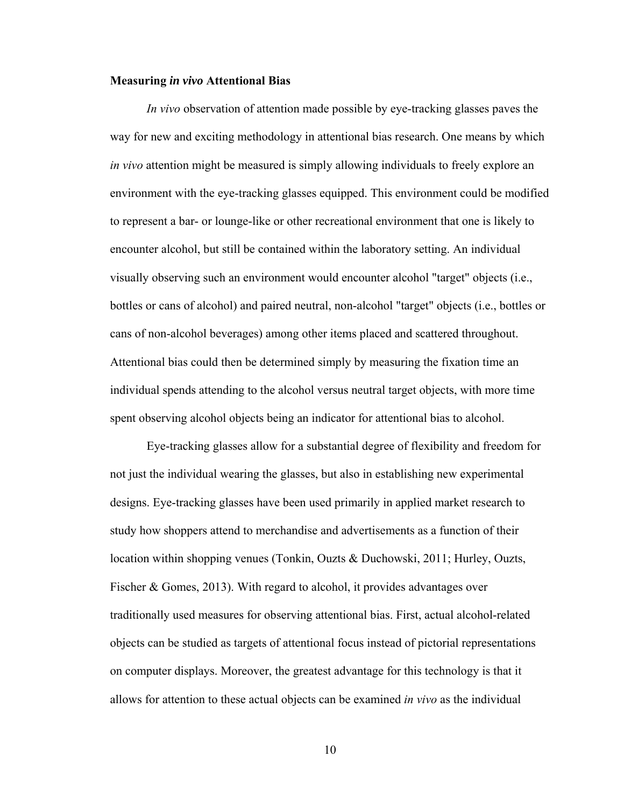#### **Measuring** *in vivo* **Attentional Bias**

*In vivo* observation of attention made possible by eye-tracking glasses paves the way for new and exciting methodology in attentional bias research. One means by which *in vivo* attention might be measured is simply allowing individuals to freely explore an environment with the eye-tracking glasses equipped. This environment could be modified to represent a bar- or lounge-like or other recreational environment that one is likely to encounter alcohol, but still be contained within the laboratory setting. An individual visually observing such an environment would encounter alcohol "target" objects (i.e., bottles or cans of alcohol) and paired neutral, non-alcohol "target" objects (i.e., bottles or cans of non-alcohol beverages) among other items placed and scattered throughout. Attentional bias could then be determined simply by measuring the fixation time an individual spends attending to the alcohol versus neutral target objects, with more time spent observing alcohol objects being an indicator for attentional bias to alcohol.

Eye-tracking glasses allow for a substantial degree of flexibility and freedom for not just the individual wearing the glasses, but also in establishing new experimental designs. Eye-tracking glasses have been used primarily in applied market research to study how shoppers attend to merchandise and advertisements as a function of their location within shopping venues (Tonkin, Ouzts & Duchowski, 2011; Hurley, Ouzts, Fischer & Gomes, 2013). With regard to alcohol, it provides advantages over traditionally used measures for observing attentional bias. First, actual alcohol-related objects can be studied as targets of attentional focus instead of pictorial representations on computer displays. Moreover, the greatest advantage for this technology is that it allows for attention to these actual objects can be examined *in vivo* as the individual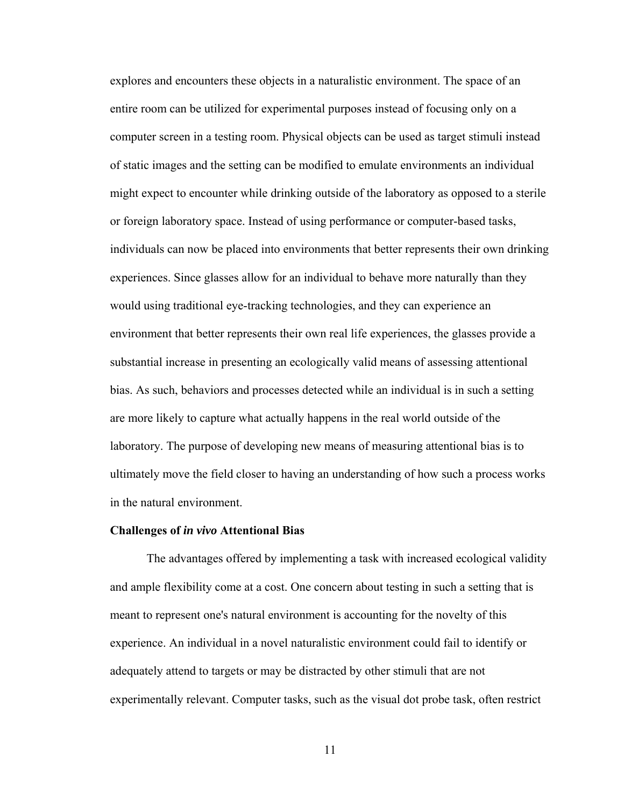explores and encounters these objects in a naturalistic environment. The space of an entire room can be utilized for experimental purposes instead of focusing only on a computer screen in a testing room. Physical objects can be used as target stimuli instead of static images and the setting can be modified to emulate environments an individual might expect to encounter while drinking outside of the laboratory as opposed to a sterile or foreign laboratory space. Instead of using performance or computer-based tasks, individuals can now be placed into environments that better represents their own drinking experiences. Since glasses allow for an individual to behave more naturally than they would using traditional eye-tracking technologies, and they can experience an environment that better represents their own real life experiences, the glasses provide a substantial increase in presenting an ecologically valid means of assessing attentional bias. As such, behaviors and processes detected while an individual is in such a setting are more likely to capture what actually happens in the real world outside of the laboratory. The purpose of developing new means of measuring attentional bias is to ultimately move the field closer to having an understanding of how such a process works in the natural environment.

#### **Challenges of** *in vivo* **Attentional Bias**

 The advantages offered by implementing a task with increased ecological validity and ample flexibility come at a cost. One concern about testing in such a setting that is meant to represent one's natural environment is accounting for the novelty of this experience. An individual in a novel naturalistic environment could fail to identify or adequately attend to targets or may be distracted by other stimuli that are not experimentally relevant. Computer tasks, such as the visual dot probe task, often restrict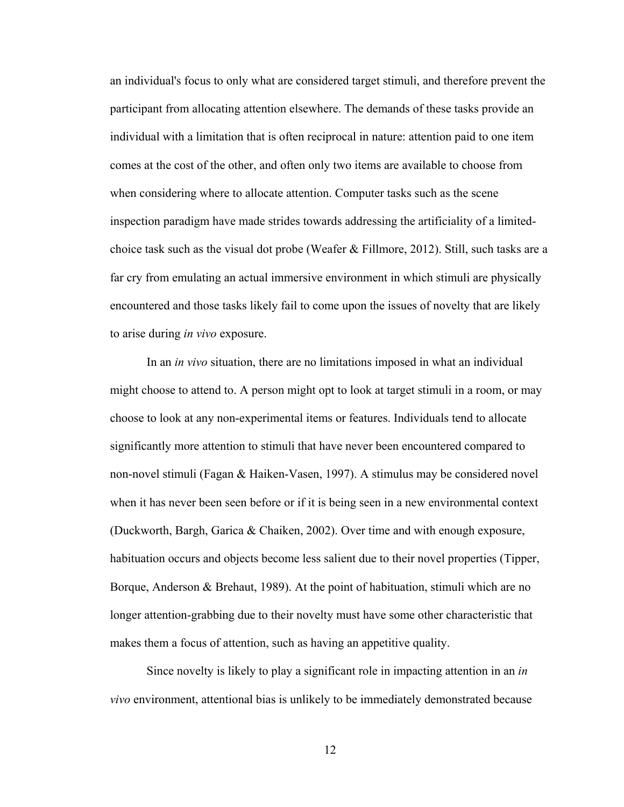an individual's focus to only what are considered target stimuli, and therefore prevent the participant from allocating attention elsewhere. The demands of these tasks provide an individual with a limitation that is often reciprocal in nature: attention paid to one item comes at the cost of the other, and often only two items are available to choose from when considering where to allocate attention. Computer tasks such as the scene inspection paradigm have made strides towards addressing the artificiality of a limitedchoice task such as the visual dot probe (Weafer & Fillmore, 2012). Still, such tasks are a far cry from emulating an actual immersive environment in which stimuli are physically encountered and those tasks likely fail to come upon the issues of novelty that are likely to arise during *in vivo* exposure.

In an *in vivo* situation, there are no limitations imposed in what an individual might choose to attend to. A person might opt to look at target stimuli in a room, or may choose to look at any non-experimental items or features. Individuals tend to allocate significantly more attention to stimuli that have never been encountered compared to non-novel stimuli (Fagan & Haiken-Vasen, 1997). A stimulus may be considered novel when it has never been seen before or if it is being seen in a new environmental context (Duckworth, Bargh, Garica & Chaiken, 2002). Over time and with enough exposure, habituation occurs and objects become less salient due to their novel properties (Tipper, Borque, Anderson & Brehaut, 1989). At the point of habituation, stimuli which are no longer attention-grabbing due to their novelty must have some other characteristic that makes them a focus of attention, such as having an appetitive quality.

Since novelty is likely to play a significant role in impacting attention in an *in vivo* environment, attentional bias is unlikely to be immediately demonstrated because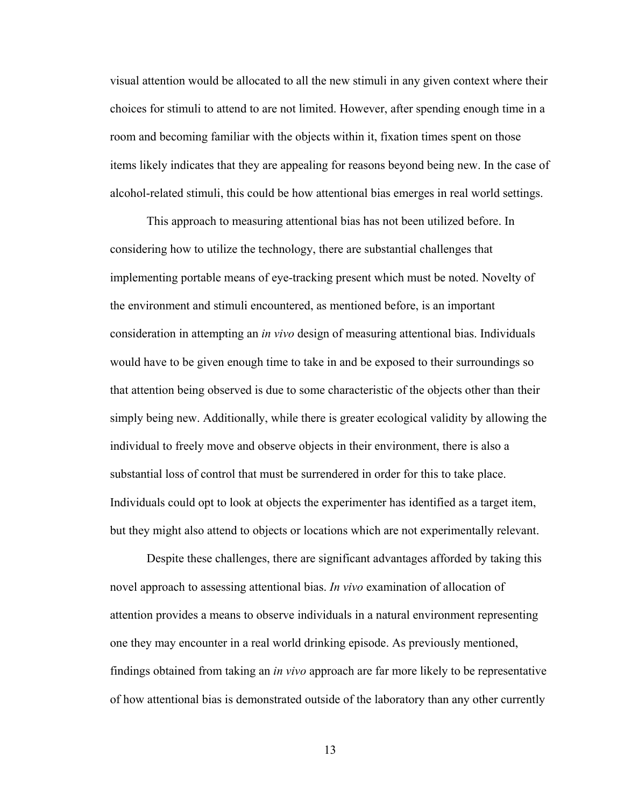visual attention would be allocated to all the new stimuli in any given context where their choices for stimuli to attend to are not limited. However, after spending enough time in a room and becoming familiar with the objects within it, fixation times spent on those items likely indicates that they are appealing for reasons beyond being new. In the case of alcohol-related stimuli, this could be how attentional bias emerges in real world settings.

This approach to measuring attentional bias has not been utilized before. In considering how to utilize the technology, there are substantial challenges that implementing portable means of eye-tracking present which must be noted. Novelty of the environment and stimuli encountered, as mentioned before, is an important consideration in attempting an *in vivo* design of measuring attentional bias. Individuals would have to be given enough time to take in and be exposed to their surroundings so that attention being observed is due to some characteristic of the objects other than their simply being new. Additionally, while there is greater ecological validity by allowing the individual to freely move and observe objects in their environment, there is also a substantial loss of control that must be surrendered in order for this to take place. Individuals could opt to look at objects the experimenter has identified as a target item, but they might also attend to objects or locations which are not experimentally relevant.

Despite these challenges, there are significant advantages afforded by taking this novel approach to assessing attentional bias. *In vivo* examination of allocation of attention provides a means to observe individuals in a natural environment representing one they may encounter in a real world drinking episode. As previously mentioned, findings obtained from taking an *in vivo* approach are far more likely to be representative of how attentional bias is demonstrated outside of the laboratory than any other currently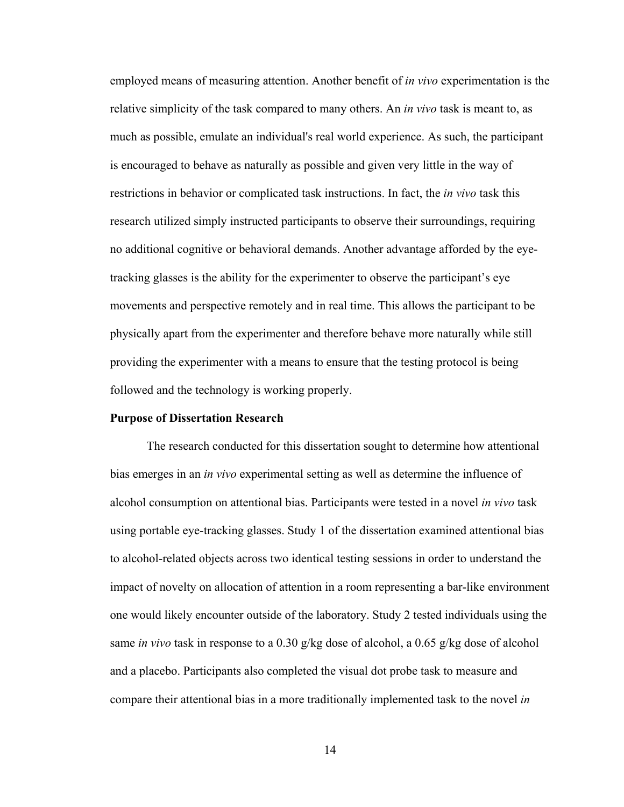employed means of measuring attention. Another benefit of *in vivo* experimentation is the relative simplicity of the task compared to many others. An *in vivo* task is meant to, as much as possible, emulate an individual's real world experience. As such, the participant is encouraged to behave as naturally as possible and given very little in the way of restrictions in behavior or complicated task instructions. In fact, the *in vivo* task this research utilized simply instructed participants to observe their surroundings, requiring no additional cognitive or behavioral demands. Another advantage afforded by the eyetracking glasses is the ability for the experimenter to observe the participant's eye movements and perspective remotely and in real time. This allows the participant to be physically apart from the experimenter and therefore behave more naturally while still providing the experimenter with a means to ensure that the testing protocol is being followed and the technology is working properly.

#### **Purpose of Dissertation Research**

The research conducted for this dissertation sought to determine how attentional bias emerges in an *in vivo* experimental setting as well as determine the influence of alcohol consumption on attentional bias. Participants were tested in a novel *in vivo* task using portable eye-tracking glasses. Study 1 of the dissertation examined attentional bias to alcohol-related objects across two identical testing sessions in order to understand the impact of novelty on allocation of attention in a room representing a bar-like environment one would likely encounter outside of the laboratory. Study 2 tested individuals using the same *in vivo* task in response to a 0.30 g/kg dose of alcohol, a 0.65 g/kg dose of alcohol and a placebo. Participants also completed the visual dot probe task to measure and compare their attentional bias in a more traditionally implemented task to the novel *in*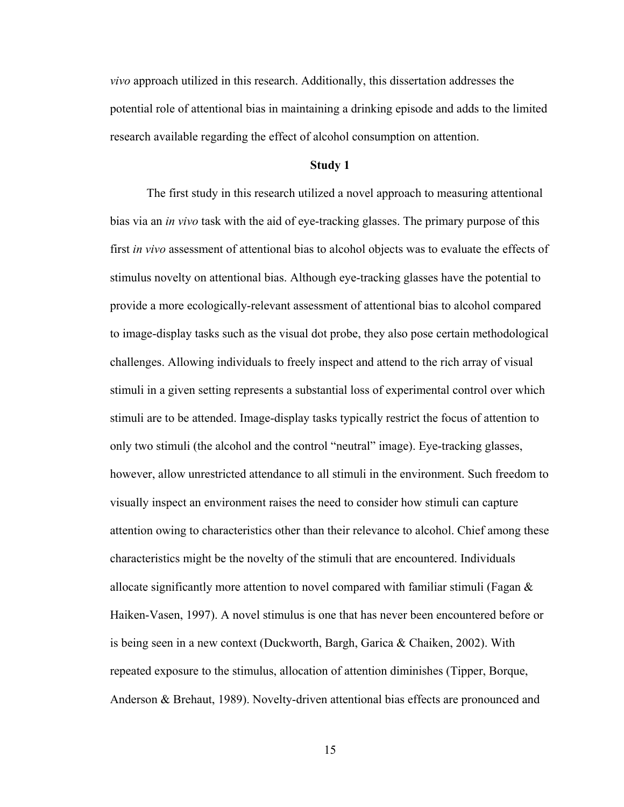*vivo* approach utilized in this research. Additionally, this dissertation addresses the potential role of attentional bias in maintaining a drinking episode and adds to the limited research available regarding the effect of alcohol consumption on attention.

#### **Study 1**

The first study in this research utilized a novel approach to measuring attentional bias via an *in vivo* task with the aid of eye-tracking glasses. The primary purpose of this first *in vivo* assessment of attentional bias to alcohol objects was to evaluate the effects of stimulus novelty on attentional bias. Although eye-tracking glasses have the potential to provide a more ecologically-relevant assessment of attentional bias to alcohol compared to image-display tasks such as the visual dot probe, they also pose certain methodological challenges. Allowing individuals to freely inspect and attend to the rich array of visual stimuli in a given setting represents a substantial loss of experimental control over which stimuli are to be attended. Image-display tasks typically restrict the focus of attention to only two stimuli (the alcohol and the control "neutral" image). Eye-tracking glasses, however, allow unrestricted attendance to all stimuli in the environment. Such freedom to visually inspect an environment raises the need to consider how stimuli can capture attention owing to characteristics other than their relevance to alcohol. Chief among these characteristics might be the novelty of the stimuli that are encountered. Individuals allocate significantly more attention to novel compared with familiar stimuli (Fagan  $\&$ Haiken-Vasen, 1997). A novel stimulus is one that has never been encountered before or is being seen in a new context (Duckworth, Bargh, Garica & Chaiken, 2002). With repeated exposure to the stimulus, allocation of attention diminishes (Tipper, Borque, Anderson & Brehaut, 1989). Novelty-driven attentional bias effects are pronounced and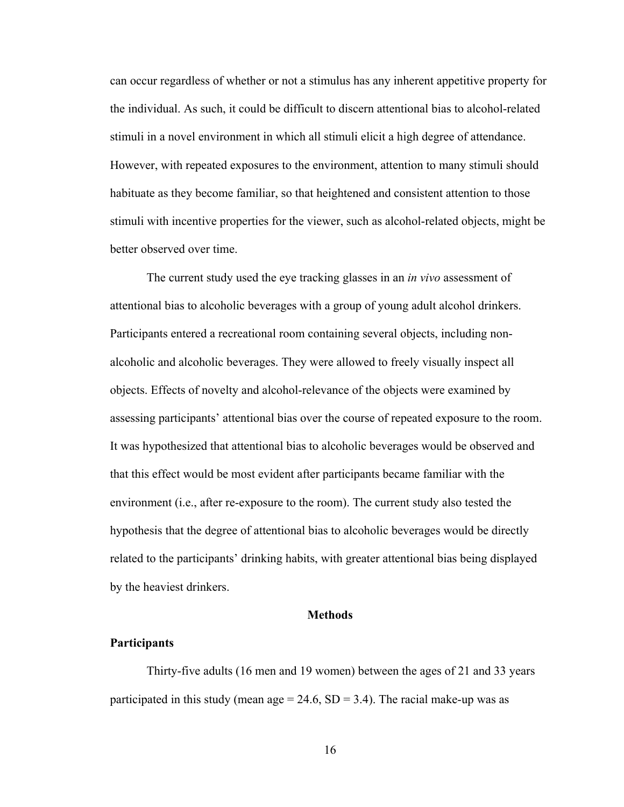can occur regardless of whether or not a stimulus has any inherent appetitive property for the individual. As such, it could be difficult to discern attentional bias to alcohol-related stimuli in a novel environment in which all stimuli elicit a high degree of attendance. However, with repeated exposures to the environment, attention to many stimuli should habituate as they become familiar, so that heightened and consistent attention to those stimuli with incentive properties for the viewer, such as alcohol-related objects, might be better observed over time.

The current study used the eye tracking glasses in an *in vivo* assessment of attentional bias to alcoholic beverages with a group of young adult alcohol drinkers. Participants entered a recreational room containing several objects, including nonalcoholic and alcoholic beverages. They were allowed to freely visually inspect all objects. Effects of novelty and alcohol-relevance of the objects were examined by assessing participants' attentional bias over the course of repeated exposure to the room. It was hypothesized that attentional bias to alcoholic beverages would be observed and that this effect would be most evident after participants became familiar with the environment (i.e., after re-exposure to the room). The current study also tested the hypothesis that the degree of attentional bias to alcoholic beverages would be directly related to the participants' drinking habits, with greater attentional bias being displayed by the heaviest drinkers.

### **Methods**

#### **Participants**

Thirty-five adults (16 men and 19 women) between the ages of 21 and 33 years participated in this study (mean age  $= 24.6$ , SD  $= 3.4$ ). The racial make-up was as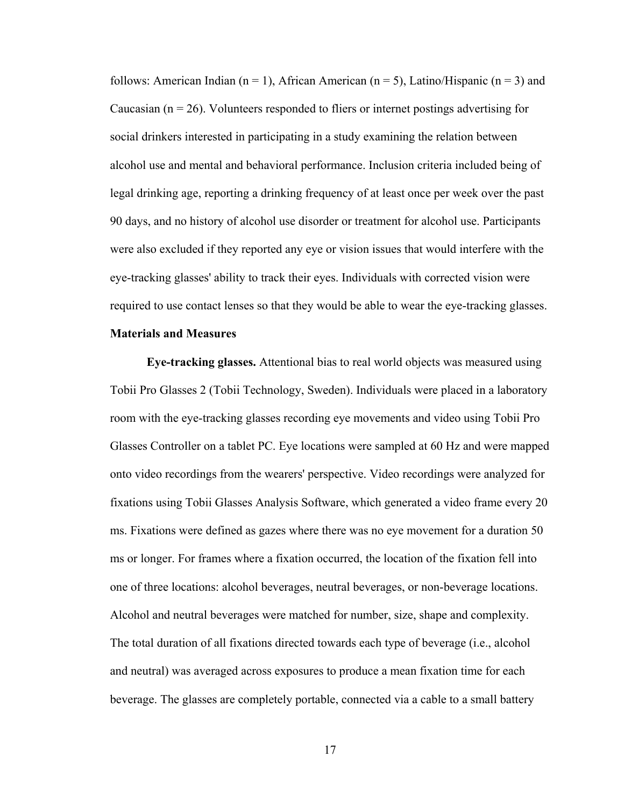follows: American Indian (n = 1), African American (n = 5), Latino/Hispanic (n = 3) and Caucasian  $(n = 26)$ . Volunteers responded to fliers or internet postings advertising for social drinkers interested in participating in a study examining the relation between alcohol use and mental and behavioral performance. Inclusion criteria included being of legal drinking age, reporting a drinking frequency of at least once per week over the past 90 days, and no history of alcohol use disorder or treatment for alcohol use. Participants were also excluded if they reported any eye or vision issues that would interfere with the eye-tracking glasses' ability to track their eyes. Individuals with corrected vision were required to use contact lenses so that they would be able to wear the eye-tracking glasses.

# **Materials and Measures**

**Eye-tracking glasses.** Attentional bias to real world objects was measured using Tobii Pro Glasses 2 (Tobii Technology, Sweden). Individuals were placed in a laboratory room with the eye-tracking glasses recording eye movements and video using Tobii Pro Glasses Controller on a tablet PC. Eye locations were sampled at 60 Hz and were mapped onto video recordings from the wearers' perspective. Video recordings were analyzed for fixations using Tobii Glasses Analysis Software, which generated a video frame every 20 ms. Fixations were defined as gazes where there was no eye movement for a duration 50 ms or longer. For frames where a fixation occurred, the location of the fixation fell into one of three locations: alcohol beverages, neutral beverages, or non-beverage locations. Alcohol and neutral beverages were matched for number, size, shape and complexity. The total duration of all fixations directed towards each type of beverage (i.e., alcohol and neutral) was averaged across exposures to produce a mean fixation time for each beverage. The glasses are completely portable, connected via a cable to a small battery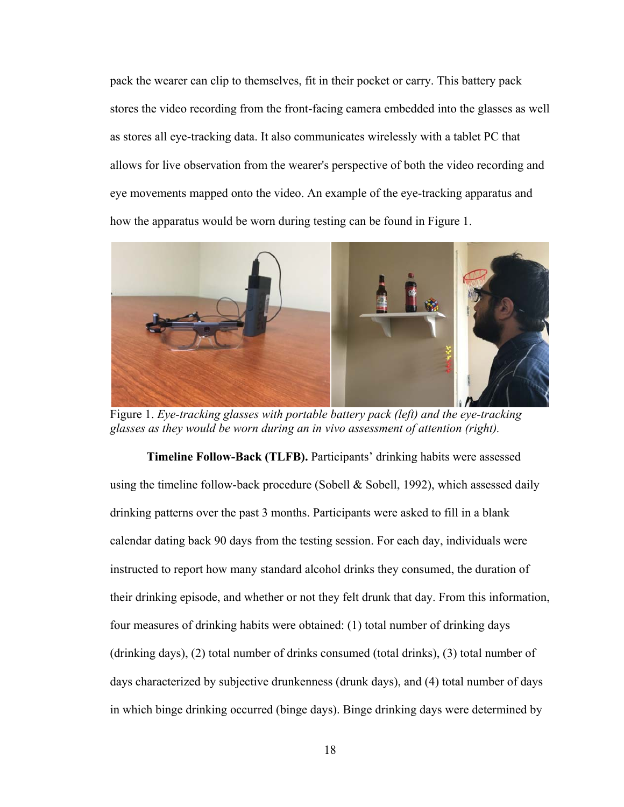pack the wearer can clip to themselves, fit in their pocket or carry. This battery pack stores the video recording from the front-facing camera embedded into the glasses as well as stores all eye-tracking data. It also communicates wirelessly with a tablet PC that allows for live observation from the wearer's perspective of both the video recording and eye movements mapped onto the video. An example of the eye-tracking apparatus and how the apparatus would be worn during testing can be found in Figure 1.



Figure 1. *Eye-tracking glasses with portable battery pack (left) and the eye-tracking glasses as they would be worn during an in vivo assessment of attention (right).*

**Timeline Follow-Back (TLFB).** Participants' drinking habits were assessed using the timeline follow-back procedure (Sobell  $&$  Sobell, 1992), which assessed daily drinking patterns over the past 3 months. Participants were asked to fill in a blank calendar dating back 90 days from the testing session. For each day, individuals were instructed to report how many standard alcohol drinks they consumed, the duration of their drinking episode, and whether or not they felt drunk that day. From this information, four measures of drinking habits were obtained: (1) total number of drinking days (drinking days), (2) total number of drinks consumed (total drinks), (3) total number of days characterized by subjective drunkenness (drunk days), and (4) total number of days in which binge drinking occurred (binge days). Binge drinking days were determined by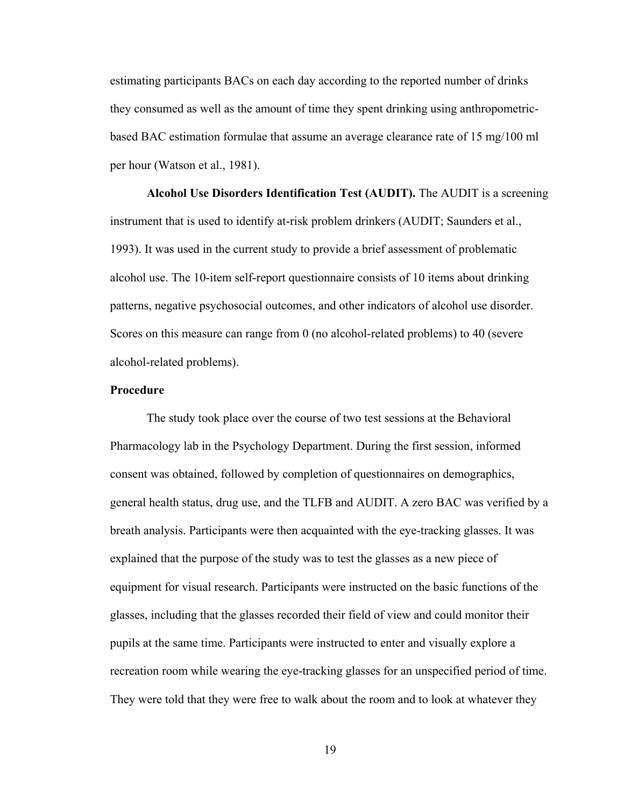estimating participants BACs on each day according to the reported number of drinks they consumed as well as the amount of time they spent drinking using anthropometricbased BAC estimation formulae that assume an average clearance rate of 15 mg/100 ml per hour (Watson et al., 1981).

**Alcohol Use Disorders Identification Test (AUDIT).** The AUDIT is a screening instrument that is used to identify at-risk problem drinkers (AUDIT; Saunders et al., 1993). It was used in the current study to provide a brief assessment of problematic alcohol use. The 10-item self-report questionnaire consists of 10 items about drinking patterns, negative psychosocial outcomes, and other indicators of alcohol use disorder. Scores on this measure can range from 0 (no alcohol-related problems) to 40 (severe alcohol-related problems).

# **Procedure**

 The study took place over the course of two test sessions at the Behavioral Pharmacology lab in the Psychology Department. During the first session, informed consent was obtained, followed by completion of questionnaires on demographics, general health status, drug use, and the TLFB and AUDIT. A zero BAC was verified by a breath analysis. Participants were then acquainted with the eye-tracking glasses. It was explained that the purpose of the study was to test the glasses as a new piece of equipment for visual research. Participants were instructed on the basic functions of the glasses, including that the glasses recorded their field of view and could monitor their pupils at the same time. Participants were instructed to enter and visually explore a recreation room while wearing the eye-tracking glasses for an unspecified period of time. They were told that they were free to walk about the room and to look at whatever they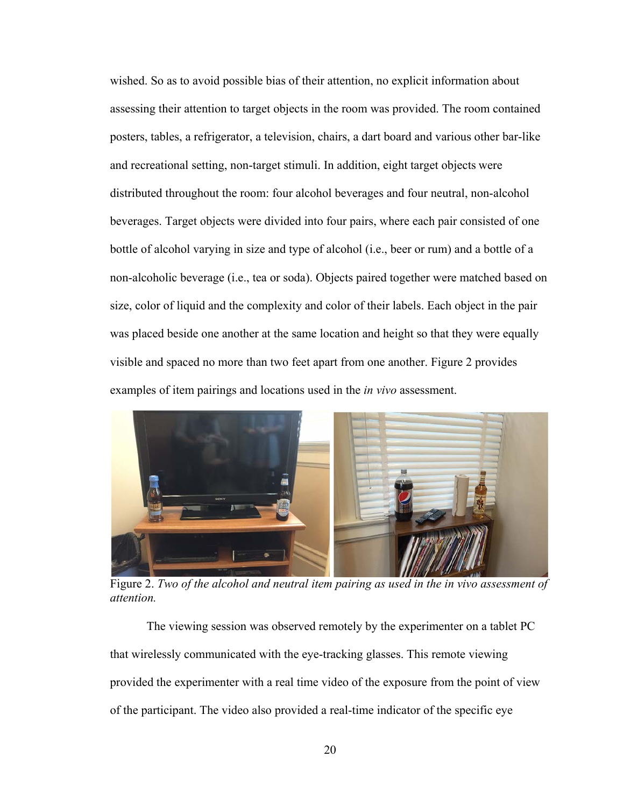wished. So as to avoid possible bias of their attention, no explicit information about assessing their attention to target objects in the room was provided. The room contained posters, tables, a refrigerator, a television, chairs, a dart board and various other bar-like and recreational setting, non-target stimuli. In addition, eight target objects were distributed throughout the room: four alcohol beverages and four neutral, non-alcohol beverages. Target objects were divided into four pairs, where each pair consisted of one bottle of alcohol varying in size and type of alcohol (i.e., beer or rum) and a bottle of a non-alcoholic beverage (i.e., tea or soda). Objects paired together were matched based on size, color of liquid and the complexity and color of their labels. Each object in the pair was placed beside one another at the same location and height so that they were equally visible and spaced no more than two feet apart from one another. Figure 2 provides examples of item pairings and locations used in the *in vivo* assessment.



Figure 2. *Two of the alcohol and neutral item pairing as used in the in vivo assessment of attention.*

The viewing session was observed remotely by the experimenter on a tablet PC that wirelessly communicated with the eye-tracking glasses. This remote viewing provided the experimenter with a real time video of the exposure from the point of view of the participant. The video also provided a real-time indicator of the specific eye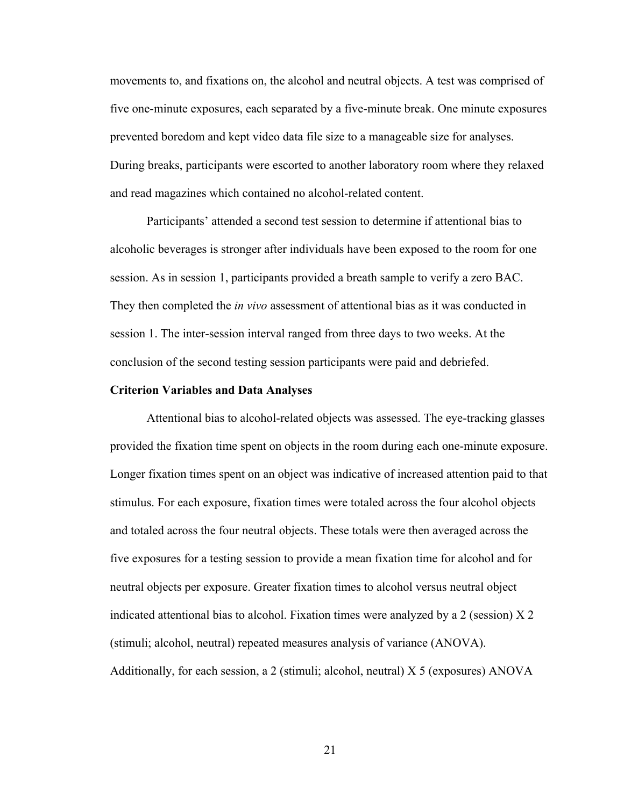movements to, and fixations on, the alcohol and neutral objects. A test was comprised of five one-minute exposures, each separated by a five-minute break. One minute exposures prevented boredom and kept video data file size to a manageable size for analyses. During breaks, participants were escorted to another laboratory room where they relaxed and read magazines which contained no alcohol-related content.

Participants' attended a second test session to determine if attentional bias to alcoholic beverages is stronger after individuals have been exposed to the room for one session. As in session 1, participants provided a breath sample to verify a zero BAC. They then completed the *in vivo* assessment of attentional bias as it was conducted in session 1. The inter-session interval ranged from three days to two weeks. At the conclusion of the second testing session participants were paid and debriefed.

#### **Criterion Variables and Data Analyses**

Attentional bias to alcohol-related objects was assessed. The eye-tracking glasses provided the fixation time spent on objects in the room during each one-minute exposure. Longer fixation times spent on an object was indicative of increased attention paid to that stimulus. For each exposure, fixation times were totaled across the four alcohol objects and totaled across the four neutral objects. These totals were then averaged across the five exposures for a testing session to provide a mean fixation time for alcohol and for neutral objects per exposure. Greater fixation times to alcohol versus neutral object indicated attentional bias to alcohol. Fixation times were analyzed by a 2 (session)  $X$  2 (stimuli; alcohol, neutral) repeated measures analysis of variance (ANOVA). Additionally, for each session, a 2 (stimuli; alcohol, neutral) X 5 (exposures) ANOVA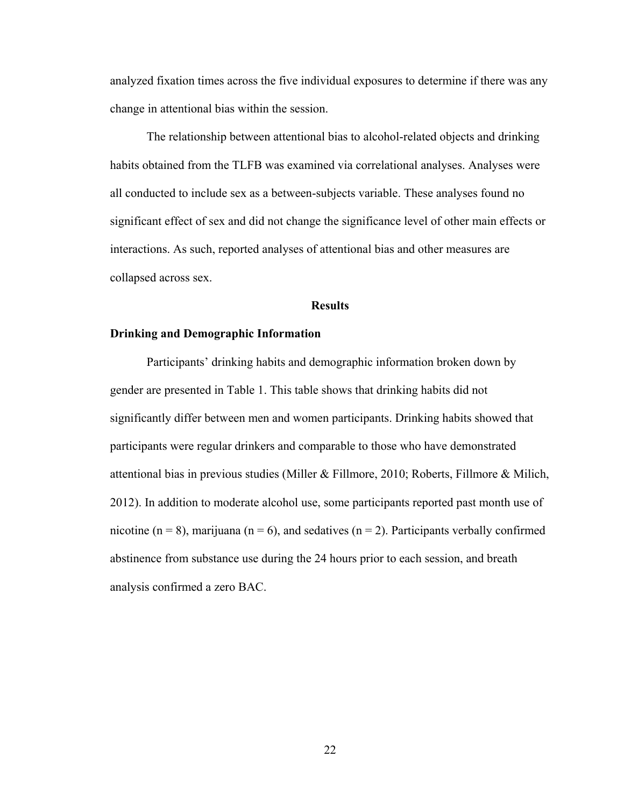analyzed fixation times across the five individual exposures to determine if there was any change in attentional bias within the session.

The relationship between attentional bias to alcohol-related objects and drinking habits obtained from the TLFB was examined via correlational analyses. Analyses were all conducted to include sex as a between-subjects variable. These analyses found no significant effect of sex and did not change the significance level of other main effects or interactions. As such, reported analyses of attentional bias and other measures are collapsed across sex.

#### **Results**

# **Drinking and Demographic Information**

Participants' drinking habits and demographic information broken down by gender are presented in Table 1. This table shows that drinking habits did not significantly differ between men and women participants. Drinking habits showed that participants were regular drinkers and comparable to those who have demonstrated attentional bias in previous studies (Miller & Fillmore, 2010; Roberts, Fillmore & Milich, 2012). In addition to moderate alcohol use, some participants reported past month use of nicotine ( $n = 8$ ), marijuana ( $n = 6$ ), and sedatives ( $n = 2$ ). Participants verbally confirmed abstinence from substance use during the 24 hours prior to each session, and breath analysis confirmed a zero BAC.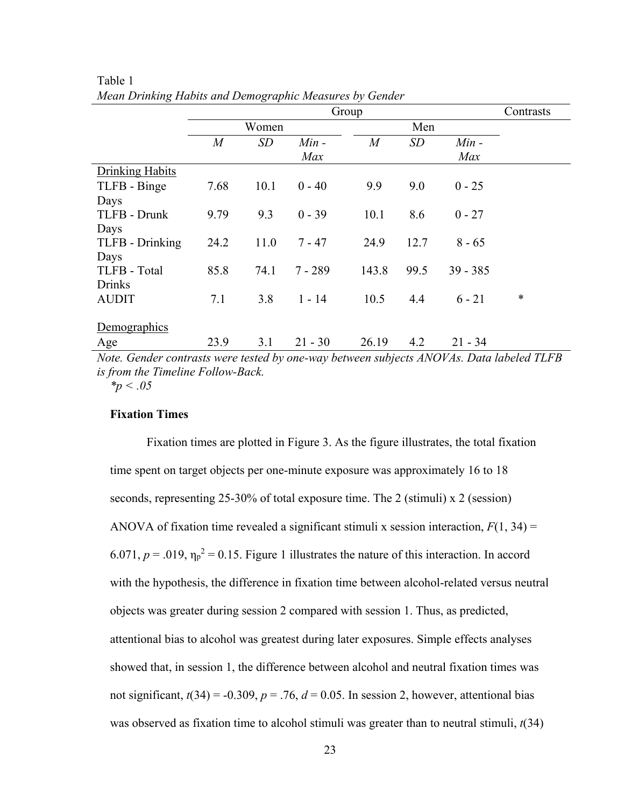|                                                                                          |                | Contrasts |           |                  |      |            |        |  |
|------------------------------------------------------------------------------------------|----------------|-----------|-----------|------------------|------|------------|--------|--|
|                                                                                          |                | Women     |           |                  | Men  |            |        |  |
|                                                                                          | $\overline{M}$ | SD        | $Min -$   | $\boldsymbol{M}$ | SD   | $Min -$    |        |  |
|                                                                                          |                |           | Max       |                  |      | Max        |        |  |
| Drinking Habits                                                                          |                |           |           |                  |      |            |        |  |
| TLFB - Binge                                                                             | 7.68           | 10.1      | $0 - 40$  | 9.9              | 9.0  | $0 - 25$   |        |  |
| Days                                                                                     |                |           |           |                  |      |            |        |  |
| TLFB - Drunk                                                                             | 9.79           | 9.3       | $0 - 39$  | 10.1             | 8.6  | $0 - 27$   |        |  |
| Days                                                                                     |                |           |           |                  |      |            |        |  |
| TLFB - Drinking                                                                          | 24.2           | 11.0      | $7 - 47$  | 24.9             | 12.7 | $8 - 65$   |        |  |
| Days                                                                                     |                |           |           |                  |      |            |        |  |
| TLFB - Total                                                                             | 85.8           | 74.1      | $7 - 289$ | 143.8            | 99.5 | $39 - 385$ |        |  |
| <b>Drinks</b>                                                                            |                |           |           |                  |      |            |        |  |
| <b>AUDIT</b>                                                                             | 7.1            | 3.8       | $1 - 14$  | 10.5             | 4.4  | $6 - 21$   | $\ast$ |  |
|                                                                                          |                |           |           |                  |      |            |        |  |
| Demographics                                                                             |                |           |           |                  |      |            |        |  |
| Age                                                                                      | 23.9           | 3.1       | $21 - 30$ | 26.19            | 4.2  | $21 - 34$  |        |  |
| Note Conday contracts were tooted by one way between gubiects ANOVAs, Data Isheled TI ED |                |           |           |                  |      |            |        |  |

Table 1 *Mean Drinking Habits and Demographic Measures by Gender*

*Note. Gender contrasts were tested by one-way between subjects ANOVAs. Data labeled TLFB is from the Timeline Follow-Back.* 

*\*p < .05* 

### **Fixation Times**

Fixation times are plotted in Figure 3. As the figure illustrates, the total fixation time spent on target objects per one-minute exposure was approximately 16 to 18 seconds, representing 25-30% of total exposure time. The 2 (stimuli) x 2 (session) ANOVA of fixation time revealed a significant stimuli x session interaction,  $F(1, 34) =$ 6.071,  $p = .019$ ,  $\eta_p^2 = 0.15$ . Figure 1 illustrates the nature of this interaction. In accord with the hypothesis, the difference in fixation time between alcohol-related versus neutral objects was greater during session 2 compared with session 1. Thus, as predicted, attentional bias to alcohol was greatest during later exposures. Simple effects analyses showed that, in session 1, the difference between alcohol and neutral fixation times was not significant,  $t(34) = -0.309$ ,  $p = .76$ ,  $d = 0.05$ . In session 2, however, attentional bias was observed as fixation time to alcohol stimuli was greater than to neutral stimuli, *t*(34)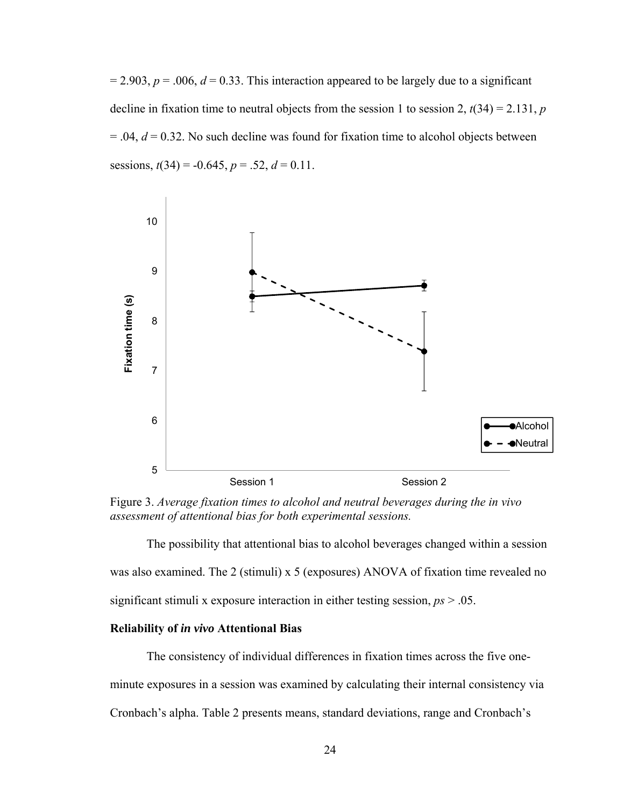$= 2.903, p = .006, d = 0.33$ . This interaction appeared to be largely due to a significant decline in fixation time to neutral objects from the session 1 to session 2,  $t(34) = 2.131$ , *p*  $= .04$ ,  $d = 0.32$ . No such decline was found for fixation time to alcohol objects between sessions,  $t(34) = -0.645$ ,  $p = .52$ ,  $d = 0.11$ .



Figure 3. *Average fixation times to alcohol and neutral beverages during the in vivo assessment of attentional bias for both experimental sessions.*

The possibility that attentional bias to alcohol beverages changed within a session was also examined. The 2 (stimuli) x 5 (exposures) ANOVA of fixation time revealed no significant stimuli x exposure interaction in either testing session, *ps* > .05.

### **Reliability of** *in vivo* **Attentional Bias**

The consistency of individual differences in fixation times across the five oneminute exposures in a session was examined by calculating their internal consistency via Cronbach's alpha. Table 2 presents means, standard deviations, range and Cronbach's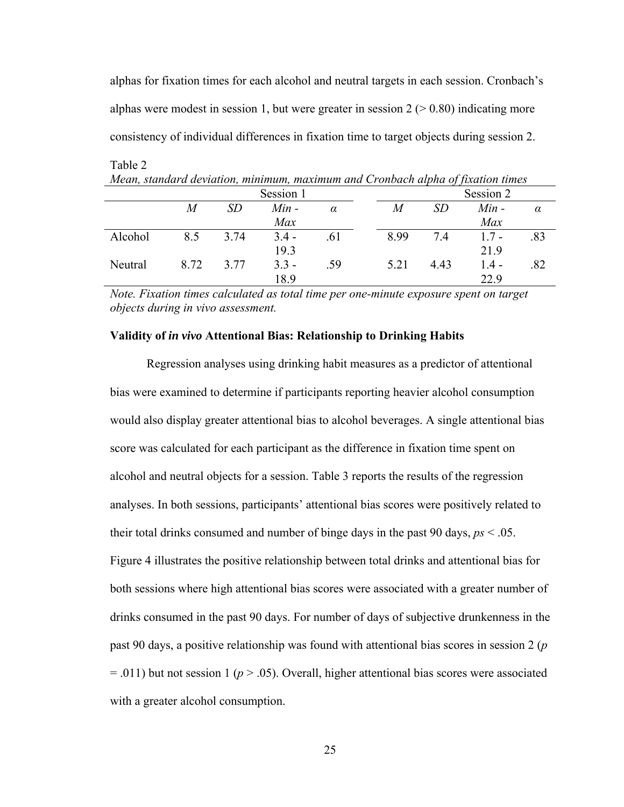alphas for fixation times for each alcohol and neutral targets in each session. Cronbach's alphas were modest in session 1, but were greater in session  $2 (> 0.80)$  indicating more consistency of individual differences in fixation time to target objects during session 2.

| <u>nean, sumaina deviation, minimum, maximum and Cronoden alpha of fixation times</u> |      |      |         |          |           |      |         |          |  |
|---------------------------------------------------------------------------------------|------|------|---------|----------|-----------|------|---------|----------|--|
| Session 1                                                                             |      |      |         |          | Session 2 |      |         |          |  |
|                                                                                       | M    | SD   | $Min -$ | $\alpha$ | M         | SD   | $Min -$ | $\alpha$ |  |
|                                                                                       |      |      | Max     |          |           |      | Max     |          |  |
| Alcohol                                                                               | 8.5  | 3.74 | $3.4 -$ | .61      | 8.99      | 7.4  | $1.7 -$ | .83      |  |
|                                                                                       |      |      | 19.3    |          |           |      | 21.9    |          |  |
| Neutral                                                                               | 8.72 | 3.77 | $3.3 -$ | .59      | 5.21      | 4.43 | $1.4 -$ | .82      |  |
|                                                                                       |      |      | 18.9    |          |           |      | 22.9    |          |  |

*Mean, standard deviation, minimum, maximum and Cronbach alpha of fixation times* 

Table 2

*Note. Fixation times calculated as total time per one-minute exposure spent on target objects during in vivo assessment.* 

### **Validity of** *in vivo* **Attentional Bias: Relationship to Drinking Habits**

Regression analyses using drinking habit measures as a predictor of attentional bias were examined to determine if participants reporting heavier alcohol consumption would also display greater attentional bias to alcohol beverages. A single attentional bias score was calculated for each participant as the difference in fixation time spent on alcohol and neutral objects for a session. Table 3 reports the results of the regression analyses. In both sessions, participants' attentional bias scores were positively related to their total drinks consumed and number of binge days in the past 90 days, *ps* < .05. Figure 4 illustrates the positive relationship between total drinks and attentional bias for both sessions where high attentional bias scores were associated with a greater number of drinks consumed in the past 90 days. For number of days of subjective drunkenness in the past 90 days, a positive relationship was found with attentional bias scores in session 2 (*p*  $= .011$ ) but not session 1 ( $p > .05$ ). Overall, higher attentional bias scores were associated with a greater alcohol consumption.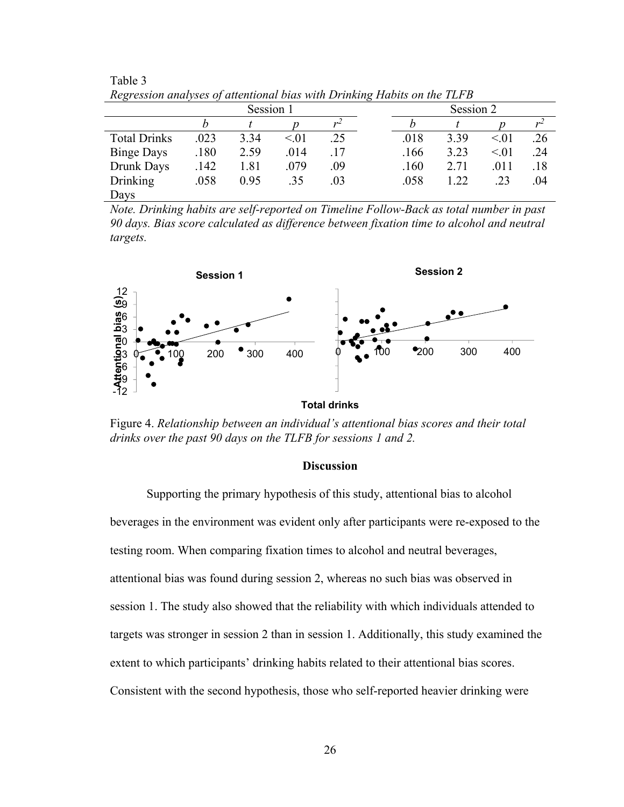| Regression analyses of attentional bias with Drinking Habits on the TLFD |      |      |      |     |           |      |      |      |     |
|--------------------------------------------------------------------------|------|------|------|-----|-----------|------|------|------|-----|
| Session 1                                                                |      |      |      |     | Session 2 |      |      |      |     |
|                                                                          |      |      |      |     |           |      |      |      |     |
| <b>Total Drinks</b>                                                      | .023 | 3.34 | < 01 | .25 |           | .018 | 3.39 | < 01 | .26 |
| <b>Binge Days</b>                                                        | .180 | 2.59 | .014 | .17 |           | .166 | 3.23 | < 01 | .24 |
| Drunk Days                                                               | .142 | 1.81 | .079 | .09 |           | .160 | 2.71 | .011 | .18 |
| Drinking                                                                 | .058 | 0.95 | .35  | .03 |           | .058 | 1.22 | .23  | .04 |
| Days                                                                     |      |      |      |     |           |      |      |      |     |

Table 3 *Regression analyses of attentional bias with Drinking Habits on the TLFB* 

*Note. Drinking habits are self-reported on Timeline Follow-Back as total number in past 90 days. Bias score calculated as difference between fixation time to alcohol and neutral targets.* 



**Total drinks** 

Figure 4. *Relationship between an individual's attentional bias scores and their total drinks over the past 90 days on the TLFB for sessions 1 and 2.*

### **Discussion**

 Supporting the primary hypothesis of this study, attentional bias to alcohol beverages in the environment was evident only after participants were re-exposed to the testing room. When comparing fixation times to alcohol and neutral beverages, attentional bias was found during session 2, whereas no such bias was observed in session 1. The study also showed that the reliability with which individuals attended to targets was stronger in session 2 than in session 1. Additionally, this study examined the extent to which participants' drinking habits related to their attentional bias scores. Consistent with the second hypothesis, those who self-reported heavier drinking were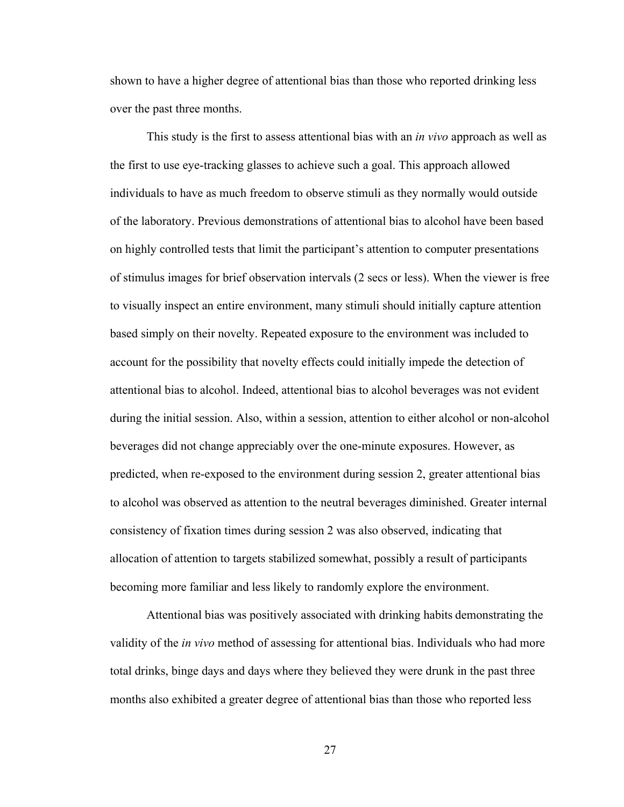shown to have a higher degree of attentional bias than those who reported drinking less over the past three months.

 This study is the first to assess attentional bias with an *in vivo* approach as well as the first to use eye-tracking glasses to achieve such a goal. This approach allowed individuals to have as much freedom to observe stimuli as they normally would outside of the laboratory. Previous demonstrations of attentional bias to alcohol have been based on highly controlled tests that limit the participant's attention to computer presentations of stimulus images for brief observation intervals (2 secs or less). When the viewer is free to visually inspect an entire environment, many stimuli should initially capture attention based simply on their novelty. Repeated exposure to the environment was included to account for the possibility that novelty effects could initially impede the detection of attentional bias to alcohol. Indeed, attentional bias to alcohol beverages was not evident during the initial session. Also, within a session, attention to either alcohol or non-alcohol beverages did not change appreciably over the one-minute exposures. However, as predicted, when re-exposed to the environment during session 2, greater attentional bias to alcohol was observed as attention to the neutral beverages diminished. Greater internal consistency of fixation times during session 2 was also observed, indicating that allocation of attention to targets stabilized somewhat, possibly a result of participants becoming more familiar and less likely to randomly explore the environment.

Attentional bias was positively associated with drinking habits demonstrating the validity of the *in vivo* method of assessing for attentional bias. Individuals who had more total drinks, binge days and days where they believed they were drunk in the past three months also exhibited a greater degree of attentional bias than those who reported less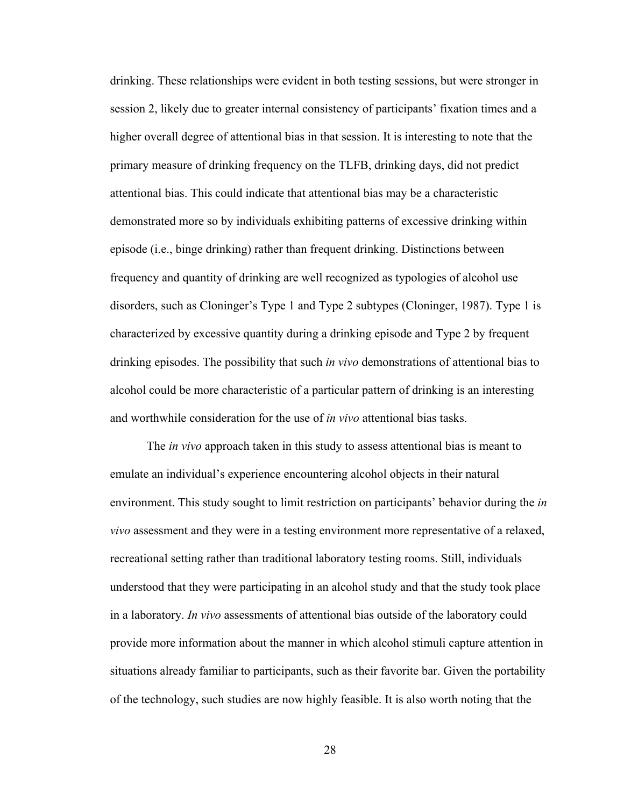drinking. These relationships were evident in both testing sessions, but were stronger in session 2, likely due to greater internal consistency of participants' fixation times and a higher overall degree of attentional bias in that session. It is interesting to note that the primary measure of drinking frequency on the TLFB, drinking days, did not predict attentional bias. This could indicate that attentional bias may be a characteristic demonstrated more so by individuals exhibiting patterns of excessive drinking within episode (i.e., binge drinking) rather than frequent drinking. Distinctions between frequency and quantity of drinking are well recognized as typologies of alcohol use disorders, such as Cloninger's Type 1 and Type 2 subtypes (Cloninger, 1987). Type 1 is characterized by excessive quantity during a drinking episode and Type 2 by frequent drinking episodes. The possibility that such *in vivo* demonstrations of attentional bias to alcohol could be more characteristic of a particular pattern of drinking is an interesting and worthwhile consideration for the use of *in vivo* attentional bias tasks.

The *in vivo* approach taken in this study to assess attentional bias is meant to emulate an individual's experience encountering alcohol objects in their natural environment. This study sought to limit restriction on participants' behavior during the *in vivo* assessment and they were in a testing environment more representative of a relaxed, recreational setting rather than traditional laboratory testing rooms. Still, individuals understood that they were participating in an alcohol study and that the study took place in a laboratory. *In vivo* assessments of attentional bias outside of the laboratory could provide more information about the manner in which alcohol stimuli capture attention in situations already familiar to participants, such as their favorite bar. Given the portability of the technology, such studies are now highly feasible. It is also worth noting that the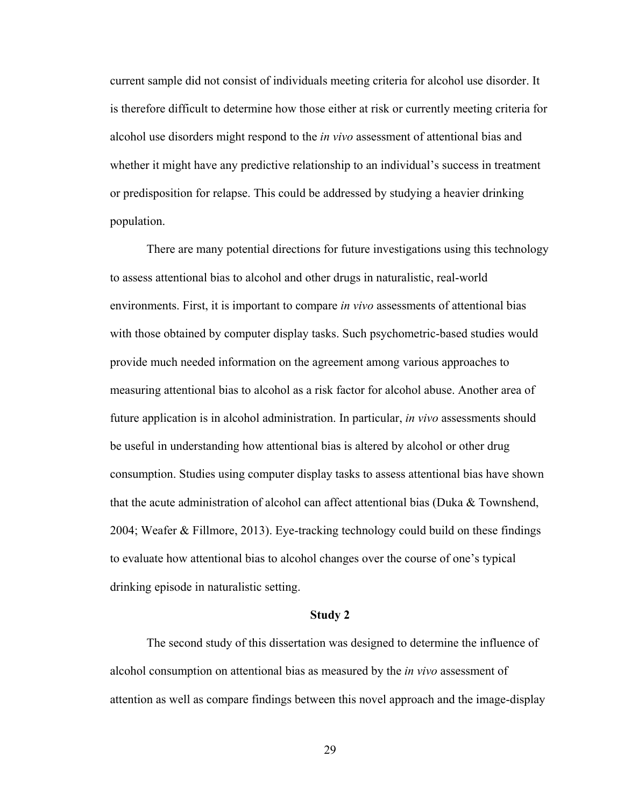current sample did not consist of individuals meeting criteria for alcohol use disorder. It is therefore difficult to determine how those either at risk or currently meeting criteria for alcohol use disorders might respond to the *in vivo* assessment of attentional bias and whether it might have any predictive relationship to an individual's success in treatment or predisposition for relapse. This could be addressed by studying a heavier drinking population.

 There are many potential directions for future investigations using this technology to assess attentional bias to alcohol and other drugs in naturalistic, real-world environments. First, it is important to compare *in vivo* assessments of attentional bias with those obtained by computer display tasks. Such psychometric-based studies would provide much needed information on the agreement among various approaches to measuring attentional bias to alcohol as a risk factor for alcohol abuse. Another area of future application is in alcohol administration. In particular, *in vivo* assessments should be useful in understanding how attentional bias is altered by alcohol or other drug consumption. Studies using computer display tasks to assess attentional bias have shown that the acute administration of alcohol can affect attentional bias (Duka & Townshend, 2004; Weafer & Fillmore, 2013). Eye-tracking technology could build on these findings to evaluate how attentional bias to alcohol changes over the course of one's typical drinking episode in naturalistic setting.

### **Study 2**

 The second study of this dissertation was designed to determine the influence of alcohol consumption on attentional bias as measured by the *in vivo* assessment of attention as well as compare findings between this novel approach and the image-display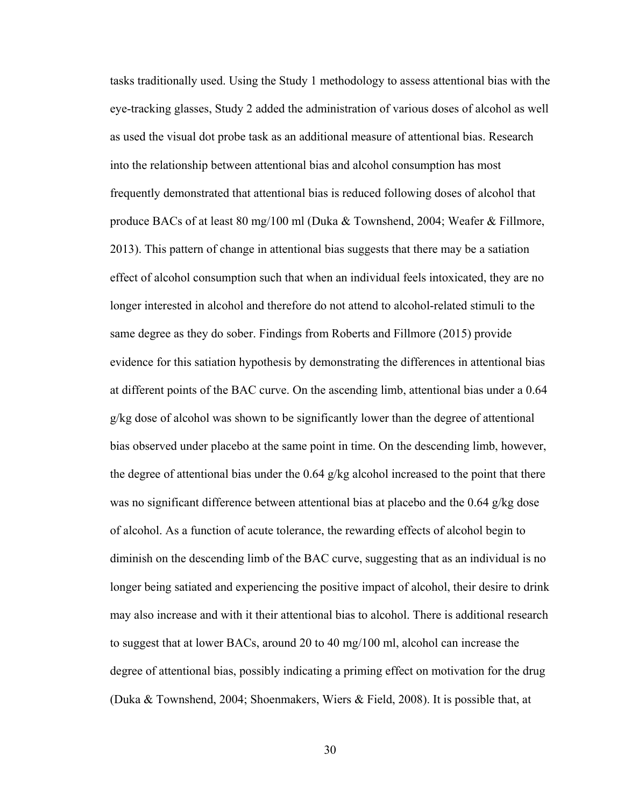tasks traditionally used. Using the Study 1 methodology to assess attentional bias with the eye-tracking glasses, Study 2 added the administration of various doses of alcohol as well as used the visual dot probe task as an additional measure of attentional bias. Research into the relationship between attentional bias and alcohol consumption has most frequently demonstrated that attentional bias is reduced following doses of alcohol that produce BACs of at least 80 mg/100 ml (Duka & Townshend, 2004; Weafer & Fillmore, 2013). This pattern of change in attentional bias suggests that there may be a satiation effect of alcohol consumption such that when an individual feels intoxicated, they are no longer interested in alcohol and therefore do not attend to alcohol-related stimuli to the same degree as they do sober. Findings from Roberts and Fillmore (2015) provide evidence for this satiation hypothesis by demonstrating the differences in attentional bias at different points of the BAC curve. On the ascending limb, attentional bias under a 0.64 g/kg dose of alcohol was shown to be significantly lower than the degree of attentional bias observed under placebo at the same point in time. On the descending limb, however, the degree of attentional bias under the 0.64 g/kg alcohol increased to the point that there was no significant difference between attentional bias at placebo and the 0.64 g/kg dose of alcohol. As a function of acute tolerance, the rewarding effects of alcohol begin to diminish on the descending limb of the BAC curve, suggesting that as an individual is no longer being satiated and experiencing the positive impact of alcohol, their desire to drink may also increase and with it their attentional bias to alcohol. There is additional research to suggest that at lower BACs, around 20 to 40 mg/100 ml, alcohol can increase the degree of attentional bias, possibly indicating a priming effect on motivation for the drug (Duka & Townshend, 2004; Shoenmakers, Wiers & Field, 2008). It is possible that, at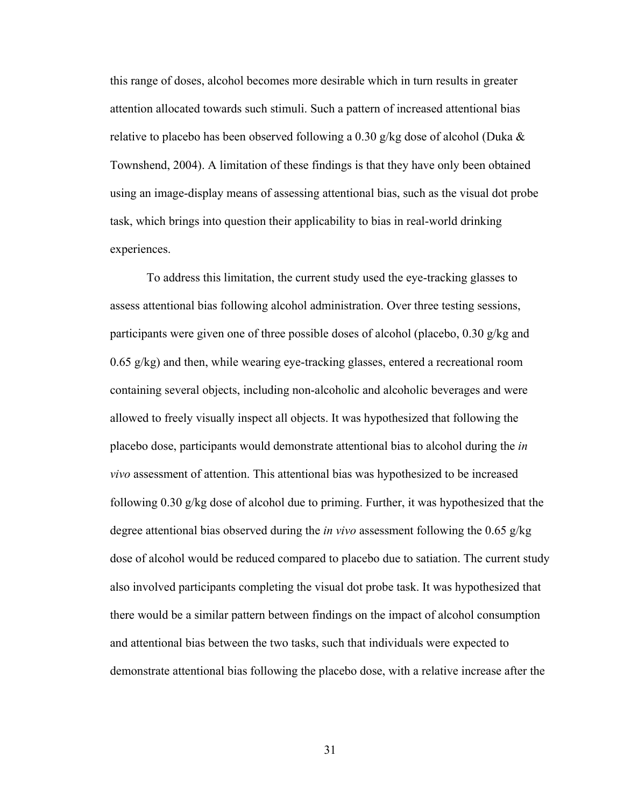this range of doses, alcohol becomes more desirable which in turn results in greater attention allocated towards such stimuli. Such a pattern of increased attentional bias relative to placebo has been observed following a 0.30 g/kg dose of alcohol (Duka  $\&$ Townshend, 2004). A limitation of these findings is that they have only been obtained using an image-display means of assessing attentional bias, such as the visual dot probe task, which brings into question their applicability to bias in real-world drinking experiences.

 To address this limitation, the current study used the eye-tracking glasses to assess attentional bias following alcohol administration. Over three testing sessions, participants were given one of three possible doses of alcohol (placebo, 0.30 g/kg and  $0.65 \text{ g/kg}$  and then, while wearing eye-tracking glasses, entered a recreational room containing several objects, including non-alcoholic and alcoholic beverages and were allowed to freely visually inspect all objects. It was hypothesized that following the placebo dose, participants would demonstrate attentional bias to alcohol during the *in vivo* assessment of attention. This attentional bias was hypothesized to be increased following 0.30 g/kg dose of alcohol due to priming. Further, it was hypothesized that the degree attentional bias observed during the *in vivo* assessment following the 0.65 g/kg dose of alcohol would be reduced compared to placebo due to satiation. The current study also involved participants completing the visual dot probe task. It was hypothesized that there would be a similar pattern between findings on the impact of alcohol consumption and attentional bias between the two tasks, such that individuals were expected to demonstrate attentional bias following the placebo dose, with a relative increase after the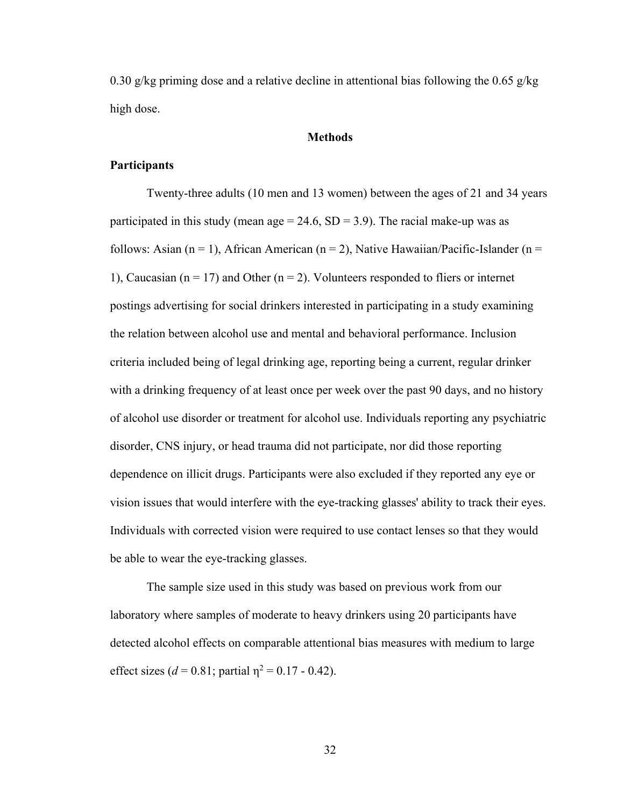0.30 g/kg priming dose and a relative decline in attentional bias following the 0.65 g/kg high dose.

### **Methods**

# **Participants**

 Twenty-three adults (10 men and 13 women) between the ages of 21 and 34 years participated in this study (mean age =  $24.6$ , SD =  $3.9$ ). The racial make-up was as follows: Asian (n = 1), African American (n = 2), Native Hawaiian/Pacific-Islander (n = 1), Caucasian ( $n = 17$ ) and Other ( $n = 2$ ). Volunteers responded to fliers or internet postings advertising for social drinkers interested in participating in a study examining the relation between alcohol use and mental and behavioral performance. Inclusion criteria included being of legal drinking age, reporting being a current, regular drinker with a drinking frequency of at least once per week over the past 90 days, and no history of alcohol use disorder or treatment for alcohol use. Individuals reporting any psychiatric disorder, CNS injury, or head trauma did not participate, nor did those reporting dependence on illicit drugs. Participants were also excluded if they reported any eye or vision issues that would interfere with the eye-tracking glasses' ability to track their eyes. Individuals with corrected vision were required to use contact lenses so that they would be able to wear the eye-tracking glasses.

The sample size used in this study was based on previous work from our laboratory where samples of moderate to heavy drinkers using 20 participants have detected alcohol effects on comparable attentional bias measures with medium to large effect sizes ( $d = 0.81$ ; partial  $\eta^2 = 0.17 - 0.42$ ).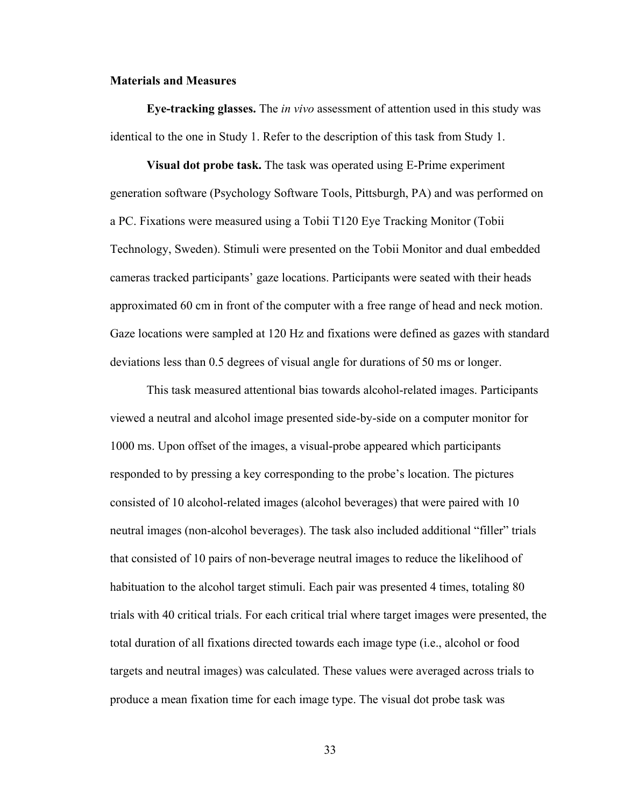# **Materials and Measures**

**Eye-tracking glasses.** The *in vivo* assessment of attention used in this study was identical to the one in Study 1. Refer to the description of this task from Study 1.

**Visual dot probe task.** The task was operated using E-Prime experiment generation software (Psychology Software Tools, Pittsburgh, PA) and was performed on a PC. Fixations were measured using a Tobii T120 Eye Tracking Monitor (Tobii Technology, Sweden). Stimuli were presented on the Tobii Monitor and dual embedded cameras tracked participants' gaze locations. Participants were seated with their heads approximated 60 cm in front of the computer with a free range of head and neck motion. Gaze locations were sampled at 120 Hz and fixations were defined as gazes with standard deviations less than 0.5 degrees of visual angle for durations of 50 ms or longer.

 This task measured attentional bias towards alcohol-related images. Participants viewed a neutral and alcohol image presented side-by-side on a computer monitor for 1000 ms. Upon offset of the images, a visual-probe appeared which participants responded to by pressing a key corresponding to the probe's location. The pictures consisted of 10 alcohol-related images (alcohol beverages) that were paired with 10 neutral images (non-alcohol beverages). The task also included additional "filler" trials that consisted of 10 pairs of non-beverage neutral images to reduce the likelihood of habituation to the alcohol target stimuli. Each pair was presented 4 times, totaling 80 trials with 40 critical trials. For each critical trial where target images were presented, the total duration of all fixations directed towards each image type (i.e., alcohol or food targets and neutral images) was calculated. These values were averaged across trials to produce a mean fixation time for each image type. The visual dot probe task was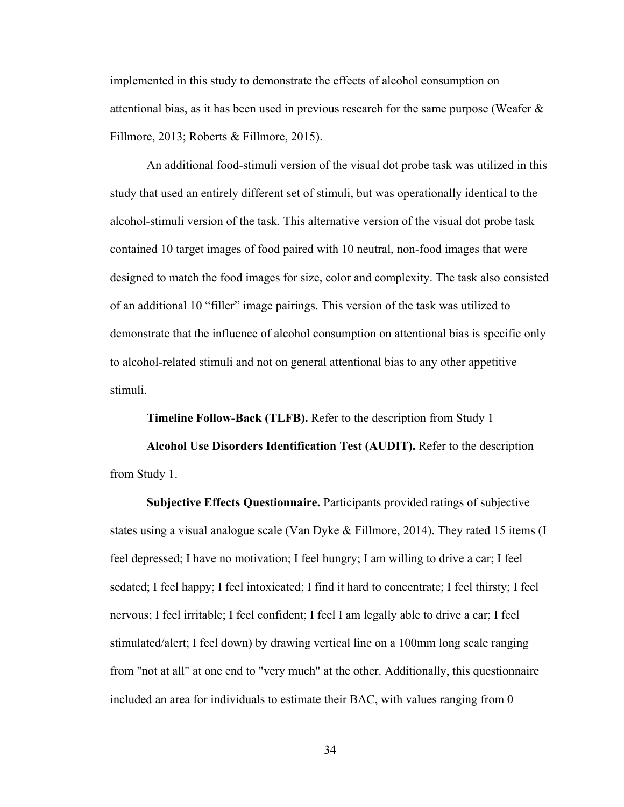implemented in this study to demonstrate the effects of alcohol consumption on attentional bias, as it has been used in previous research for the same purpose (Weafer  $\&$ Fillmore, 2013; Roberts & Fillmore, 2015).

 An additional food-stimuli version of the visual dot probe task was utilized in this study that used an entirely different set of stimuli, but was operationally identical to the alcohol-stimuli version of the task. This alternative version of the visual dot probe task contained 10 target images of food paired with 10 neutral, non-food images that were designed to match the food images for size, color and complexity. The task also consisted of an additional 10 "filler" image pairings. This version of the task was utilized to demonstrate that the influence of alcohol consumption on attentional bias is specific only to alcohol-related stimuli and not on general attentional bias to any other appetitive stimuli.

**Timeline Follow-Back (TLFB).** Refer to the description from Study 1

**Alcohol Use Disorders Identification Test (AUDIT).** Refer to the description from Study 1.

**Subjective Effects Questionnaire.** Participants provided ratings of subjective states using a visual analogue scale (Van Dyke & Fillmore, 2014). They rated 15 items (I feel depressed; I have no motivation; I feel hungry; I am willing to drive a car; I feel sedated; I feel happy; I feel intoxicated; I find it hard to concentrate; I feel thirsty; I feel nervous; I feel irritable; I feel confident; I feel I am legally able to drive a car; I feel stimulated/alert; I feel down) by drawing vertical line on a 100mm long scale ranging from "not at all" at one end to "very much" at the other. Additionally, this questionnaire included an area for individuals to estimate their BAC, with values ranging from 0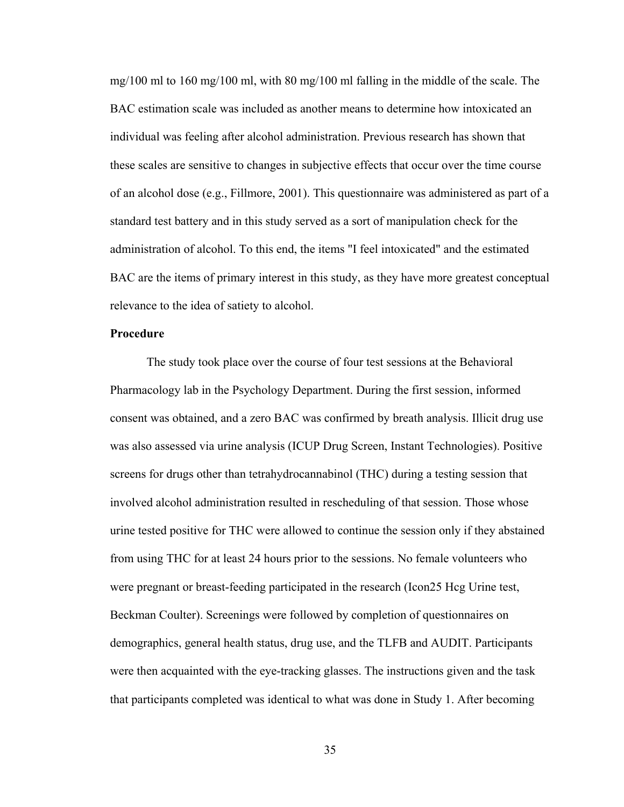mg/100 ml to 160 mg/100 ml, with 80 mg/100 ml falling in the middle of the scale. The BAC estimation scale was included as another means to determine how intoxicated an individual was feeling after alcohol administration. Previous research has shown that these scales are sensitive to changes in subjective effects that occur over the time course of an alcohol dose (e.g., Fillmore, 2001). This questionnaire was administered as part of a standard test battery and in this study served as a sort of manipulation check for the administration of alcohol. To this end, the items "I feel intoxicated" and the estimated BAC are the items of primary interest in this study, as they have more greatest conceptual relevance to the idea of satiety to alcohol.

## **Procedure**

 The study took place over the course of four test sessions at the Behavioral Pharmacology lab in the Psychology Department. During the first session, informed consent was obtained, and a zero BAC was confirmed by breath analysis. Illicit drug use was also assessed via urine analysis (ICUP Drug Screen, Instant Technologies). Positive screens for drugs other than tetrahydrocannabinol (THC) during a testing session that involved alcohol administration resulted in rescheduling of that session. Those whose urine tested positive for THC were allowed to continue the session only if they abstained from using THC for at least 24 hours prior to the sessions. No female volunteers who were pregnant or breast-feeding participated in the research (Icon25 Hcg Urine test, Beckman Coulter). Screenings were followed by completion of questionnaires on demographics, general health status, drug use, and the TLFB and AUDIT. Participants were then acquainted with the eye-tracking glasses. The instructions given and the task that participants completed was identical to what was done in Study 1. After becoming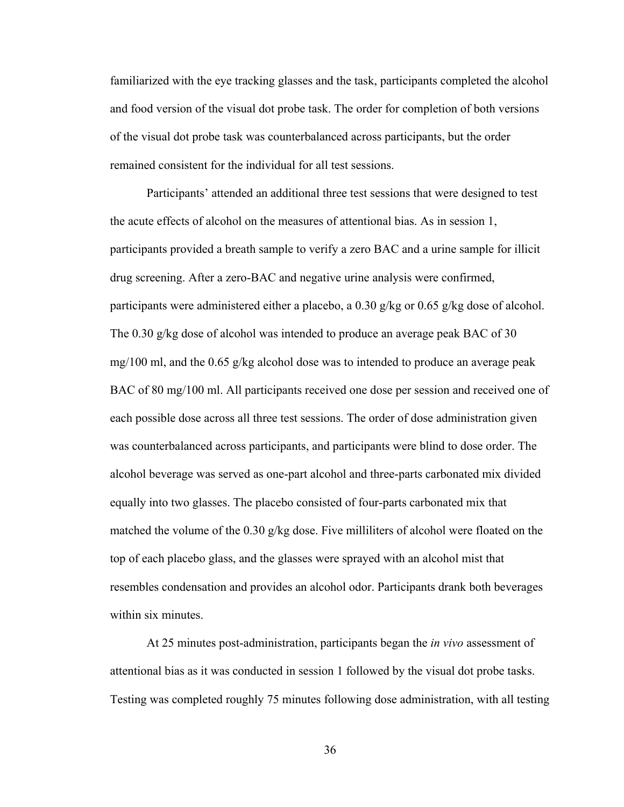familiarized with the eye tracking glasses and the task, participants completed the alcohol and food version of the visual dot probe task. The order for completion of both versions of the visual dot probe task was counterbalanced across participants, but the order remained consistent for the individual for all test sessions.

 Participants' attended an additional three test sessions that were designed to test the acute effects of alcohol on the measures of attentional bias. As in session 1, participants provided a breath sample to verify a zero BAC and a urine sample for illicit drug screening. After a zero-BAC and negative urine analysis were confirmed, participants were administered either a placebo, a  $0.30$  g/kg or  $0.65$  g/kg dose of alcohol. The 0.30 g/kg dose of alcohol was intended to produce an average peak BAC of 30 mg/100 ml, and the 0.65 g/kg alcohol dose was to intended to produce an average peak BAC of 80 mg/100 ml. All participants received one dose per session and received one of each possible dose across all three test sessions. The order of dose administration given was counterbalanced across participants, and participants were blind to dose order. The alcohol beverage was served as one-part alcohol and three-parts carbonated mix divided equally into two glasses. The placebo consisted of four-parts carbonated mix that matched the volume of the  $0.30 \text{ g/kg}$  dose. Five milliliters of alcohol were floated on the top of each placebo glass, and the glasses were sprayed with an alcohol mist that resembles condensation and provides an alcohol odor. Participants drank both beverages within six minutes.

 At 25 minutes post-administration, participants began the *in vivo* assessment of attentional bias as it was conducted in session 1 followed by the visual dot probe tasks. Testing was completed roughly 75 minutes following dose administration, with all testing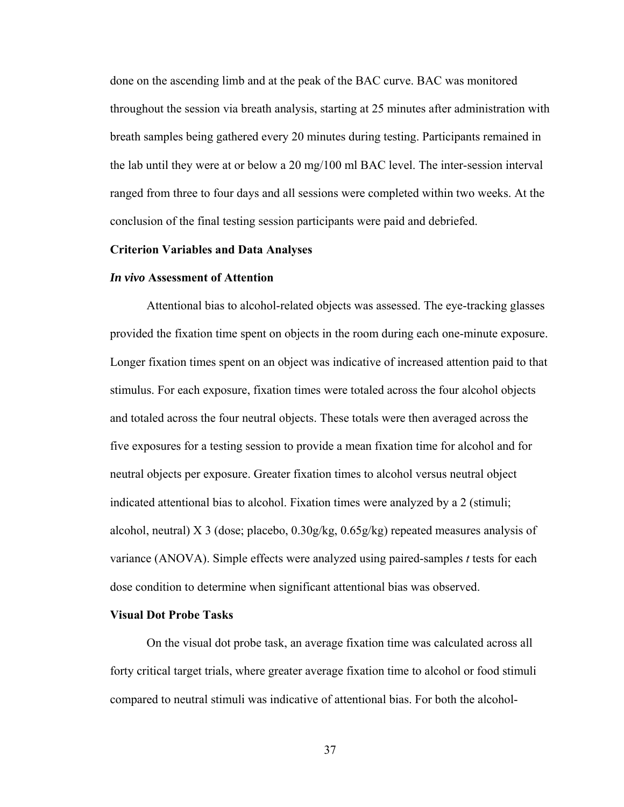done on the ascending limb and at the peak of the BAC curve. BAC was monitored throughout the session via breath analysis, starting at 25 minutes after administration with breath samples being gathered every 20 minutes during testing. Participants remained in the lab until they were at or below a 20 mg/100 ml BAC level. The inter-session interval ranged from three to four days and all sessions were completed within two weeks. At the conclusion of the final testing session participants were paid and debriefed.

### **Criterion Variables and Data Analyses**

#### *In vivo* **Assessment of Attention**

Attentional bias to alcohol-related objects was assessed. The eye-tracking glasses provided the fixation time spent on objects in the room during each one-minute exposure. Longer fixation times spent on an object was indicative of increased attention paid to that stimulus. For each exposure, fixation times were totaled across the four alcohol objects and totaled across the four neutral objects. These totals were then averaged across the five exposures for a testing session to provide a mean fixation time for alcohol and for neutral objects per exposure. Greater fixation times to alcohol versus neutral object indicated attentional bias to alcohol. Fixation times were analyzed by a 2 (stimuli; alcohol, neutral) X 3 (dose; placebo,  $0.30g/kg$ ,  $0.65g/kg$ ) repeated measures analysis of variance (ANOVA). Simple effects were analyzed using paired-samples *t* tests for each dose condition to determine when significant attentional bias was observed.

### **Visual Dot Probe Tasks**

On the visual dot probe task, an average fixation time was calculated across all forty critical target trials, where greater average fixation time to alcohol or food stimuli compared to neutral stimuli was indicative of attentional bias. For both the alcohol-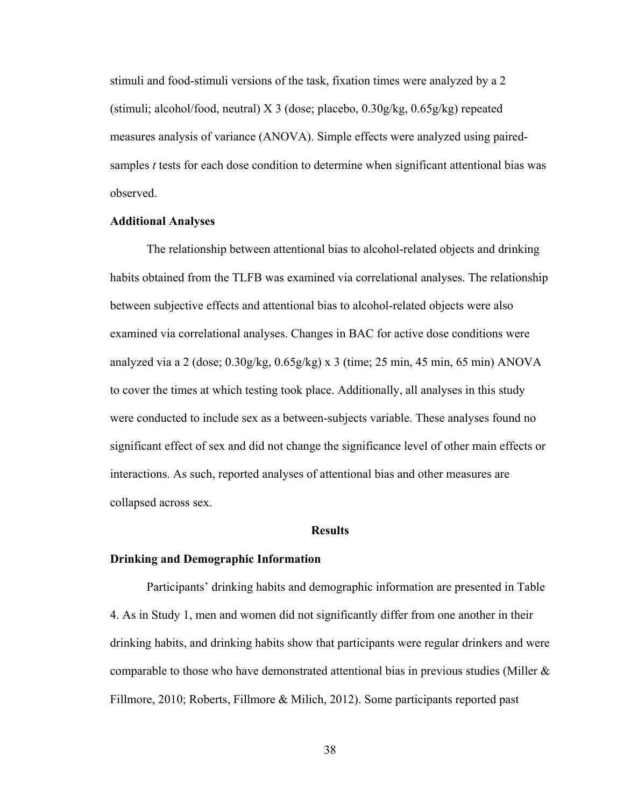stimuli and food-stimuli versions of the task, fixation times were analyzed by a 2 (stimuli; alcohol/food, neutral) X 3 (dose; placebo,  $0.30g/kg$ ,  $0.65g/kg$ ) repeated measures analysis of variance (ANOVA). Simple effects were analyzed using pairedsamples *t* tests for each dose condition to determine when significant attentional bias was observed.

# **Additional Analyses**

The relationship between attentional bias to alcohol-related objects and drinking habits obtained from the TLFB was examined via correlational analyses. The relationship between subjective effects and attentional bias to alcohol-related objects were also examined via correlational analyses. Changes in BAC for active dose conditions were analyzed via a 2 (dose; 0.30g/kg, 0.65g/kg) x 3 (time; 25 min, 45 min, 65 min) ANOVA to cover the times at which testing took place. Additionally, all analyses in this study were conducted to include sex as a between-subjects variable. These analyses found no significant effect of sex and did not change the significance level of other main effects or interactions. As such, reported analyses of attentional bias and other measures are collapsed across sex.

### **Results**

#### **Drinking and Demographic Information**

Participants' drinking habits and demographic information are presented in Table 4. As in Study 1, men and women did not significantly differ from one another in their drinking habits, and drinking habits show that participants were regular drinkers and were comparable to those who have demonstrated attentional bias in previous studies (Miller  $\&$ Fillmore, 2010; Roberts, Fillmore & Milich, 2012). Some participants reported past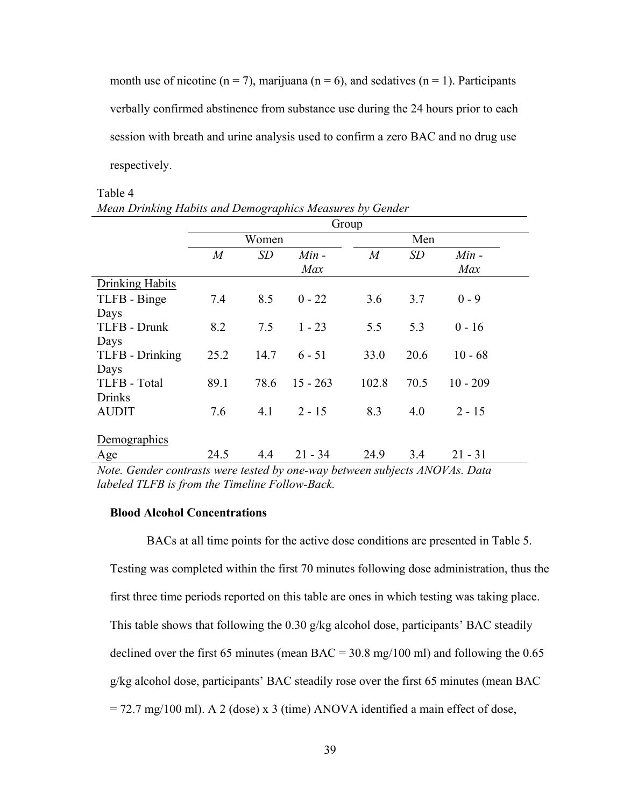month use of nicotine ( $n = 7$ ), marijuana ( $n = 6$ ), and sedatives ( $n = 1$ ). Participants verbally confirmed abstinence from substance use during the 24 hours prior to each session with breath and urine analysis used to confirm a zero BAC and no drug use respectively.

|                        | Group          |      |            |                |           |            |  |
|------------------------|----------------|------|------------|----------------|-----------|------------|--|
|                        | Women          |      |            |                | Men       |            |  |
|                        | $\overline{M}$ | SD   | $Min -$    | $\overline{M}$ | <b>SD</b> | $Min -$    |  |
|                        |                |      | Max        |                |           | Max        |  |
| <b>Drinking Habits</b> |                |      |            |                |           |            |  |
| TLFB - Binge           | 7.4            | 8.5  | $0 - 22$   | 3.6            | 3.7       | $0 - 9$    |  |
| Days                   |                |      |            |                |           |            |  |
| TLFB - Drunk           | 8.2            | 7.5  | $1 - 23$   | 5.5            | 5.3       | $0 - 16$   |  |
| Days                   |                |      |            |                |           |            |  |
| TLFB - Drinking        | 25.2           | 14.7 | $6 - 51$   | 33.0           | 20.6      | $10 - 68$  |  |
| Days                   |                |      |            |                |           |            |  |
| TLFB - Total           | 89.1           | 78.6 | $15 - 263$ | 102.8          | 70.5      | $10 - 209$ |  |
| <b>Drinks</b>          |                |      |            |                |           |            |  |
| <b>AUDIT</b>           | 7.6            | 4.1  | $2 - 15$   | 8.3            | 4.0       | $2 - 15$   |  |
|                        |                |      |            |                |           |            |  |
| Demographics           |                |      |            |                |           |            |  |
| Age                    | 24.5           | 4.4  | $21 - 34$  | 24.9           | 3.4       | $21 - 31$  |  |

# Table 4 *Mean Drinking Habits and Demographics Measures by Gender*

# **Blood Alcohol Concentrations**

BACs at all time points for the active dose conditions are presented in Table 5. Testing was completed within the first 70 minutes following dose administration, thus the first three time periods reported on this table are ones in which testing was taking place. This table shows that following the 0.30 g/kg alcohol dose, participants' BAC steadily declined over the first 65 minutes (mean BAC =  $30.8 \text{ mg}/100 \text{ ml}$ ) and following the 0.65 g/kg alcohol dose, participants' BAC steadily rose over the first 65 minutes (mean BAC  $= 72.7$  mg/100 ml). A 2 (dose) x 3 (time) ANOVA identified a main effect of dose,

*Note. Gender contrasts were tested by one-way between subjects ANOVAs. Data labeled TLFB is from the Timeline Follow-Back.*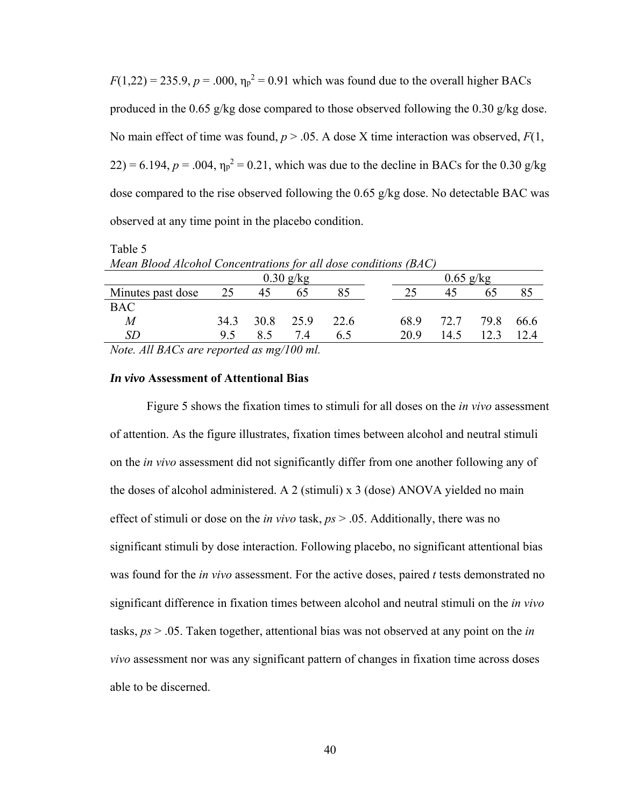$F(1,22) = 235.9, p = .000, \eta_p^2 = 0.91$  which was found due to the overall higher BACs produced in the 0.65 g/kg dose compared to those observed following the 0.30 g/kg dose. No main effect of time was found,  $p > 0.05$ . A dose X time interaction was observed,  $F(1, 0)$  $(22) = 6.194$ ,  $p = .004$ ,  $\eta_p^2 = 0.21$ , which was due to the decline in BACs for the 0.30 g/kg dose compared to the rise observed following the 0.65 g/kg dose. No detectable BAC was observed at any time point in the placebo condition.

Table 5 *Mean Blood Alcohol Concentrations for all dose conditions (BAC)* 

| $0.30$ g/kg       |      |      |      |      |      | $0.65$ g/kg |      |      |
|-------------------|------|------|------|------|------|-------------|------|------|
| Minutes past dose | 25   | 45   | 65   |      |      |             | 65   |      |
| <b>BAC</b>        |      |      |      |      |      |             |      |      |
| M                 | 34.3 | 30.8 | 25.9 | 22.6 | 68.9 | 72.7        | 79.8 | 66.6 |
| <i>SD</i>         | 9.5  |      | 7.4  | 6.5  | 20.9 | 14.5        | 12.3 | 12.4 |
|                   |      |      |      |      |      |             |      |      |

*Note. All BACs are reported as mg/100 ml.* 

# *In vivo* **Assessment of Attentional Bias**

Figure 5 shows the fixation times to stimuli for all doses on the *in vivo* assessment of attention. As the figure illustrates, fixation times between alcohol and neutral stimuli on the *in vivo* assessment did not significantly differ from one another following any of the doses of alcohol administered. A 2 (stimuli) x 3 (dose) ANOVA yielded no main effect of stimuli or dose on the *in vivo* task, *ps* > .05. Additionally, there was no significant stimuli by dose interaction. Following placebo, no significant attentional bias was found for the *in vivo* assessment. For the active doses, paired *t* tests demonstrated no significant difference in fixation times between alcohol and neutral stimuli on the *in vivo* tasks, *ps* > .05. Taken together, attentional bias was not observed at any point on the *in vivo* assessment nor was any significant pattern of changes in fixation time across doses able to be discerned.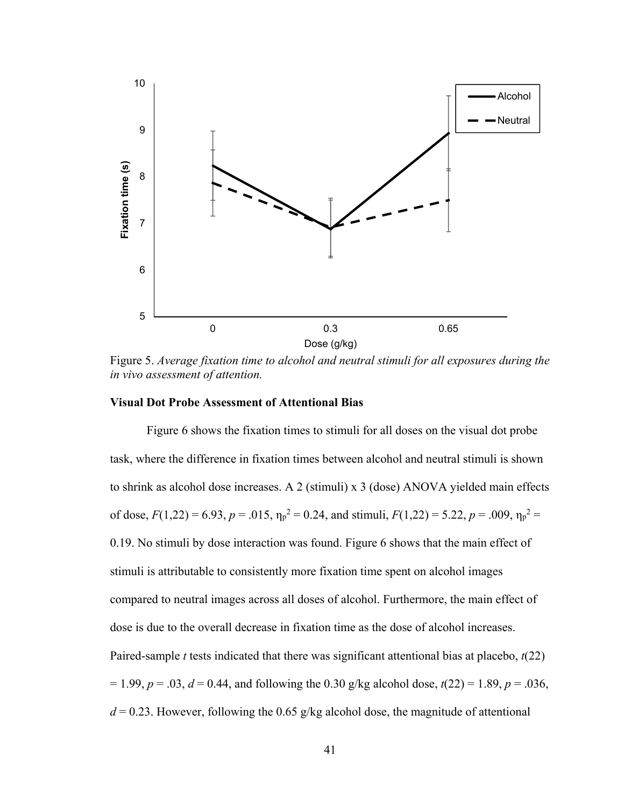

Figure 5. *Average fixation time to alcohol and neutral stimuli for all exposures during the in vivo assessment of attention.* 

### **Visual Dot Probe Assessment of Attentional Bias**

 Figure 6 shows the fixation times to stimuli for all doses on the visual dot probe task, where the difference in fixation times between alcohol and neutral stimuli is shown to shrink as alcohol dose increases. A 2 (stimuli) x 3 (dose) ANOVA yielded main effects of dose,  $F(1,22) = 6.93$ ,  $p = .015$ ,  $\eta_p^2 = 0.24$ , and stimuli,  $F(1,22) = 5.22$ ,  $p = .009$ ,  $\eta_p^2 =$ 0.19. No stimuli by dose interaction was found. Figure 6 shows that the main effect of stimuli is attributable to consistently more fixation time spent on alcohol images compared to neutral images across all doses of alcohol. Furthermore, the main effect of dose is due to the overall decrease in fixation time as the dose of alcohol increases. Paired-sample *t* tests indicated that there was significant attentional bias at placebo, *t*(22)  $= 1.99, p = .03, d = 0.44,$  and following the 0.30 g/kg alcohol dose,  $t(22) = 1.89, p = .036,$  $d = 0.23$ . However, following the 0.65 g/kg alcohol dose, the magnitude of attentional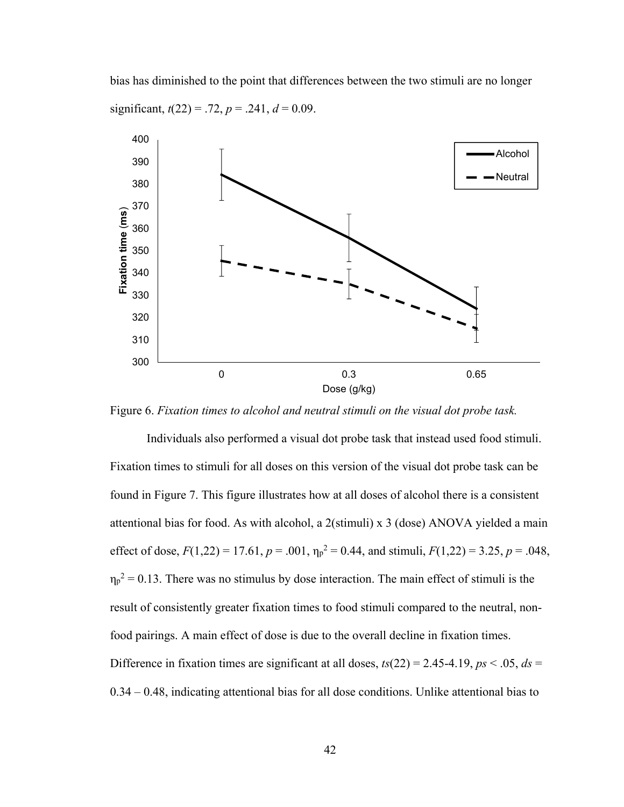bias has diminished to the point that differences between the two stimuli are no longer significant,  $t(22) = .72$ ,  $p = .241$ ,  $d = 0.09$ .



Figure 6. *Fixation times to alcohol and neutral stimuli on the visual dot probe task.* 

 Individuals also performed a visual dot probe task that instead used food stimuli. Fixation times to stimuli for all doses on this version of the visual dot probe task can be found in Figure 7. This figure illustrates how at all doses of alcohol there is a consistent attentional bias for food. As with alcohol, a 2(stimuli) x 3 (dose) ANOVA yielded a main effect of dose,  $F(1,22) = 17.61$ ,  $p = .001$ ,  $\eta_p^2 = 0.44$ , and stimuli,  $F(1,22) = 3.25$ ,  $p = .048$ ,  $\eta_p^2$  = 0.13. There was no stimulus by dose interaction. The main effect of stimuli is the result of consistently greater fixation times to food stimuli compared to the neutral, nonfood pairings. A main effect of dose is due to the overall decline in fixation times. Difference in fixation times are significant at all doses,  $ts(22) = 2.45-4.19$ ,  $ps < 0.05$ ,  $ds =$ 0.34 – 0.48, indicating attentional bias for all dose conditions. Unlike attentional bias to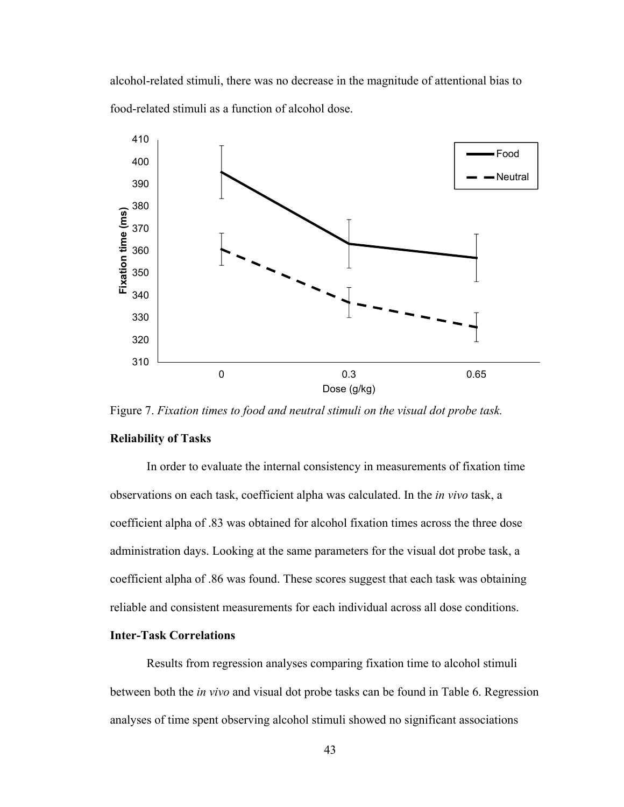alcohol-related stimuli, there was no decrease in the magnitude of attentional bias to food-related stimuli as a function of alcohol dose.



Figure 7. *Fixation times to food and neutral stimuli on the visual dot probe task.*

### **Reliability of Tasks**

 In order to evaluate the internal consistency in measurements of fixation time observations on each task, coefficient alpha was calculated. In the *in vivo* task, a coefficient alpha of .83 was obtained for alcohol fixation times across the three dose administration days. Looking at the same parameters for the visual dot probe task, a coefficient alpha of .86 was found. These scores suggest that each task was obtaining reliable and consistent measurements for each individual across all dose conditions.

# **Inter-Task Correlations**

 Results from regression analyses comparing fixation time to alcohol stimuli between both the *in vivo* and visual dot probe tasks can be found in Table 6. Regression analyses of time spent observing alcohol stimuli showed no significant associations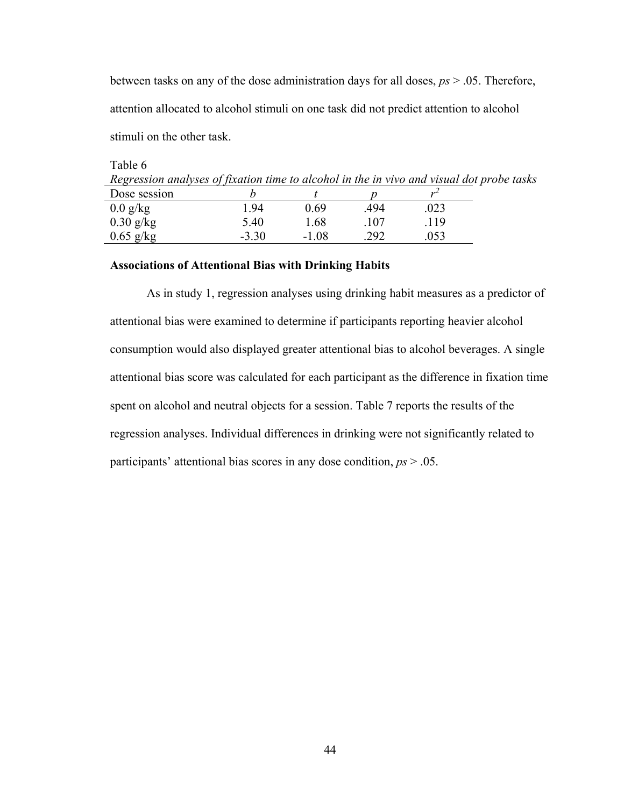between tasks on any of the dose administration days for all doses, *ps* > .05. Therefore, attention allocated to alcohol stimuli on one task did not predict attention to alcohol stimuli on the other task.

| Table 6                                                                                   |  |  |  |  |  |
|-------------------------------------------------------------------------------------------|--|--|--|--|--|
| Regression analyses of fixation time to alcohol in the in vivo and visual dot probe tasks |  |  |  |  |  |
| Dose session                                                                              |  |  |  |  |  |

| <b>LUUSU SUSSIUII</b> |         |         |      |      |  |
|-----------------------|---------|---------|------|------|--|
| $0.0$ g/kg            | 1.94    | 0.69    | .494 | .023 |  |
| $0.30$ g/kg           | 5.40    | 1.68    | .107 | .119 |  |
| $0.65$ g/kg           | $-3.30$ | $-1.08$ | .292 | .053 |  |

# **Associations of Attentional Bias with Drinking Habits**

 As in study 1, regression analyses using drinking habit measures as a predictor of attentional bias were examined to determine if participants reporting heavier alcohol consumption would also displayed greater attentional bias to alcohol beverages. A single attentional bias score was calculated for each participant as the difference in fixation time spent on alcohol and neutral objects for a session. Table 7 reports the results of the regression analyses. Individual differences in drinking were not significantly related to participants' attentional bias scores in any dose condition, *ps* > .05.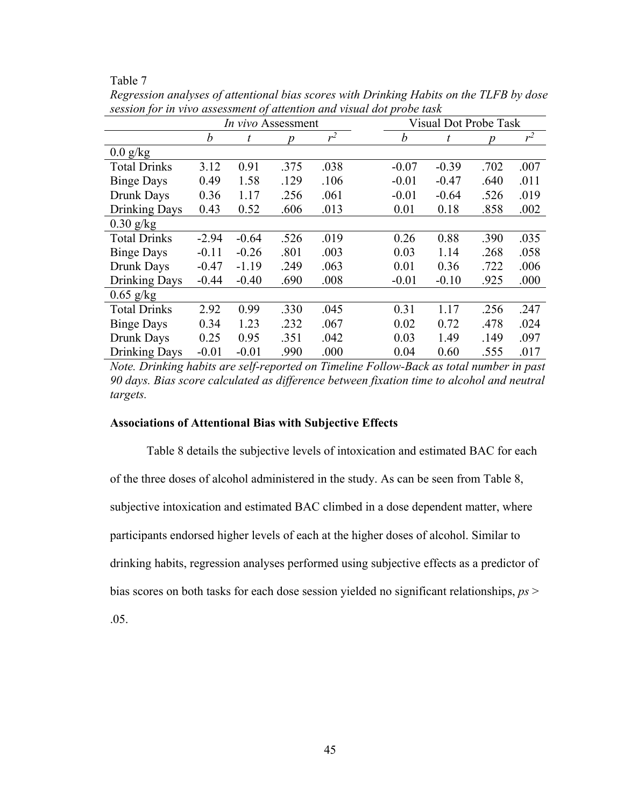| ını<br>.,<br>↶ |  |
|----------------|--|
|                |  |

|                      | In vivo Assessment |         |      |       |         |  | <b>Visual Dot Probe Task</b> |      |       |
|----------------------|--------------------|---------|------|-------|---------|--|------------------------------|------|-------|
|                      | b                  | t       | n    | $r^2$ | b       |  | t                            | Ŋ    | $r^2$ |
| $0.0$ g/kg           |                    |         |      |       |         |  |                              |      |       |
| <b>Total Drinks</b>  | 3.12               | 0.91    | .375 | .038  | $-0.07$ |  | $-0.39$                      | .702 | .007  |
| <b>Binge Days</b>    | 0.49               | 1.58    | .129 | .106  | $-0.01$ |  | $-0.47$                      | .640 | .011  |
| Drunk Days           | 0.36               | 1.17    | .256 | .061  | $-0.01$ |  | $-0.64$                      | .526 | .019  |
| Drinking Days        | 0.43               | 0.52    | .606 | .013  | 0.01    |  | 0.18                         | .858 | .002  |
| $0.30$ g/kg          |                    |         |      |       |         |  |                              |      |       |
| <b>Total Drinks</b>  | $-2.94$            | $-0.64$ | .526 | .019  | 0.26    |  | 0.88                         | .390 | .035  |
| <b>Binge Days</b>    | $-0.11$            | $-0.26$ | .801 | .003  | 0.03    |  | 1.14                         | .268 | .058  |
| Drunk Days           | $-0.47$            | $-1.19$ | .249 | .063  | 0.01    |  | 0.36                         | .722 | .006  |
| Drinking Days        | $-0.44$            | $-0.40$ | .690 | .008  | $-0.01$ |  | $-0.10$                      | .925 | .000  |
| $0.65$ g/kg          |                    |         |      |       |         |  |                              |      |       |
| <b>Total Drinks</b>  | 2.92               | 0.99    | .330 | .045  | 0.31    |  | 1.17                         | .256 | .247  |
| <b>Binge Days</b>    | 0.34               | 1.23    | .232 | .067  | 0.02    |  | 0.72                         | .478 | .024  |
| Drunk Days           | 0.25               | 0.95    | .351 | .042  | 0.03    |  | 1.49                         | .149 | .097  |
| <b>Drinking Days</b> | $-0.01$            | $-0.01$ | .990 | .000  | 0.04    |  | 0.60                         | .555 | .017  |

*Regression analyses of attentional bias scores with Drinking Habits on the TLFB by dose session for in vivo assessment of attention and visual dot probe task* 

*Note. Drinking habits are self-reported on Timeline Follow-Back as total number in past 90 days. Bias score calculated as difference between fixation time to alcohol and neutral targets.* 

### **Associations of Attentional Bias with Subjective Effects**

 Table 8 details the subjective levels of intoxication and estimated BAC for each of the three doses of alcohol administered in the study. As can be seen from Table 8, subjective intoxication and estimated BAC climbed in a dose dependent matter, where participants endorsed higher levels of each at the higher doses of alcohol. Similar to drinking habits, regression analyses performed using subjective effects as a predictor of bias scores on both tasks for each dose session yielded no significant relationships, *ps* >

.05.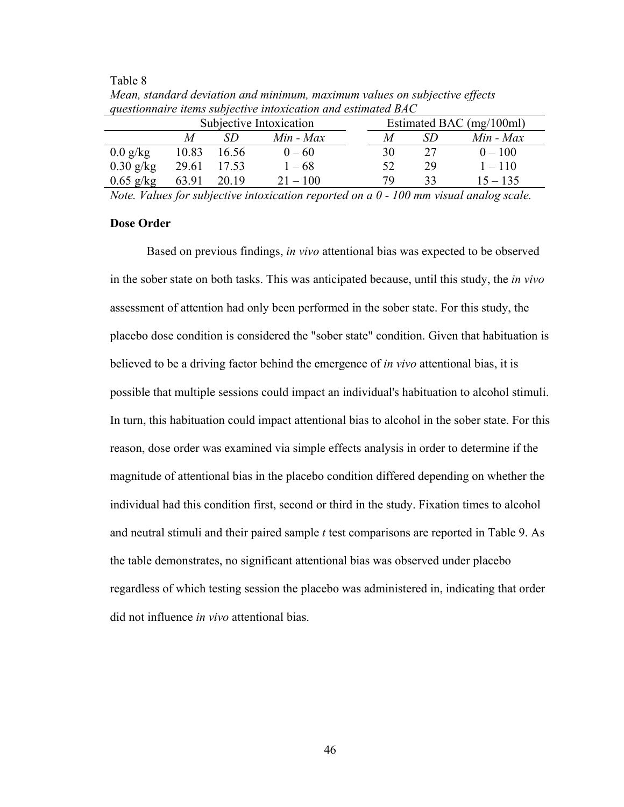Table 8

| questionnaire nems subjective information una estimatea DAC |                         |       |               |  |                          |     |               |  |  |
|-------------------------------------------------------------|-------------------------|-------|---------------|--|--------------------------|-----|---------------|--|--|
|                                                             | Subjective Intoxication |       |               |  | Estimated BAC (mg/100ml) |     |               |  |  |
|                                                             | M                       | SD    | $Min$ - $Max$ |  | M                        | SD. | $Min$ - $Max$ |  |  |
| $0.0$ g/kg                                                  | 10.83                   | 16.56 | $0 - 60$      |  | 30                       | 27  | $0 - 100$     |  |  |
| $0.30$ g/kg                                                 | 29.61                   | 17.53 | $1 - 68$      |  | 52                       | 29  | $1 - 110$     |  |  |
| $0.65$ g/kg                                                 | 63.91                   | 20.19 | $21 - 100$    |  | 79                       | 33  | $15 - 135$    |  |  |

*Mean, standard deviation and minimum, maximum values on subjective effects questionnaire items subjective intoxication and estimated BAC* 

*Note. Values for subjective intoxication reported on a 0 - 100 mm visual analog scale.* 

### **Dose Order**

Based on previous findings, *in vivo* attentional bias was expected to be observed in the sober state on both tasks. This was anticipated because, until this study, the *in vivo* assessment of attention had only been performed in the sober state. For this study, the placebo dose condition is considered the "sober state" condition. Given that habituation is believed to be a driving factor behind the emergence of *in vivo* attentional bias, it is possible that multiple sessions could impact an individual's habituation to alcohol stimuli. In turn, this habituation could impact attentional bias to alcohol in the sober state. For this reason, dose order was examined via simple effects analysis in order to determine if the magnitude of attentional bias in the placebo condition differed depending on whether the individual had this condition first, second or third in the study. Fixation times to alcohol and neutral stimuli and their paired sample *t* test comparisons are reported in Table 9. As the table demonstrates, no significant attentional bias was observed under placebo regardless of which testing session the placebo was administered in, indicating that order did not influence *in vivo* attentional bias.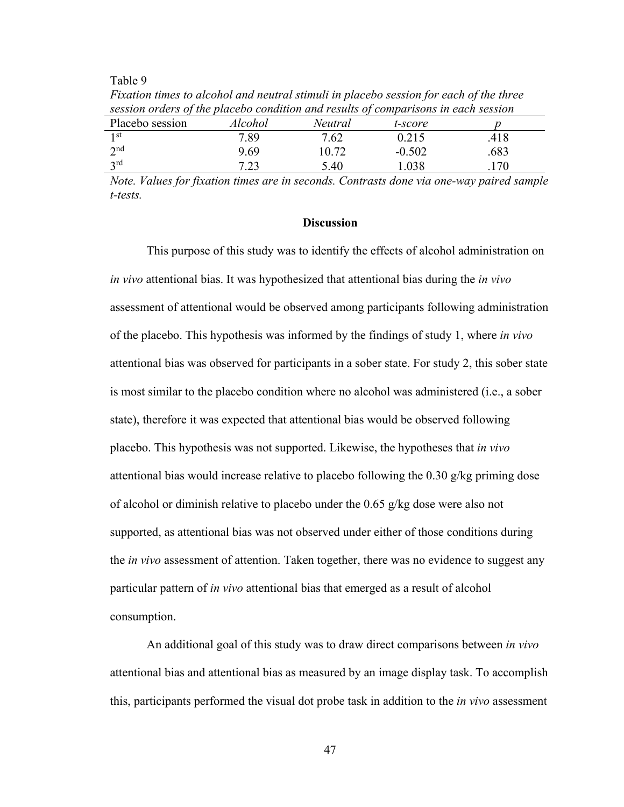Table 9

| session orders of the placebo condition and results of comparisons in each session |         |                |          |      |
|------------------------------------------------------------------------------------|---------|----------------|----------|------|
| Placebo session                                                                    | Alcohol | <i>Neutral</i> | t-score  |      |
| 1 <sup>st</sup>                                                                    | 7.89    | 7.62           | 0.215    | .418 |
| 2 <sub>nd</sub>                                                                    | 9.69    | 10.72          | $-0.502$ | .683 |
| 2rd                                                                                | 7.23    | 5.40           | .038     | .170 |

*Fixation times to alcohol and neutral stimuli in placebo session for each of the three session orders of the placebo condition and results of comparisons in each session* 

*Note. Values for fixation times are in seconds. Contrasts done via one-way paired sample t-tests.* 

### **Discussion**

This purpose of this study was to identify the effects of alcohol administration on *in vivo* attentional bias. It was hypothesized that attentional bias during the *in vivo* assessment of attentional would be observed among participants following administration of the placebo. This hypothesis was informed by the findings of study 1, where *in vivo* attentional bias was observed for participants in a sober state. For study 2, this sober state is most similar to the placebo condition where no alcohol was administered (i.e., a sober state), therefore it was expected that attentional bias would be observed following placebo. This hypothesis was not supported. Likewise, the hypotheses that *in vivo* attentional bias would increase relative to placebo following the 0.30 g/kg priming dose of alcohol or diminish relative to placebo under the 0.65 g/kg dose were also not supported, as attentional bias was not observed under either of those conditions during the *in vivo* assessment of attention. Taken together, there was no evidence to suggest any particular pattern of *in vivo* attentional bias that emerged as a result of alcohol consumption.

 An additional goal of this study was to draw direct comparisons between *in vivo* attentional bias and attentional bias as measured by an image display task. To accomplish this, participants performed the visual dot probe task in addition to the *in vivo* assessment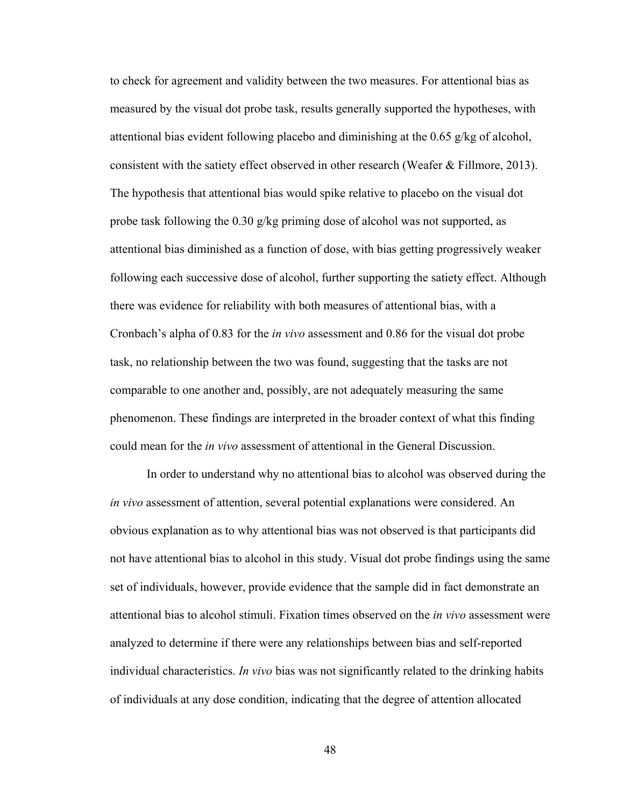to check for agreement and validity between the two measures. For attentional bias as measured by the visual dot probe task, results generally supported the hypotheses, with attentional bias evident following placebo and diminishing at the 0.65  $g/kg$  of alcohol, consistent with the satiety effect observed in other research (Weafer & Fillmore, 2013). The hypothesis that attentional bias would spike relative to placebo on the visual dot probe task following the 0.30 g/kg priming dose of alcohol was not supported, as attentional bias diminished as a function of dose, with bias getting progressively weaker following each successive dose of alcohol, further supporting the satiety effect. Although there was evidence for reliability with both measures of attentional bias, with a Cronbach's alpha of 0.83 for the *in vivo* assessment and 0.86 for the visual dot probe task, no relationship between the two was found, suggesting that the tasks are not comparable to one another and, possibly, are not adequately measuring the same phenomenon. These findings are interpreted in the broader context of what this finding could mean for the *in vivo* assessment of attentional in the General Discussion.

In order to understand why no attentional bias to alcohol was observed during the *in vivo* assessment of attention, several potential explanations were considered. An obvious explanation as to why attentional bias was not observed is that participants did not have attentional bias to alcohol in this study. Visual dot probe findings using the same set of individuals, however, provide evidence that the sample did in fact demonstrate an attentional bias to alcohol stimuli. Fixation times observed on the *in vivo* assessment were analyzed to determine if there were any relationships between bias and self-reported individual characteristics. *In vivo* bias was not significantly related to the drinking habits of individuals at any dose condition, indicating that the degree of attention allocated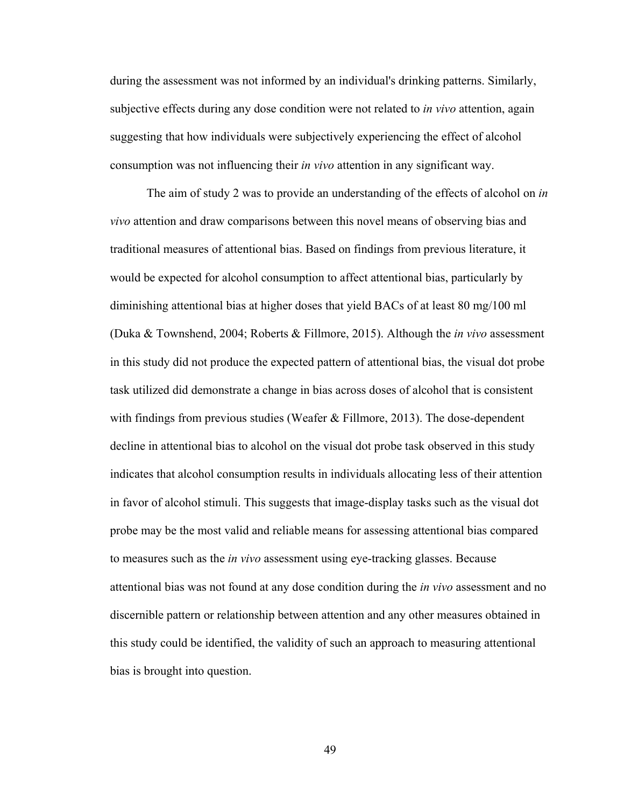during the assessment was not informed by an individual's drinking patterns. Similarly, subjective effects during any dose condition were not related to *in vivo* attention, again suggesting that how individuals were subjectively experiencing the effect of alcohol consumption was not influencing their *in vivo* attention in any significant way.

 The aim of study 2 was to provide an understanding of the effects of alcohol on *in vivo* attention and draw comparisons between this novel means of observing bias and traditional measures of attentional bias. Based on findings from previous literature, it would be expected for alcohol consumption to affect attentional bias, particularly by diminishing attentional bias at higher doses that yield BACs of at least 80 mg/100 ml (Duka & Townshend, 2004; Roberts & Fillmore, 2015). Although the *in vivo* assessment in this study did not produce the expected pattern of attentional bias, the visual dot probe task utilized did demonstrate a change in bias across doses of alcohol that is consistent with findings from previous studies (Weafer & Fillmore, 2013). The dose-dependent decline in attentional bias to alcohol on the visual dot probe task observed in this study indicates that alcohol consumption results in individuals allocating less of their attention in favor of alcohol stimuli. This suggests that image-display tasks such as the visual dot probe may be the most valid and reliable means for assessing attentional bias compared to measures such as the *in vivo* assessment using eye-tracking glasses. Because attentional bias was not found at any dose condition during the *in vivo* assessment and no discernible pattern or relationship between attention and any other measures obtained in this study could be identified, the validity of such an approach to measuring attentional bias is brought into question.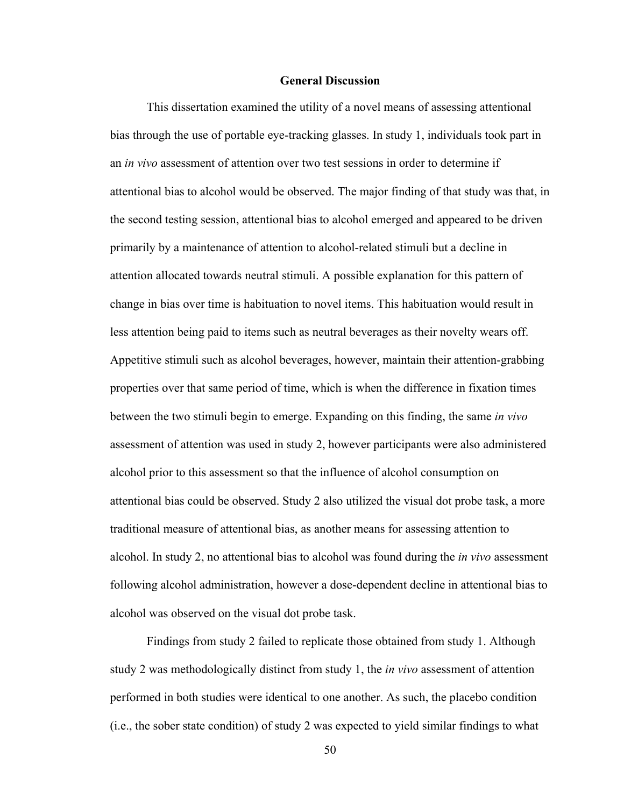### **General Discussion**

 This dissertation examined the utility of a novel means of assessing attentional bias through the use of portable eye-tracking glasses. In study 1, individuals took part in an *in vivo* assessment of attention over two test sessions in order to determine if attentional bias to alcohol would be observed. The major finding of that study was that, in the second testing session, attentional bias to alcohol emerged and appeared to be driven primarily by a maintenance of attention to alcohol-related stimuli but a decline in attention allocated towards neutral stimuli. A possible explanation for this pattern of change in bias over time is habituation to novel items. This habituation would result in less attention being paid to items such as neutral beverages as their novelty wears off. Appetitive stimuli such as alcohol beverages, however, maintain their attention-grabbing properties over that same period of time, which is when the difference in fixation times between the two stimuli begin to emerge. Expanding on this finding, the same *in vivo* assessment of attention was used in study 2, however participants were also administered alcohol prior to this assessment so that the influence of alcohol consumption on attentional bias could be observed. Study 2 also utilized the visual dot probe task, a more traditional measure of attentional bias, as another means for assessing attention to alcohol. In study 2, no attentional bias to alcohol was found during the *in vivo* assessment following alcohol administration, however a dose-dependent decline in attentional bias to alcohol was observed on the visual dot probe task.

 Findings from study 2 failed to replicate those obtained from study 1. Although study 2 was methodologically distinct from study 1, the *in vivo* assessment of attention performed in both studies were identical to one another. As such, the placebo condition (i.e., the sober state condition) of study 2 was expected to yield similar findings to what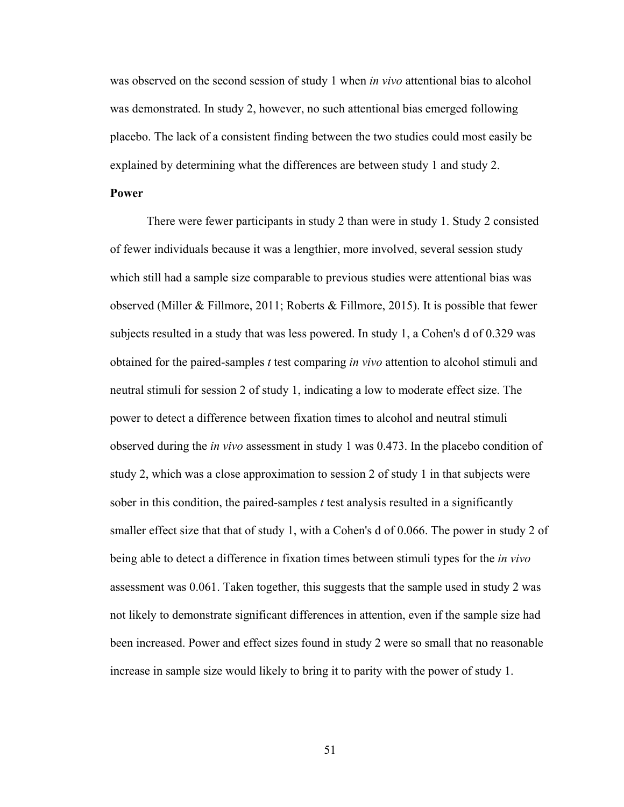was observed on the second session of study 1 when *in vivo* attentional bias to alcohol was demonstrated. In study 2, however, no such attentional bias emerged following placebo. The lack of a consistent finding between the two studies could most easily be explained by determining what the differences are between study 1 and study 2.

## **Power**

There were fewer participants in study 2 than were in study 1. Study 2 consisted of fewer individuals because it was a lengthier, more involved, several session study which still had a sample size comparable to previous studies were attentional bias was observed (Miller & Fillmore, 2011; Roberts & Fillmore, 2015). It is possible that fewer subjects resulted in a study that was less powered. In study 1, a Cohen's d of 0.329 was obtained for the paired-samples *t* test comparing *in vivo* attention to alcohol stimuli and neutral stimuli for session 2 of study 1, indicating a low to moderate effect size. The power to detect a difference between fixation times to alcohol and neutral stimuli observed during the *in vivo* assessment in study 1 was 0.473. In the placebo condition of study 2, which was a close approximation to session 2 of study 1 in that subjects were sober in this condition, the paired-samples *t* test analysis resulted in a significantly smaller effect size that that of study 1, with a Cohen's d of 0.066. The power in study 2 of being able to detect a difference in fixation times between stimuli types for the *in vivo* assessment was 0.061. Taken together, this suggests that the sample used in study 2 was not likely to demonstrate significant differences in attention, even if the sample size had been increased. Power and effect sizes found in study 2 were so small that no reasonable increase in sample size would likely to bring it to parity with the power of study 1.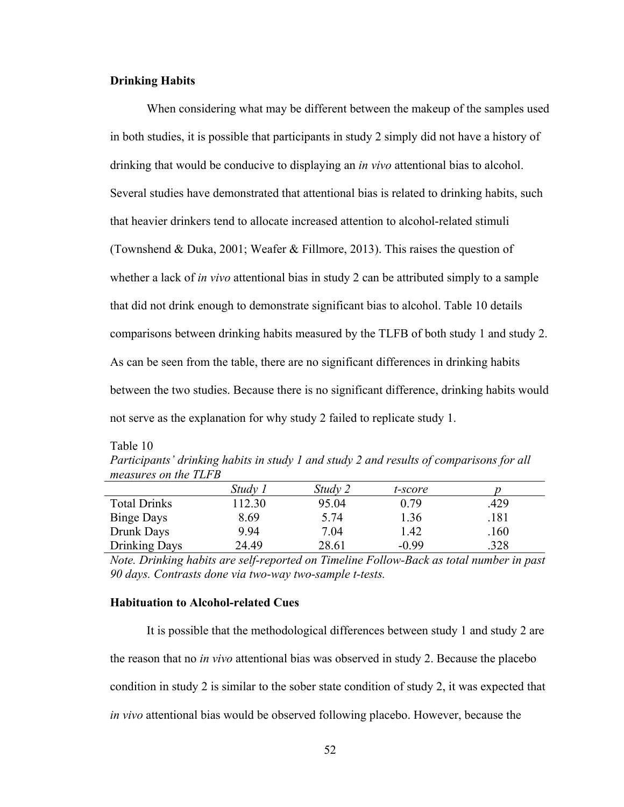# **Drinking Habits**

 When considering what may be different between the makeup of the samples used in both studies, it is possible that participants in study 2 simply did not have a history of drinking that would be conducive to displaying an *in vivo* attentional bias to alcohol. Several studies have demonstrated that attentional bias is related to drinking habits, such that heavier drinkers tend to allocate increased attention to alcohol-related stimuli (Townshend & Duka, 2001; Weafer & Fillmore, 2013). This raises the question of whether a lack of *in vivo* attentional bias in study 2 can be attributed simply to a sample that did not drink enough to demonstrate significant bias to alcohol. Table 10 details comparisons between drinking habits measured by the TLFB of both study 1 and study 2. As can be seen from the table, there are no significant differences in drinking habits between the two studies. Because there is no significant difference, drinking habits would not serve as the explanation for why study 2 failed to replicate study 1.

| aп<br>ıе |  |  |  |  |
|----------|--|--|--|--|
|----------|--|--|--|--|

*Participants' drinking habits in study 1 and study 2 and results of comparisons for all measures on the TLFB* 

|                     | Study . | Study 2 | t-score |      |  |
|---------------------|---------|---------|---------|------|--|
| <b>Total Drinks</b> | 112.30  | 95.04   | 0.79    | .429 |  |
| <b>Binge Days</b>   | 8.69    | 5.74    | 1.36    | .181 |  |
| Drunk Days          | 9.94    | 7.04    | 1.42    | .160 |  |
| Drinking Days       | 24.49   | 28.61   | $-0.99$ | .328 |  |
|                     |         |         |         |      |  |

*Note. Drinking habits are self-reported on Timeline Follow-Back as total number in past 90 days. Contrasts done via two-way two-sample t-tests.* 

# **Habituation to Alcohol-related Cues**

 It is possible that the methodological differences between study 1 and study 2 are the reason that no *in vivo* attentional bias was observed in study 2. Because the placebo condition in study 2 is similar to the sober state condition of study 2, it was expected that *in vivo* attentional bias would be observed following placebo. However, because the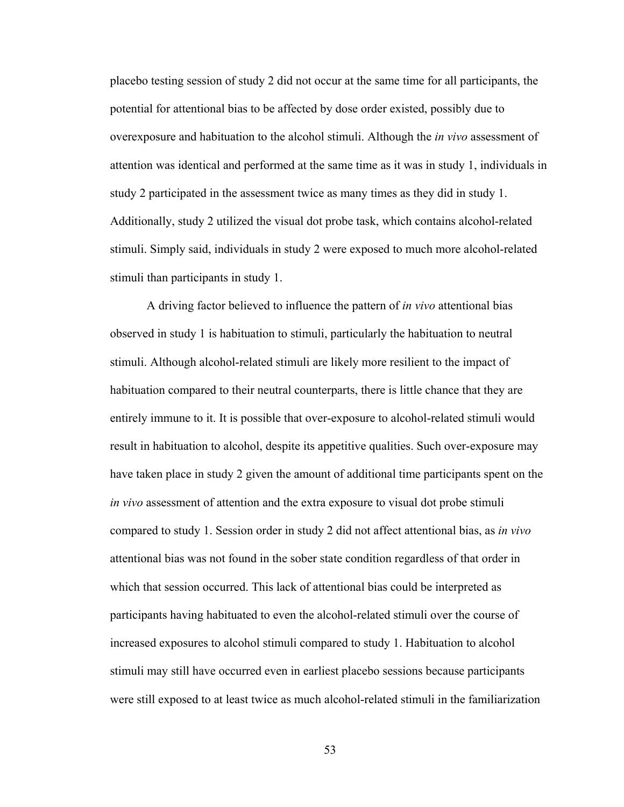placebo testing session of study 2 did not occur at the same time for all participants, the potential for attentional bias to be affected by dose order existed, possibly due to overexposure and habituation to the alcohol stimuli. Although the *in vivo* assessment of attention was identical and performed at the same time as it was in study 1, individuals in study 2 participated in the assessment twice as many times as they did in study 1. Additionally, study 2 utilized the visual dot probe task, which contains alcohol-related stimuli. Simply said, individuals in study 2 were exposed to much more alcohol-related stimuli than participants in study 1.

 A driving factor believed to influence the pattern of *in vivo* attentional bias observed in study 1 is habituation to stimuli, particularly the habituation to neutral stimuli. Although alcohol-related stimuli are likely more resilient to the impact of habituation compared to their neutral counterparts, there is little chance that they are entirely immune to it. It is possible that over-exposure to alcohol-related stimuli would result in habituation to alcohol, despite its appetitive qualities. Such over-exposure may have taken place in study 2 given the amount of additional time participants spent on the *in vivo* assessment of attention and the extra exposure to visual dot probe stimuli compared to study 1. Session order in study 2 did not affect attentional bias, as *in vivo* attentional bias was not found in the sober state condition regardless of that order in which that session occurred. This lack of attentional bias could be interpreted as participants having habituated to even the alcohol-related stimuli over the course of increased exposures to alcohol stimuli compared to study 1. Habituation to alcohol stimuli may still have occurred even in earliest placebo sessions because participants were still exposed to at least twice as much alcohol-related stimuli in the familiarization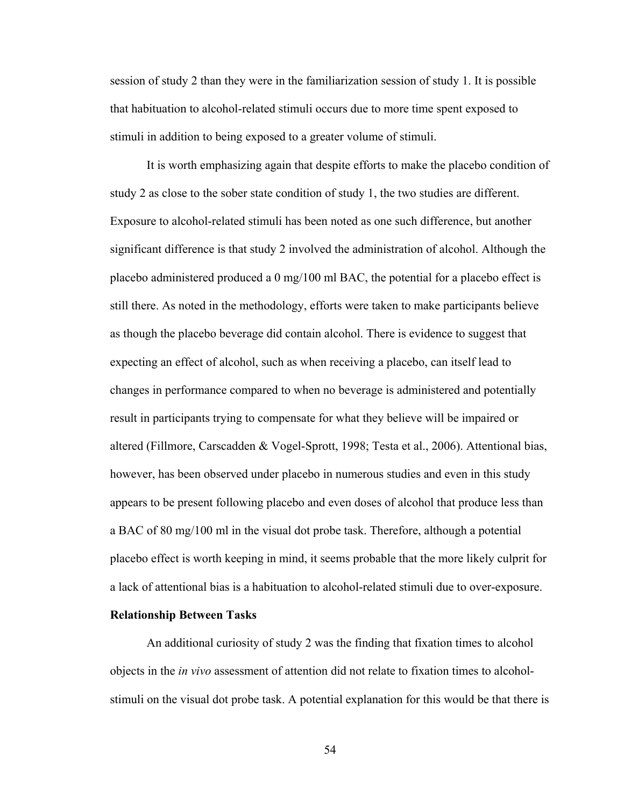session of study 2 than they were in the familiarization session of study 1. It is possible that habituation to alcohol-related stimuli occurs due to more time spent exposed to stimuli in addition to being exposed to a greater volume of stimuli.

 It is worth emphasizing again that despite efforts to make the placebo condition of study 2 as close to the sober state condition of study 1, the two studies are different. Exposure to alcohol-related stimuli has been noted as one such difference, but another significant difference is that study 2 involved the administration of alcohol. Although the placebo administered produced a 0 mg/100 ml BAC, the potential for a placebo effect is still there. As noted in the methodology, efforts were taken to make participants believe as though the placebo beverage did contain alcohol. There is evidence to suggest that expecting an effect of alcohol, such as when receiving a placebo, can itself lead to changes in performance compared to when no beverage is administered and potentially result in participants trying to compensate for what they believe will be impaired or altered (Fillmore, Carscadden & Vogel-Sprott, 1998; Testa et al., 2006). Attentional bias, however, has been observed under placebo in numerous studies and even in this study appears to be present following placebo and even doses of alcohol that produce less than a BAC of 80 mg/100 ml in the visual dot probe task. Therefore, although a potential placebo effect is worth keeping in mind, it seems probable that the more likely culprit for a lack of attentional bias is a habituation to alcohol-related stimuli due to over-exposure.

# **Relationship Between Tasks**

 An additional curiosity of study 2 was the finding that fixation times to alcohol objects in the *in vivo* assessment of attention did not relate to fixation times to alcoholstimuli on the visual dot probe task. A potential explanation for this would be that there is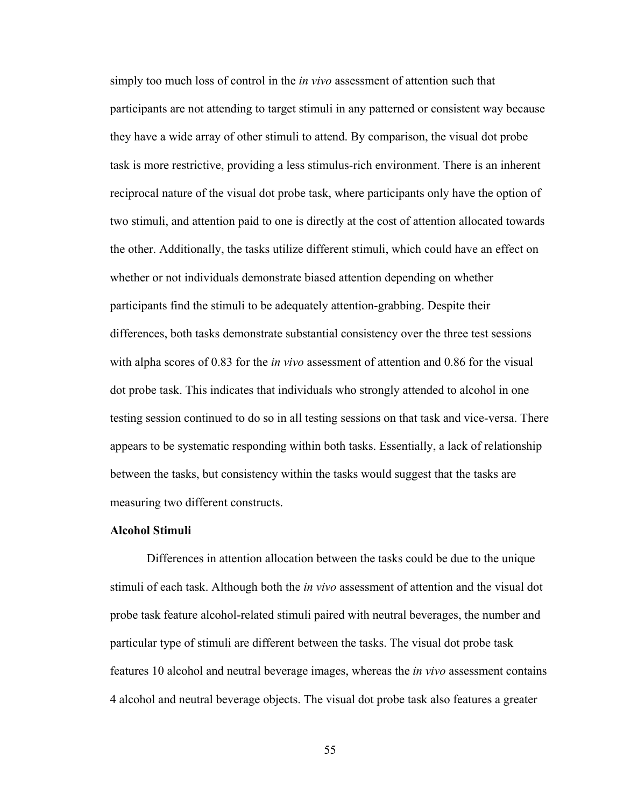simply too much loss of control in the *in vivo* assessment of attention such that participants are not attending to target stimuli in any patterned or consistent way because they have a wide array of other stimuli to attend. By comparison, the visual dot probe task is more restrictive, providing a less stimulus-rich environment. There is an inherent reciprocal nature of the visual dot probe task, where participants only have the option of two stimuli, and attention paid to one is directly at the cost of attention allocated towards the other. Additionally, the tasks utilize different stimuli, which could have an effect on whether or not individuals demonstrate biased attention depending on whether participants find the stimuli to be adequately attention-grabbing. Despite their differences, both tasks demonstrate substantial consistency over the three test sessions with alpha scores of 0.83 for the *in vivo* assessment of attention and 0.86 for the visual dot probe task. This indicates that individuals who strongly attended to alcohol in one testing session continued to do so in all testing sessions on that task and vice-versa. There appears to be systematic responding within both tasks. Essentially, a lack of relationship between the tasks, but consistency within the tasks would suggest that the tasks are measuring two different constructs.

# **Alcohol Stimuli**

 Differences in attention allocation between the tasks could be due to the unique stimuli of each task. Although both the *in vivo* assessment of attention and the visual dot probe task feature alcohol-related stimuli paired with neutral beverages, the number and particular type of stimuli are different between the tasks. The visual dot probe task features 10 alcohol and neutral beverage images, whereas the *in vivo* assessment contains 4 alcohol and neutral beverage objects. The visual dot probe task also features a greater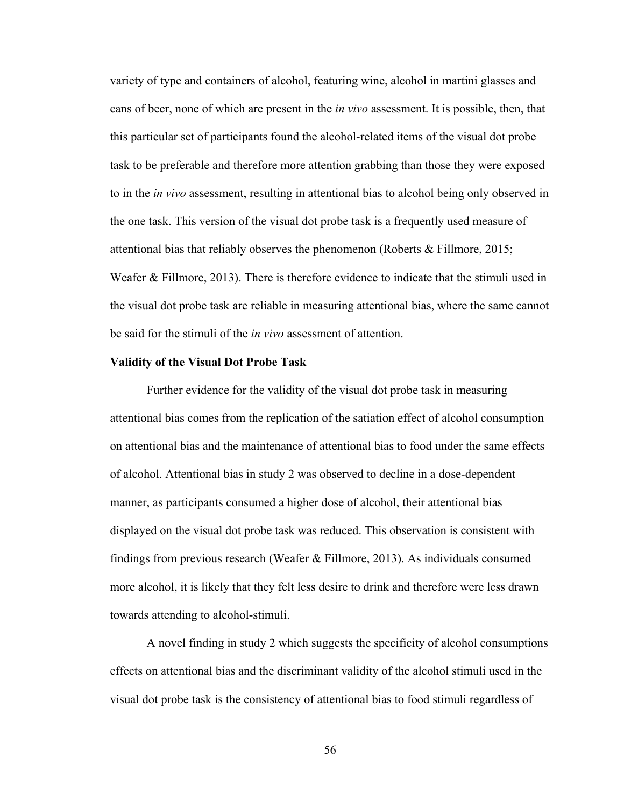variety of type and containers of alcohol, featuring wine, alcohol in martini glasses and cans of beer, none of which are present in the *in vivo* assessment. It is possible, then, that this particular set of participants found the alcohol-related items of the visual dot probe task to be preferable and therefore more attention grabbing than those they were exposed to in the *in vivo* assessment, resulting in attentional bias to alcohol being only observed in the one task. This version of the visual dot probe task is a frequently used measure of attentional bias that reliably observes the phenomenon (Roberts & Fillmore, 2015; Weafer & Fillmore, 2013). There is therefore evidence to indicate that the stimuli used in the visual dot probe task are reliable in measuring attentional bias, where the same cannot be said for the stimuli of the *in vivo* assessment of attention.

### **Validity of the Visual Dot Probe Task**

 Further evidence for the validity of the visual dot probe task in measuring attentional bias comes from the replication of the satiation effect of alcohol consumption on attentional bias and the maintenance of attentional bias to food under the same effects of alcohol. Attentional bias in study 2 was observed to decline in a dose-dependent manner, as participants consumed a higher dose of alcohol, their attentional bias displayed on the visual dot probe task was reduced. This observation is consistent with findings from previous research (Weafer & Fillmore, 2013). As individuals consumed more alcohol, it is likely that they felt less desire to drink and therefore were less drawn towards attending to alcohol-stimuli.

 A novel finding in study 2 which suggests the specificity of alcohol consumptions effects on attentional bias and the discriminant validity of the alcohol stimuli used in the visual dot probe task is the consistency of attentional bias to food stimuli regardless of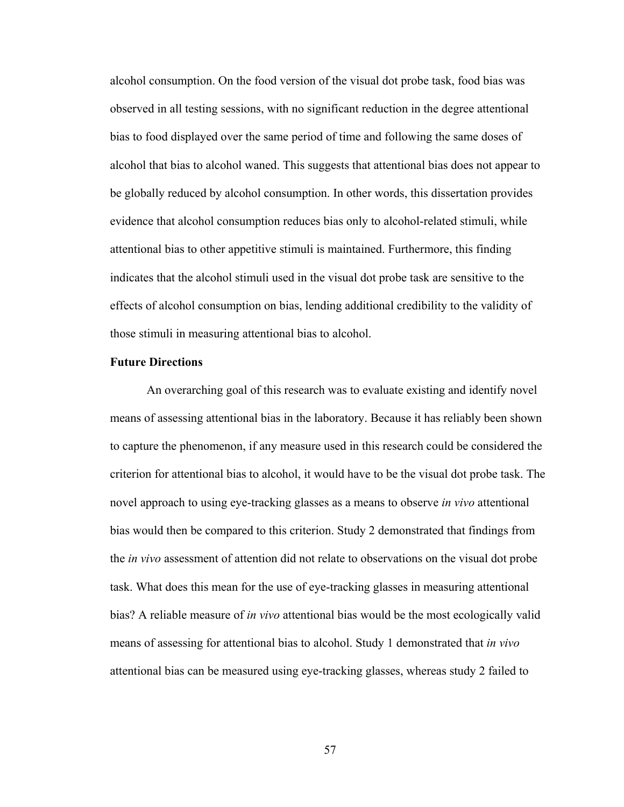alcohol consumption. On the food version of the visual dot probe task, food bias was observed in all testing sessions, with no significant reduction in the degree attentional bias to food displayed over the same period of time and following the same doses of alcohol that bias to alcohol waned. This suggests that attentional bias does not appear to be globally reduced by alcohol consumption. In other words, this dissertation provides evidence that alcohol consumption reduces bias only to alcohol-related stimuli, while attentional bias to other appetitive stimuli is maintained. Furthermore, this finding indicates that the alcohol stimuli used in the visual dot probe task are sensitive to the effects of alcohol consumption on bias, lending additional credibility to the validity of those stimuli in measuring attentional bias to alcohol.

### **Future Directions**

 An overarching goal of this research was to evaluate existing and identify novel means of assessing attentional bias in the laboratory. Because it has reliably been shown to capture the phenomenon, if any measure used in this research could be considered the criterion for attentional bias to alcohol, it would have to be the visual dot probe task. The novel approach to using eye-tracking glasses as a means to observe *in vivo* attentional bias would then be compared to this criterion. Study 2 demonstrated that findings from the *in vivo* assessment of attention did not relate to observations on the visual dot probe task. What does this mean for the use of eye-tracking glasses in measuring attentional bias? A reliable measure of *in vivo* attentional bias would be the most ecologically valid means of assessing for attentional bias to alcohol. Study 1 demonstrated that *in vivo* attentional bias can be measured using eye-tracking glasses, whereas study 2 failed to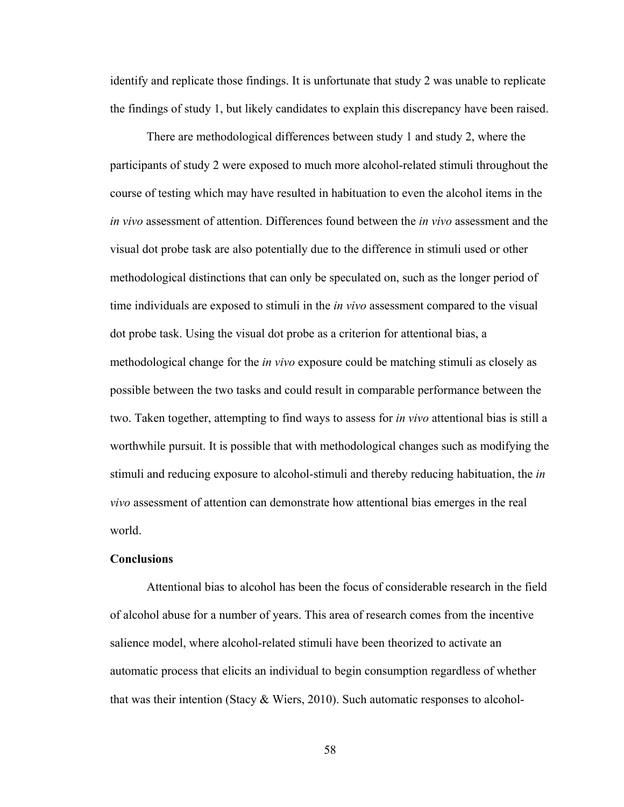identify and replicate those findings. It is unfortunate that study 2 was unable to replicate the findings of study 1, but likely candidates to explain this discrepancy have been raised.

 There are methodological differences between study 1 and study 2, where the participants of study 2 were exposed to much more alcohol-related stimuli throughout the course of testing which may have resulted in habituation to even the alcohol items in the *in vivo* assessment of attention. Differences found between the *in vivo* assessment and the visual dot probe task are also potentially due to the difference in stimuli used or other methodological distinctions that can only be speculated on, such as the longer period of time individuals are exposed to stimuli in the *in vivo* assessment compared to the visual dot probe task. Using the visual dot probe as a criterion for attentional bias, a methodological change for the *in vivo* exposure could be matching stimuli as closely as possible between the two tasks and could result in comparable performance between the two. Taken together, attempting to find ways to assess for *in vivo* attentional bias is still a worthwhile pursuit. It is possible that with methodological changes such as modifying the stimuli and reducing exposure to alcohol-stimuli and thereby reducing habituation, the *in vivo* assessment of attention can demonstrate how attentional bias emerges in the real world.

# **Conclusions**

 Attentional bias to alcohol has been the focus of considerable research in the field of alcohol abuse for a number of years. This area of research comes from the incentive salience model, where alcohol-related stimuli have been theorized to activate an automatic process that elicits an individual to begin consumption regardless of whether that was their intention (Stacy & Wiers, 2010). Such automatic responses to alcohol-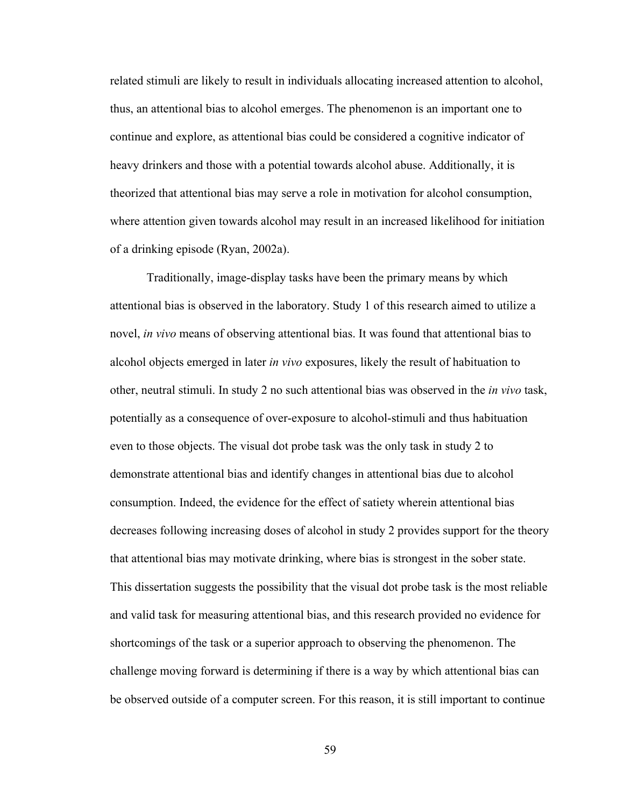related stimuli are likely to result in individuals allocating increased attention to alcohol, thus, an attentional bias to alcohol emerges. The phenomenon is an important one to continue and explore, as attentional bias could be considered a cognitive indicator of heavy drinkers and those with a potential towards alcohol abuse. Additionally, it is theorized that attentional bias may serve a role in motivation for alcohol consumption, where attention given towards alcohol may result in an increased likelihood for initiation of a drinking episode (Ryan, 2002a).

 Traditionally, image-display tasks have been the primary means by which attentional bias is observed in the laboratory. Study 1 of this research aimed to utilize a novel, *in vivo* means of observing attentional bias. It was found that attentional bias to alcohol objects emerged in later *in vivo* exposures, likely the result of habituation to other, neutral stimuli. In study 2 no such attentional bias was observed in the *in vivo* task, potentially as a consequence of over-exposure to alcohol-stimuli and thus habituation even to those objects. The visual dot probe task was the only task in study 2 to demonstrate attentional bias and identify changes in attentional bias due to alcohol consumption. Indeed, the evidence for the effect of satiety wherein attentional bias decreases following increasing doses of alcohol in study 2 provides support for the theory that attentional bias may motivate drinking, where bias is strongest in the sober state. This dissertation suggests the possibility that the visual dot probe task is the most reliable and valid task for measuring attentional bias, and this research provided no evidence for shortcomings of the task or a superior approach to observing the phenomenon. The challenge moving forward is determining if there is a way by which attentional bias can be observed outside of a computer screen. For this reason, it is still important to continue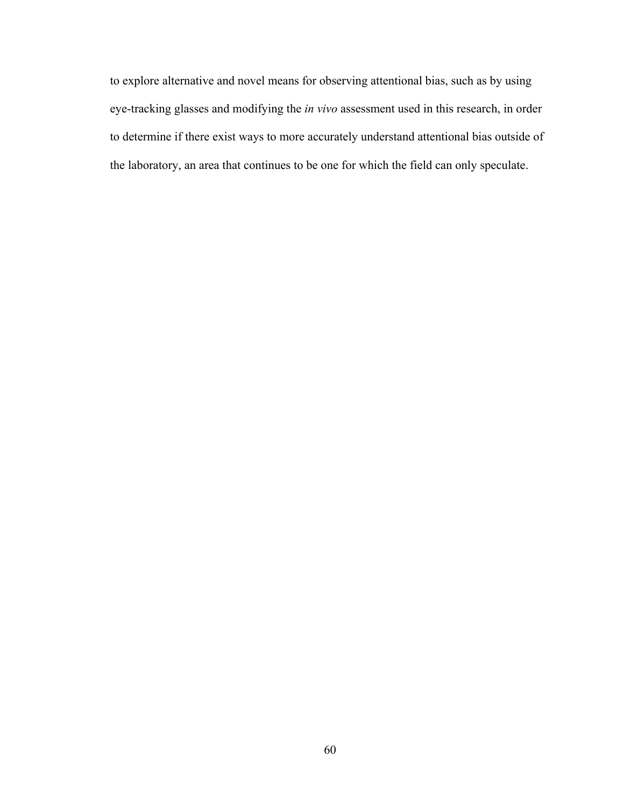to explore alternative and novel means for observing attentional bias, such as by using eye-tracking glasses and modifying the *in vivo* assessment used in this research, in order to determine if there exist ways to more accurately understand attentional bias outside of the laboratory, an area that continues to be one for which the field can only speculate.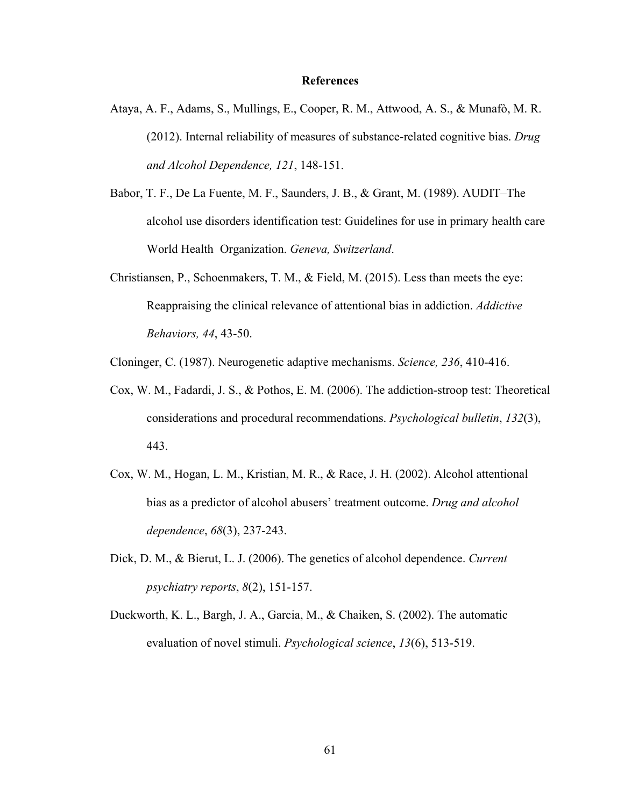### **References**

- Ataya, A. F., Adams, S., Mullings, E., Cooper, R. M., Attwood, A. S., & Munafò, M. R. (2012). Internal reliability of measures of substance-related cognitive bias. *Drug and Alcohol Dependence, 121*, 148-151.
- Babor, T. F., De La Fuente, M. F., Saunders, J. B., & Grant, M. (1989). AUDIT–The alcohol use disorders identification test: Guidelines for use in primary health care World Health Organization. *Geneva, Switzerland*.
- Christiansen, P., Schoenmakers, T. M., & Field, M. (2015). Less than meets the eye: Reappraising the clinical relevance of attentional bias in addiction. *Addictive Behaviors, 44*, 43-50.

Cloninger, C. (1987). Neurogenetic adaptive mechanisms. *Science, 236*, 410-416.

- Cox, W. M., Fadardi, J. S., & Pothos, E. M. (2006). The addiction-stroop test: Theoretical considerations and procedural recommendations. *Psychological bulletin*, *132*(3), 443.
- Cox, W. M., Hogan, L. M., Kristian, M. R., & Race, J. H. (2002). Alcohol attentional bias as a predictor of alcohol abusers' treatment outcome. *Drug and alcohol dependence*, *68*(3), 237-243.
- Dick, D. M., & Bierut, L. J. (2006). The genetics of alcohol dependence. *Current psychiatry reports*, *8*(2), 151-157.
- Duckworth, K. L., Bargh, J. A., Garcia, M., & Chaiken, S. (2002). The automatic evaluation of novel stimuli. *Psychological science*, *13*(6), 513-519.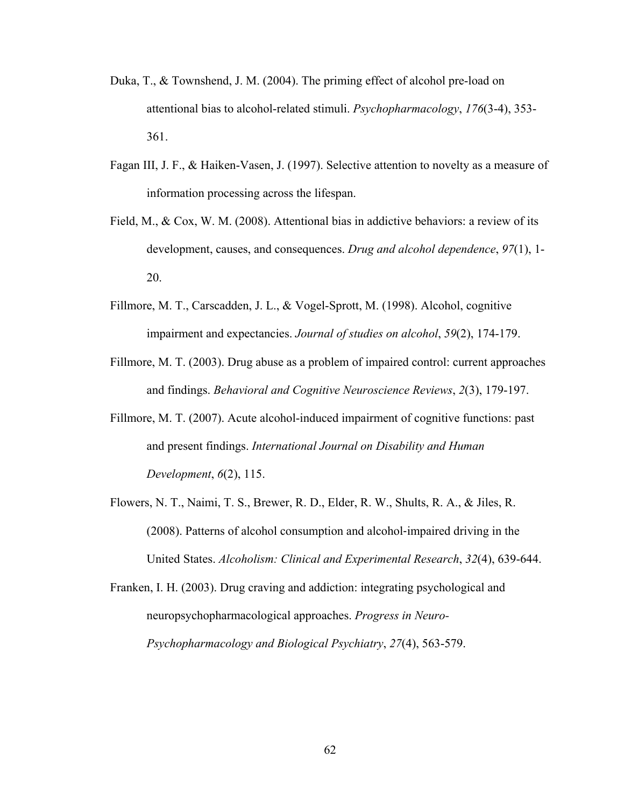- Duka, T., & Townshend, J. M. (2004). The priming effect of alcohol pre-load on attentional bias to alcohol-related stimuli. *Psychopharmacology*, *176*(3-4), 353- 361.
- Fagan III, J. F., & Haiken-Vasen, J. (1997). Selective attention to novelty as a measure of information processing across the lifespan.
- Field, M., & Cox, W. M. (2008). Attentional bias in addictive behaviors: a review of its development, causes, and consequences. *Drug and alcohol dependence*, *97*(1), 1- 20.
- Fillmore, M. T., Carscadden, J. L., & Vogel-Sprott, M. (1998). Alcohol, cognitive impairment and expectancies. *Journal of studies on alcohol*, *59*(2), 174-179.
- Fillmore, M. T. (2003). Drug abuse as a problem of impaired control: current approaches and findings. *Behavioral and Cognitive Neuroscience Reviews*, *2*(3), 179-197.
- Fillmore, M. T. (2007). Acute alcohol-induced impairment of cognitive functions: past and present findings. *International Journal on Disability and Human Development*, *6*(2), 115.
- Flowers, N. T., Naimi, T. S., Brewer, R. D., Elder, R. W., Shults, R. A., & Jiles, R. (2008). Patterns of alcohol consumption and alcohol-impaired driving in the United States. *Alcoholism: Clinical and Experimental Research*, *32*(4), 639-644.

Franken, I. H. (2003). Drug craving and addiction: integrating psychological and neuropsychopharmacological approaches. *Progress in Neuro- Psychopharmacology and Biological Psychiatry*, *27*(4), 563-579.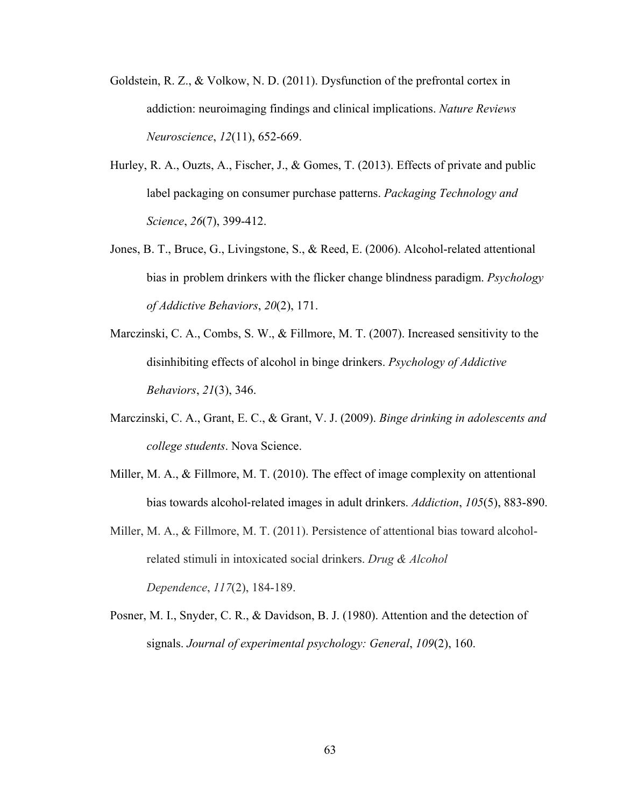- Goldstein, R. Z., & Volkow, N. D. (2011). Dysfunction of the prefrontal cortex in addiction: neuroimaging findings and clinical implications. *Nature Reviews Neuroscience*, *12*(11), 652-669.
- Hurley, R. A., Ouzts, A., Fischer, J., & Gomes, T. (2013). Effects of private and public label packaging on consumer purchase patterns. *Packaging Technology and Science*, *26*(7), 399-412.
- Jones, B. T., Bruce, G., Livingstone, S., & Reed, E. (2006). Alcohol-related attentional bias in problem drinkers with the flicker change blindness paradigm. *Psychology of Addictive Behaviors*, *20*(2), 171.
- Marczinski, C. A., Combs, S. W., & Fillmore, M. T. (2007). Increased sensitivity to the disinhibiting effects of alcohol in binge drinkers. *Psychology of Addictive Behaviors*, *21*(3), 346.
- Marczinski, C. A., Grant, E. C., & Grant, V. J. (2009). *Binge drinking in adolescents and college students*. Nova Science.
- Miller, M. A., & Fillmore, M. T. (2010). The effect of image complexity on attentional bias towards alcohol-related images in adult drinkers. *Addiction*, *105*(5), 883-890.
- Miller, M. A., & Fillmore, M. T. (2011). Persistence of attentional bias toward alcohol related stimuli in intoxicated social drinkers. *Drug & Alcohol Dependence*, *117*(2), 184-189.
- Posner, M. I., Snyder, C. R., & Davidson, B. J. (1980). Attention and the detection of signals. *Journal of experimental psychology: General*, *109*(2), 160.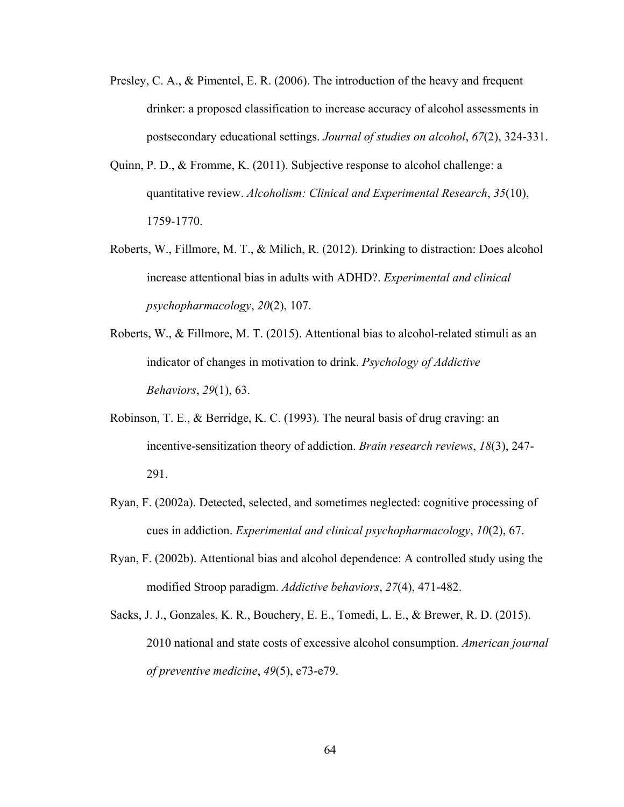- Presley, C. A., & Pimentel, E. R. (2006). The introduction of the heavy and frequent drinker: a proposed classification to increase accuracy of alcohol assessments in postsecondary educational settings. *Journal of studies on alcohol*, *67*(2), 324-331.
- Quinn, P. D., & Fromme, K. (2011). Subjective response to alcohol challenge: a quantitative review. *Alcoholism: Clinical and Experimental Research*, *35*(10), 1759-1770.
- Roberts, W., Fillmore, M. T., & Milich, R. (2012). Drinking to distraction: Does alcohol increase attentional bias in adults with ADHD?. *Experimental and clinical psychopharmacology*, *20*(2), 107.
- Roberts, W., & Fillmore, M. T. (2015). Attentional bias to alcohol-related stimuli as an indicator of changes in motivation to drink. *Psychology of Addictive Behaviors*, *29*(1), 63.
- Robinson, T. E., & Berridge, K. C. (1993). The neural basis of drug craving: an incentive-sensitization theory of addiction. *Brain research reviews*, *18*(3), 247- 291.
- Ryan, F. (2002a). Detected, selected, and sometimes neglected: cognitive processing of cues in addiction. *Experimental and clinical psychopharmacology*, *10*(2), 67.
- Ryan, F. (2002b). Attentional bias and alcohol dependence: A controlled study using the modified Stroop paradigm. *Addictive behaviors*, *27*(4), 471-482.
- Sacks, J. J., Gonzales, K. R., Bouchery, E. E., Tomedi, L. E., & Brewer, R. D. (2015). 2010 national and state costs of excessive alcohol consumption. *American journal of preventive medicine*, *49*(5), e73-e79.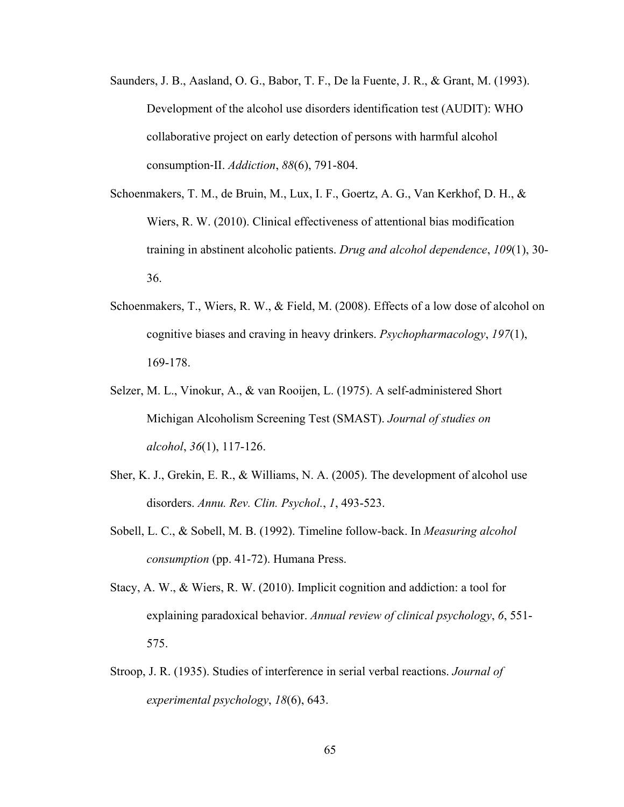- Saunders, J. B., Aasland, O. G., Babor, T. F., De la Fuente, J. R., & Grant, M. (1993). Development of the alcohol use disorders identification test (AUDIT): WHO collaborative project on early detection of persons with harmful alcohol consumption-II. *Addiction*, *88*(6), 791-804.
- Schoenmakers, T. M., de Bruin, M., Lux, I. F., Goertz, A. G., Van Kerkhof, D. H., & Wiers, R. W. (2010). Clinical effectiveness of attentional bias modification training in abstinent alcoholic patients. *Drug and alcohol dependence*, *109*(1), 30- 36.
- Schoenmakers, T., Wiers, R. W., & Field, M. (2008). Effects of a low dose of alcohol on cognitive biases and craving in heavy drinkers. *Psychopharmacology*, *197*(1), 169-178.
- Selzer, M. L., Vinokur, A., & van Rooijen, L. (1975). A self-administered Short Michigan Alcoholism Screening Test (SMAST). *Journal of studies on alcohol*, *36*(1), 117-126.
- Sher, K. J., Grekin, E. R., & Williams, N. A. (2005). The development of alcohol use disorders. *Annu. Rev. Clin. Psychol.*, *1*, 493-523.
- Sobell, L. C., & Sobell, M. B. (1992). Timeline follow-back. In *Measuring alcohol consumption* (pp. 41-72). Humana Press.
- Stacy, A. W., & Wiers, R. W. (2010). Implicit cognition and addiction: a tool for explaining paradoxical behavior. *Annual review of clinical psychology*, *6*, 551- 575.
- Stroop, J. R. (1935). Studies of interference in serial verbal reactions. *Journal of experimental psychology*, *18*(6), 643.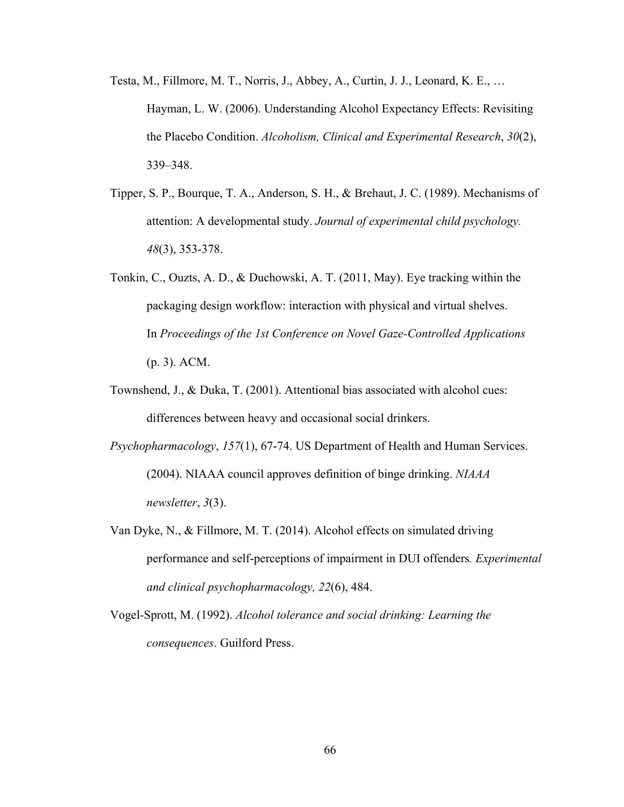- Testa, M., Fillmore, M. T., Norris, J., Abbey, A., Curtin, J. J., Leonard, K. E., … Hayman, L. W. (2006). Understanding Alcohol Expectancy Effects: Revisiting the Placebo Condition. *Alcoholism, Clinical and Experimental Research*, *30*(2), 339–348.
- Tipper, S. P., Bourque, T. A., Anderson, S. H., & Brehaut, J. C. (1989). Mechanisms of attention: A developmental study. *Journal of experimental child psychology. 48*(3), 353-378.
- Tonkin, C., Ouzts, A. D., & Duchowski, A. T. (2011, May). Eye tracking within the packaging design workflow: interaction with physical and virtual shelves. In *Proceedings of the 1st Conference on Novel Gaze-Controlled Applications* (p. 3). ACM.
- Townshend, J., & Duka, T. (2001). Attentional bias associated with alcohol cues: differences between heavy and occasional social drinkers.
- *Psychopharmacology*, *157*(1), 67-74. US Department of Health and Human Services. (2004). NIAAA council approves definition of binge drinking. *NIAAA newsletter*, *3*(3).
- Van Dyke, N., & Fillmore, M. T. (2014). Alcohol effects on simulated driving performance and self-perceptions of impairment in DUI offenders*. Experimental and clinical psychopharmacology, 22*(6), 484.
- Vogel-Sprott, M. (1992). *Alcohol tolerance and social drinking: Learning the consequences*. Guilford Press.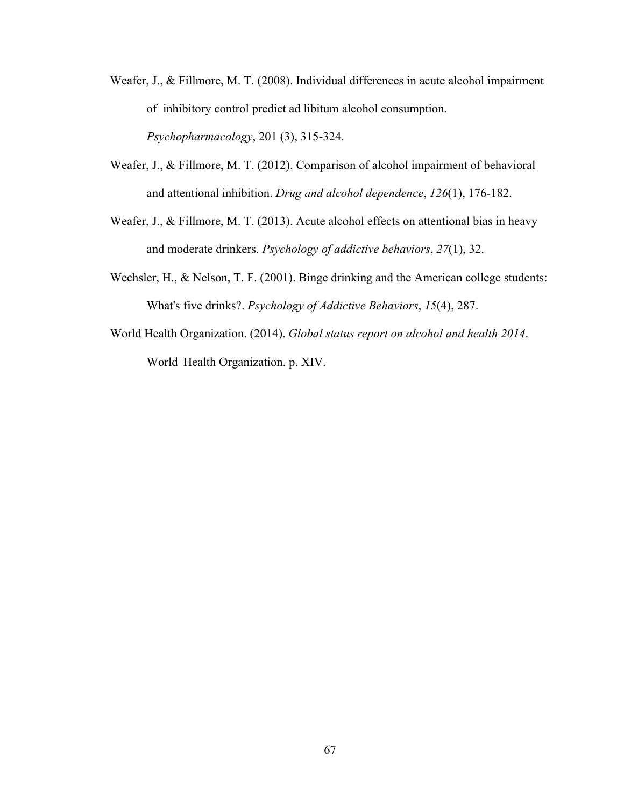- Weafer, J., & Fillmore, M. T. (2008). Individual differences in acute alcohol impairment of inhibitory control predict ad libitum alcohol consumption. *Psychopharmacology*, 201 (3), 315-324.
- Weafer, J., & Fillmore, M. T. (2012). Comparison of alcohol impairment of behavioral and attentional inhibition. *Drug and alcohol dependence*, *126*(1), 176-182.
- Weafer, J., & Fillmore, M. T. (2013). Acute alcohol effects on attentional bias in heavy and moderate drinkers. *Psychology of addictive behaviors*, *27*(1), 32.
- Wechsler, H., & Nelson, T. F. (2001). Binge drinking and the American college students: What's five drinks?. *Psychology of Addictive Behaviors*, *15*(4), 287.
- World Health Organization. (2014). *Global status report on alcohol and health 2014*. World Health Organization. p. XIV.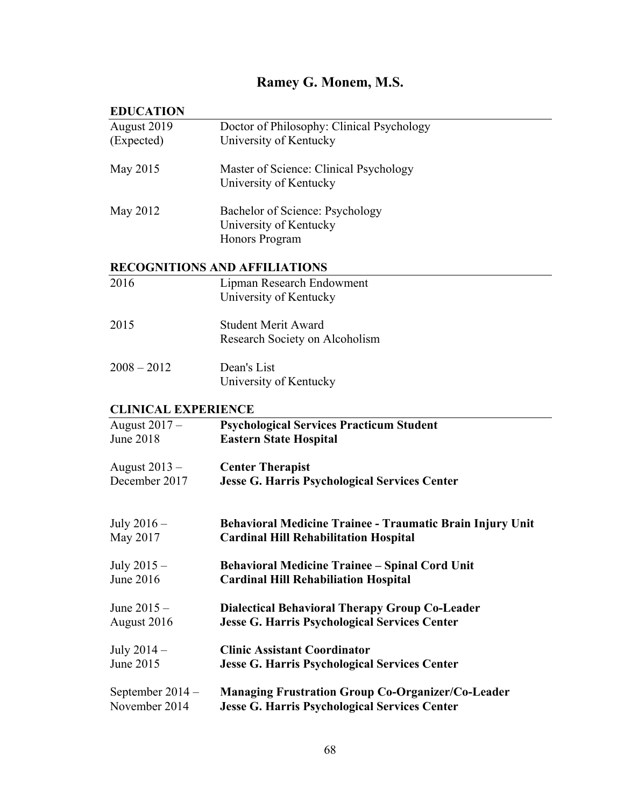# **Ramey G. Monem, M.S.**

## **EDUCATION**

| <b>LDUCALION</b>           |                                                           |
|----------------------------|-----------------------------------------------------------|
| August 2019                | Doctor of Philosophy: Clinical Psychology                 |
| (Expected)                 | University of Kentucky                                    |
|                            |                                                           |
|                            |                                                           |
| May 2015                   | Master of Science: Clinical Psychology                    |
|                            | University of Kentucky                                    |
|                            |                                                           |
| May 2012                   | Bachelor of Science: Psychology                           |
|                            | University of Kentucky                                    |
|                            | Honors Program                                            |
|                            |                                                           |
|                            | <b>RECOGNITIONS AND AFFILIATIONS</b>                      |
| 2016                       | Lipman Research Endowment                                 |
|                            | University of Kentucky                                    |
|                            |                                                           |
| 2015                       | <b>Student Merit Award</b>                                |
|                            |                                                           |
|                            | Research Society on Alcoholism                            |
|                            |                                                           |
| $2008 - 2012$              | Dean's List                                               |
|                            | University of Kentucky                                    |
|                            |                                                           |
| <b>CLINICAL EXPERIENCE</b> |                                                           |
| August $2017 -$            | <b>Psychological Services Practicum Student</b>           |
| June 2018                  | <b>Eastern State Hospital</b>                             |
|                            |                                                           |
| August $2013 -$            | <b>Center Therapist</b>                                   |
| December 2017              | <b>Jesse G. Harris Psychological Services Center</b>      |
|                            |                                                           |
|                            |                                                           |
| July $2016-$               | Behavioral Medicine Trainee - Traumatic Brain Injury Unit |
| May 2017                   | <b>Cardinal Hill Rehabilitation Hospital</b>              |
|                            |                                                           |
|                            |                                                           |
| July $2015 -$              | <b>Behavioral Medicine Trainee - Spinal Cord Unit</b>     |
| June 2016                  | <b>Cardinal Hill Rehabiliation Hospital</b>               |
|                            |                                                           |
| June $2015 -$              | <b>Dialectical Behavioral Therapy Group Co-Leader</b>     |
| August 2016                | <b>Jesse G. Harris Psychological Services Center</b>      |
|                            |                                                           |
| July $2014-$               | <b>Clinic Assistant Coordinator</b>                       |
| June 2015                  | <b>Jesse G. Harris Psychological Services Center</b>      |
|                            |                                                           |
| September $2014 -$         | <b>Managing Frustration Group Co-Organizer/Co-Leader</b>  |
| November 2014              | <b>Jesse G. Harris Psychological Services Center</b>      |